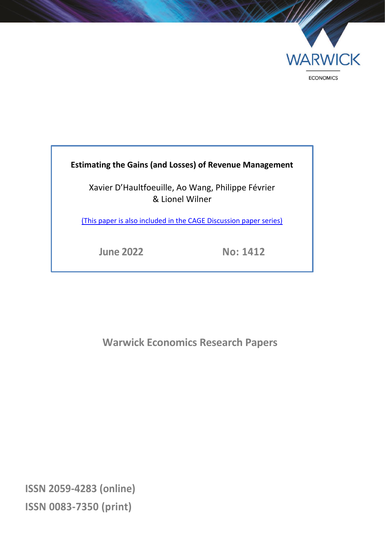

### **Estimating the Gains (and Losses) of Revenue Management**

Xavier D'Haultfoeuille, Ao Wang, Philippe Février & Lionel Wilner

[\(This paper is also included in the CAGE Discussion paper series\)](https://warwick.ac.uk/fac/soc/economics/research/centres/cage/manage/publications/wp621.2022.pdf)

**June 2022 No: 1412**

**Warwick Economics Research Papers**

**ISSN 2059-4283 (online) ISSN 0083-7350 (print)**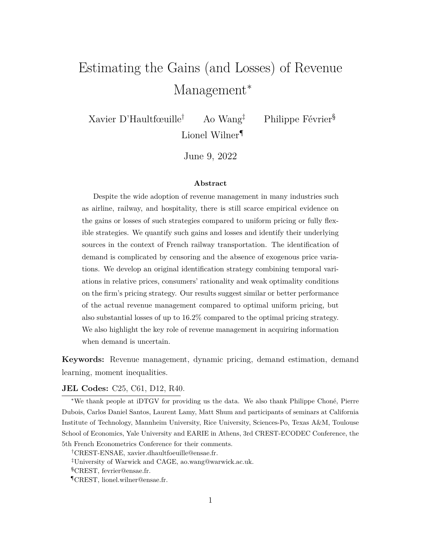# Estimating the Gains (and Losses) of Revenue Management<sup>\*</sup>

Xavier D'Haultfœuille† Ao Wang‡ Philippe Février§ Lionel Wilner<sup>¶</sup>

June 9, 2022

#### **Abstract**

Despite the wide adoption of revenue management in many industries such as airline, railway, and hospitality, there is still scarce empirical evidence on the gains or losses of such strategies compared to uniform pricing or fully flexible strategies. We quantify such gains and losses and identify their underlying sources in the context of French railway transportation. The identification of demand is complicated by censoring and the absence of exogenous price variations. We develop an original identification strategy combining temporal variations in relative prices, consumers' rationality and weak optimality conditions on the firm's pricing strategy. Our results suggest similar or better performance of the actual revenue management compared to optimal uniform pricing, but also substantial losses of up to 16.2% compared to the optimal pricing strategy. We also highlight the key role of revenue management in acquiring information when demand is uncertain.

**Keywords:** Revenue management, dynamic pricing, demand estimation, demand learning, moment inequalities.

#### **JEL Codes:** C25, C61, D12, R40.

<sup>∗</sup>We thank people at iDTGV for providing us the data. We also thank Philippe Choné, Pierre Dubois, Carlos Daniel Santos, Laurent Lamy, Matt Shum and participants of seminars at California Institute of Technology, Mannheim University, Rice University, Sciences-Po, Texas A&M, Toulouse School of Economics, Yale University and EARIE in Athens, 3rd CREST-ECODEC Conference, the 5th French Econometrics Conference for their comments.

†CREST-ENSAE, xavier.dhaultfoeuille@ensae.fr.

‡University of Warwick and CAGE, ao.wang@warwick.ac.uk.

§CREST, fevrier@ensae.fr.

¶CREST, lionel.wilner@ensae.fr.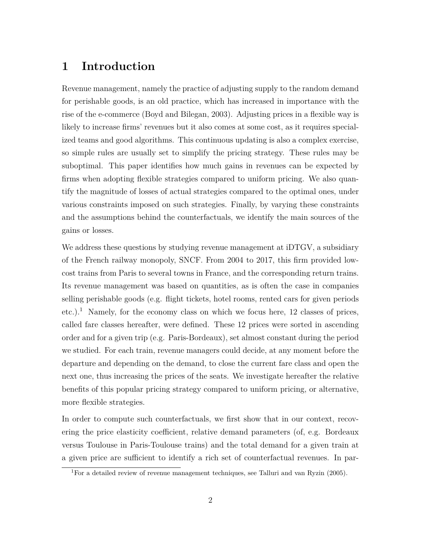# **1 Introduction**

Revenue management, namely the practice of adjusting supply to the random demand for perishable goods, is an old practice, which has increased in importance with the rise of the e-commerce (Boyd and Bilegan, 2003). Adjusting prices in a flexible way is likely to increase firms' revenues but it also comes at some cost, as it requires specialized teams and good algorithms. This continuous updating is also a complex exercise, so simple rules are usually set to simplify the pricing strategy. These rules may be suboptimal. This paper identifies how much gains in revenues can be expected by firms when adopting flexible strategies compared to uniform pricing. We also quantify the magnitude of losses of actual strategies compared to the optimal ones, under various constraints imposed on such strategies. Finally, by varying these constraints and the assumptions behind the counterfactuals, we identify the main sources of the gains or losses.

We address these questions by studying revenue management at iDTGV, a subsidiary of the French railway monopoly, SNCF. From 2004 to 2017, this firm provided lowcost trains from Paris to several towns in France, and the corresponding return trains. Its revenue management was based on quantities, as is often the case in companies selling perishable goods (e.g. flight tickets, hotel rooms, rented cars for given periods etc.).<sup>1</sup> Namely, for the economy class on which we focus here, 12 classes of prices, called fare classes hereafter, were defined. These 12 prices were sorted in ascending order and for a given trip (e.g. Paris-Bordeaux), set almost constant during the period we studied. For each train, revenue managers could decide, at any moment before the departure and depending on the demand, to close the current fare class and open the next one, thus increasing the prices of the seats. We investigate hereafter the relative benefits of this popular pricing strategy compared to uniform pricing, or alternative, more flexible strategies.

In order to compute such counterfactuals, we first show that in our context, recovering the price elasticity coefficient, relative demand parameters (of, e.g. Bordeaux versus Toulouse in Paris-Toulouse trains) and the total demand for a given train at a given price are sufficient to identify a rich set of counterfactual revenues. In par-

<sup>1</sup>For a detailed review of revenue management techniques, see Talluri and van Ryzin (2005).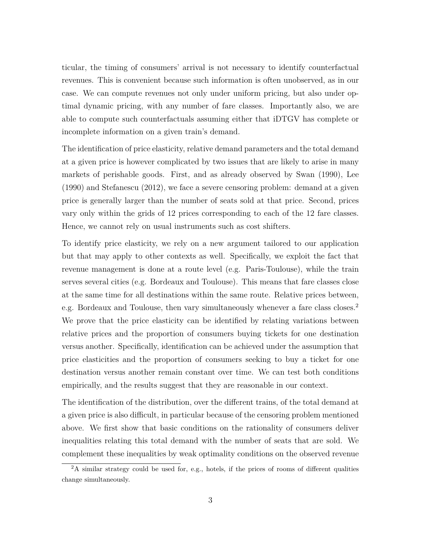ticular, the timing of consumers' arrival is not necessary to identify counterfactual revenues. This is convenient because such information is often unobserved, as in our case. We can compute revenues not only under uniform pricing, but also under optimal dynamic pricing, with any number of fare classes. Importantly also, we are able to compute such counterfactuals assuming either that iDTGV has complete or incomplete information on a given train's demand.

The identification of price elasticity, relative demand parameters and the total demand at a given price is however complicated by two issues that are likely to arise in many markets of perishable goods. First, and as already observed by Swan (1990), Lee (1990) and Stefanescu (2012), we face a severe censoring problem: demand at a given price is generally larger than the number of seats sold at that price. Second, prices vary only within the grids of 12 prices corresponding to each of the 12 fare classes. Hence, we cannot rely on usual instruments such as cost shifters.

To identify price elasticity, we rely on a new argument tailored to our application but that may apply to other contexts as well. Specifically, we exploit the fact that revenue management is done at a route level (e.g. Paris-Toulouse), while the train serves several cities (e.g. Bordeaux and Toulouse). This means that fare classes close at the same time for all destinations within the same route. Relative prices between, e.g. Bordeaux and Toulouse, then vary simultaneously whenever a fare class closes.<sup>2</sup> We prove that the price elasticity can be identified by relating variations between relative prices and the proportion of consumers buying tickets for one destination versus another. Specifically, identification can be achieved under the assumption that price elasticities and the proportion of consumers seeking to buy a ticket for one destination versus another remain constant over time. We can test both conditions empirically, and the results suggest that they are reasonable in our context.

The identification of the distribution, over the different trains, of the total demand at a given price is also difficult, in particular because of the censoring problem mentioned above. We first show that basic conditions on the rationality of consumers deliver inequalities relating this total demand with the number of seats that are sold. We complement these inequalities by weak optimality conditions on the observed revenue

<sup>&</sup>lt;sup>2</sup>A similar strategy could be used for, e.g., hotels, if the prices of rooms of different qualities change simultaneously.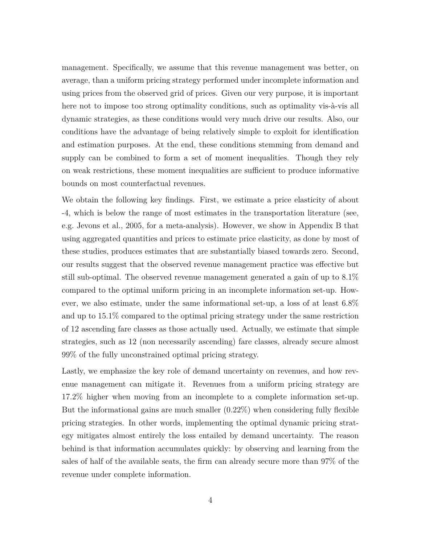management. Specifically, we assume that this revenue management was better, on average, than a uniform pricing strategy performed under incomplete information and using prices from the observed grid of prices. Given our very purpose, it is important here not to impose too strong optimality conditions, such as optimality vis-à-vis all dynamic strategies, as these conditions would very much drive our results. Also, our conditions have the advantage of being relatively simple to exploit for identification and estimation purposes. At the end, these conditions stemming from demand and supply can be combined to form a set of moment inequalities. Though they rely on weak restrictions, these moment inequalities are sufficient to produce informative bounds on most counterfactual revenues.

We obtain the following key findings. First, we estimate a price elasticity of about -4, which is below the range of most estimates in the transportation literature (see, e.g. Jevons et al., 2005, for a meta-analysis). However, we show in Appendix B that using aggregated quantities and prices to estimate price elasticity, as done by most of these studies, produces estimates that are substantially biased towards zero. Second, our results suggest that the observed revenue management practice was effective but still sub-optimal. The observed revenue management generated a gain of up to 8.1% compared to the optimal uniform pricing in an incomplete information set-up. However, we also estimate, under the same informational set-up, a loss of at least 6.8% and up to 15.1% compared to the optimal pricing strategy under the same restriction of 12 ascending fare classes as those actually used. Actually, we estimate that simple strategies, such as 12 (non necessarily ascending) fare classes, already secure almost 99% of the fully unconstrained optimal pricing strategy.

Lastly, we emphasize the key role of demand uncertainty on revenues, and how revenue management can mitigate it. Revenues from a uniform pricing strategy are 17.2% higher when moving from an incomplete to a complete information set-up. But the informational gains are much smaller  $(0.22\%)$  when considering fully flexible pricing strategies. In other words, implementing the optimal dynamic pricing strategy mitigates almost entirely the loss entailed by demand uncertainty. The reason behind is that information accumulates quickly: by observing and learning from the sales of half of the available seats, the firm can already secure more than 97% of the revenue under complete information.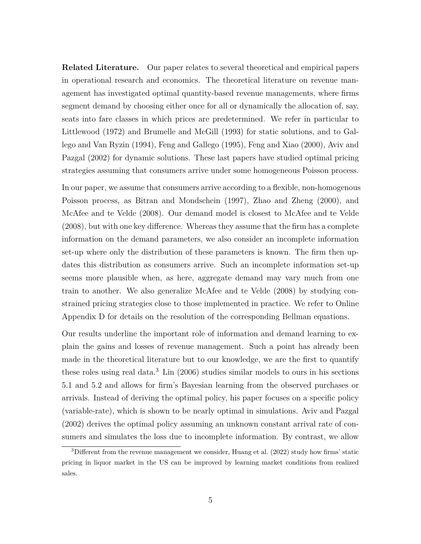**Related Literature.** Our paper relates to several theoretical and empirical papers in operational research and economics. The theoretical literature on revenue management has investigated optimal quantity-based revenue managements, where firms segment demand by choosing either once for all or dynamically the allocation of, say, seats into fare classes in which prices are predetermined. We refer in particular to Littlewood (1972) and Brumelle and McGill (1993) for static solutions, and to Gallego and Van Ryzin (1994), Feng and Gallego (1995), Feng and Xiao (2000), Aviv and Pazgal (2002) for dynamic solutions. These last papers have studied optimal pricing strategies assuming that consumers arrive under some homogeneous Poisson process.

In our paper, we assume that consumers arrive according to a flexible, non-homogenous Poisson process, as Bitran and Mondschein (1997), Zhao and Zheng (2000), and McAfee and te Velde (2008). Our demand model is closest to McAfee and te Velde (2008), but with one key difference. Whereas they assume that the firm has a complete information on the demand parameters, we also consider an incomplete information set-up where only the distribution of these parameters is known. The firm then updates this distribution as consumers arrive. Such an incomplete information set-up seems more plausible when, as here, aggregate demand may vary much from one train to another. We also generalize McAfee and te Velde (2008) by studying constrained pricing strategies close to those implemented in practice. We refer to Online Appendix D for details on the resolution of the corresponding Bellman equations.

Our results underline the important role of information and demand learning to explain the gains and losses of revenue management. Such a point has already been made in the theoretical literature but to our knowledge, we are the first to quantify these roles using real data.<sup>3</sup> Lin  $(2006)$  studies similar models to ours in his sections 5.1 and 5.2 and allows for firm's Bayesian learning from the observed purchases or arrivals. Instead of deriving the optimal policy, his paper focuses on a specific policy (variable-rate), which is shown to be nearly optimal in simulations. Aviv and Pazgal (2002) derives the optimal policy assuming an unknown constant arrival rate of consumers and simulates the loss due to incomplete information. By contrast, we allow

<sup>&</sup>lt;sup>3</sup>Different from the revenue management we consider, Huang et al. (2022) study how firms' static pricing in liquor market in the US can be improved by learning market conditions from realized sales.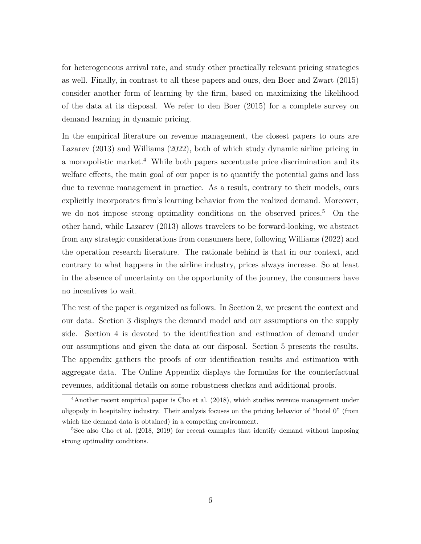for heterogeneous arrival rate, and study other practically relevant pricing strategies as well. Finally, in contrast to all these papers and ours, den Boer and Zwart (2015) consider another form of learning by the firm, based on maximizing the likelihood of the data at its disposal. We refer to den Boer (2015) for a complete survey on demand learning in dynamic pricing.

In the empirical literature on revenue management, the closest papers to ours are Lazarev (2013) and Williams (2022), both of which study dynamic airline pricing in a monopolistic market.<sup>4</sup> While both papers accentuate price discrimination and its welfare effects, the main goal of our paper is to quantify the potential gains and loss due to revenue management in practice. As a result, contrary to their models, ours explicitly incorporates firm's learning behavior from the realized demand. Moreover, we do not impose strong optimality conditions on the observed prices.<sup>5</sup> On the other hand, while Lazarev (2013) allows travelers to be forward-looking, we abstract from any strategic considerations from consumers here, following Williams (2022) and the operation research literature. The rationale behind is that in our context, and contrary to what happens in the airline industry, prices always increase. So at least in the absence of uncertainty on the opportunity of the journey, the consumers have no incentives to wait.

The rest of the paper is organized as follows. In Section 2, we present the context and our data. Section 3 displays the demand model and our assumptions on the supply side. Section 4 is devoted to the identification and estimation of demand under our assumptions and given the data at our disposal. Section 5 presents the results. The appendix gathers the proofs of our identification results and estimation with aggregate data. The Online Appendix displays the formulas for the counterfactual revenues, additional details on some robustness checkcs and additional proofs.

<sup>4</sup>Another recent empirical paper is Cho et al. (2018), which studies revenue management under oligopoly in hospitality industry. Their analysis focuses on the pricing behavior of "hotel 0" (from which the demand data is obtained) in a competing environment.

<sup>&</sup>lt;sup>5</sup>See also Cho et al. (2018, 2019) for recent examples that identify demand without imposing strong optimality conditions.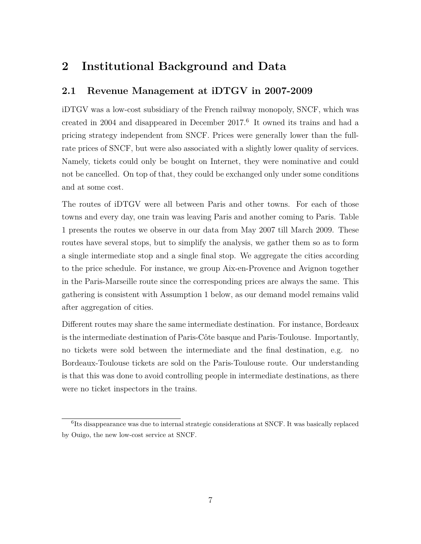# **2 Institutional Background and Data**

### **2.1 Revenue Management at iDTGV in 2007-2009**

iDTGV was a low-cost subsidiary of the French railway monopoly, SNCF, which was created in 2004 and disappeared in December 2017.<sup>6</sup> It owned its trains and had a pricing strategy independent from SNCF. Prices were generally lower than the fullrate prices of SNCF, but were also associated with a slightly lower quality of services. Namely, tickets could only be bought on Internet, they were nominative and could not be cancelled. On top of that, they could be exchanged only under some conditions and at some cost.

The routes of iDTGV were all between Paris and other towns. For each of those towns and every day, one train was leaving Paris and another coming to Paris. Table 1 presents the routes we observe in our data from May 2007 till March 2009. These routes have several stops, but to simplify the analysis, we gather them so as to form a single intermediate stop and a single final stop. We aggregate the cities according to the price schedule. For instance, we group Aix-en-Provence and Avignon together in the Paris-Marseille route since the corresponding prices are always the same. This gathering is consistent with Assumption 1 below, as our demand model remains valid after aggregation of cities.

Different routes may share the same intermediate destination. For instance, Bordeaux is the intermediate destination of Paris-Côte basque and Paris-Toulouse. Importantly, no tickets were sold between the intermediate and the final destination, e.g. no Bordeaux-Toulouse tickets are sold on the Paris-Toulouse route. Our understanding is that this was done to avoid controlling people in intermediate destinations, as there were no ticket inspectors in the trains.

<sup>&</sup>lt;sup>6</sup>Its disappearance was due to internal strategic considerations at SNCF. It was basically replaced by Ouigo, the new low-cost service at SNCF.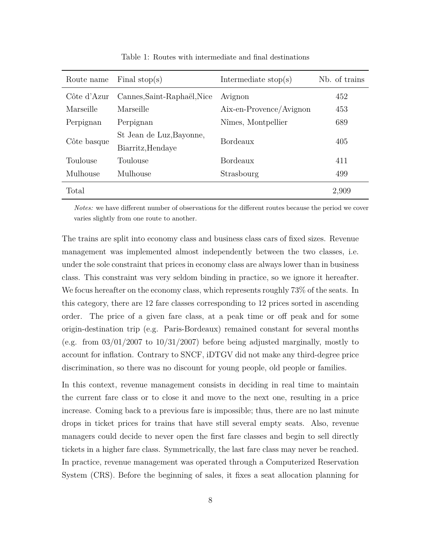| Route name  | Final stop(s)               | Intermediate $stop(s)$  | Nb. of trains |
|-------------|-----------------------------|-------------------------|---------------|
| Côte d'Azur | Cannes, Saint-Raphaël, Nice | Avignon                 | 452           |
| Marseille   | Marseille                   | Aix-en-Provence/Avignon | 453           |
| Perpignan   | Perpignan                   | Nîmes, Montpellier      | 689           |
| Côte basque | St Jean de Luz, Bayonne,    | Bordeaux                | 405           |
|             | Biarritz, Hendaye           |                         |               |
| Toulouse    | Toulouse                    | Bordeaux                | 411           |
| Mulhouse    | Mulhouse                    | Strasbourg              | 499           |
| Total       |                             |                         | 2,909         |

Table 1: Routes with intermediate and final destinations

*Notes:* we have different number of observations for the different routes because the period we cover varies slightly from one route to another.

The trains are split into economy class and business class cars of fixed sizes. Revenue management was implemented almost independently between the two classes, i.e. under the sole constraint that prices in economy class are always lower than in business class. This constraint was very seldom binding in practice, so we ignore it hereafter. We focus hereafter on the economy class, which represents roughly  $73\%$  of the seats. In this category, there are 12 fare classes corresponding to 12 prices sorted in ascending order. The price of a given fare class, at a peak time or off peak and for some origin-destination trip (e.g. Paris-Bordeaux) remained constant for several months (e.g. from  $03/01/2007$  to  $10/31/2007$ ) before being adjusted marginally, mostly to account for inflation. Contrary to SNCF, iDTGV did not make any third-degree price discrimination, so there was no discount for young people, old people or families.

In this context, revenue management consists in deciding in real time to maintain the current fare class or to close it and move to the next one, resulting in a price increase. Coming back to a previous fare is impossible; thus, there are no last minute drops in ticket prices for trains that have still several empty seats. Also, revenue managers could decide to never open the first fare classes and begin to sell directly tickets in a higher fare class. Symmetrically, the last fare class may never be reached. In practice, revenue management was operated through a Computerized Reservation System (CRS). Before the beginning of sales, it fixes a seat allocation planning for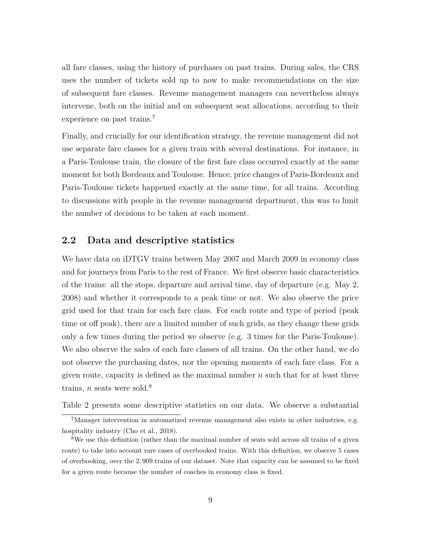all fare classes, using the history of purchases on past trains. During sales, the CRS uses the number of tickets sold up to now to make recommendations on the size of subsequent fare classes. Revenue management managers can nevertheless always intervene, both on the initial and on subsequent seat allocations, according to their experience on past trains.<sup>7</sup>

Finally, and crucially for our identification strategy, the revenue management did not use separate fare classes for a given train with several destinations. For instance, in a Paris-Toulouse train, the closure of the first fare class occurred exactly at the same moment for both Bordeaux and Toulouse. Hence, price changes of Paris-Bordeaux and Paris-Toulouse tickets happened exactly at the same time, for all trains. According to discussions with people in the revenue management department, this was to limit the number of decisions to be taken at each moment.

#### **2.2 Data and descriptive statistics**

We have data on iDTGV trains between May 2007 and March 2009 in economy class and for journeys from Paris to the rest of France. We first observe basic characteristics of the trains: all the stops, departure and arrival time, day of departure (e.g. May 2, 2008) and whether it corresponds to a peak time or not. We also observe the price grid used for that train for each fare class. For each route and type of period (peak time or off peak), there are a limited number of such grids, as they change these grids only a few times during the period we observe (e.g. 3 times for the Paris-Toulouse). We also observe the sales of each fare classes of all trains. On the other hand, we do not observe the purchasing dates, nor the opening moments of each fare class. For a given route, capacity is defined as the maximal number *n* such that for at least three trains, *n* seats were sold.<sup>8</sup>

Table 2 presents some descriptive statistics on our data. We observe a substantial

<sup>7</sup>Manager intervention in automatized revenue management also exists in other industries, e.g. hospitality industry (Cho et al., 2018).

<sup>&</sup>lt;sup>8</sup>We use this definition (rather than the maximal number of seats sold across all trains of a given route) to take into account rare cases of overbooked trains. With this definition, we observe 5 cases of overbooking, over the 2*,* 909 trains of our dataset. Note that capacity can be assumed to be fixed for a given route because the number of coaches in economy class is fixed.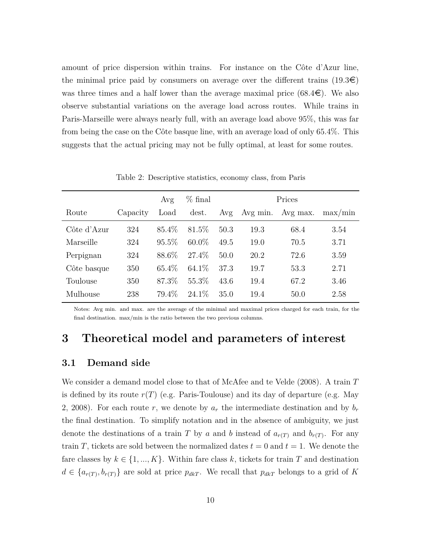amount of price dispersion within trains. For instance on the Côte d'Azur line, the minimal price paid by consumers on average over the different trains  $(19.3\epsilon)$ was three times and a half lower than the average maximal price  $(68.4\epsilon)$ . We also observe substantial variations on the average load across routes. While trains in Paris-Marseille were always nearly full, with an average load above 95%, this was far from being the case on the Côte basque line, with an average load of only 65.4%. This suggests that the actual pricing may not be fully optimal, at least for some routes.

|             |          | Avg      | $%$ final |      |          | Prices   |             |
|-------------|----------|----------|-----------|------|----------|----------|-------------|
| Route       | Capacity | Load     | dest.     | Avg  | Avg min. | Avg max. | $\max/\min$ |
| Côte d'Azur | 324      | 85.4\%   | 81.5\%    | 50.3 | 19.3     | 68.4     | 3.54        |
| Marseille   | 324      | $95.5\%$ | $60.0\%$  | 49.5 | 19.0     | 70.5     | 3.71        |
| Perpignan   | 324      | 88.6\%   | 27.4%     | 50.0 | 20.2     | 72.6     | 3.59        |
| Côte basque | 350      | 65.4\%   | 64.1\%    | 37.3 | 19.7     | 53.3     | 2.71        |
| Toulouse    | 350      | 87.3%    | 55.3%     | 43.6 | 19.4     | 67.2     | 3.46        |
| Mulhouse    | 238      | 79.4%    | $24.1\%$  | 35.0 | 19.4     | 50.0     | 2.58        |
|             |          |          |           |      |          |          |             |

Table 2: Descriptive statistics, economy class, from Paris

Notes: Avg min. and max. are the average of the minimal and maximal prices charged for each train, for the final destination. max/min is the ratio between the two previous columns.

### **3 Theoretical model and parameters of interest**

#### **3.1 Demand side**

We consider a demand model close to that of McAfee and te Velde (2008). A train *T* is defined by its route  $r(T)$  (e.g. Paris-Toulouse) and its day of departure (e.g. May 2, 2008). For each route r, we denote by  $a_r$  the intermediate destination and by  $b_r$ the final destination. To simplify notation and in the absence of ambiguity, we just denote the destinations of a train *T* by *a* and *b* instead of  $a_{r(T)}$  and  $b_{r(T)}$ . For any train *T*, tickets are sold between the normalized dates  $t = 0$  and  $t = 1$ . We denote the fare classes by  $k \in \{1, ..., K\}$ . Within fare class k, tickets for train T and destination  $d \in \{a_{r(T)}, b_{r(T)}\}$  are sold at price  $p_{dkT}$ . We recall that  $p_{dkT}$  belongs to a grid of *K*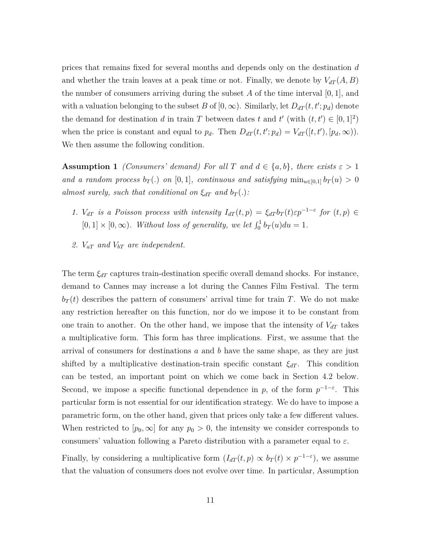prices that remains fixed for several months and depends only on the destination *d* and whether the train leaves at a peak time or not. Finally, we denote by  $V_{dT}(A, B)$ the number of consumers arriving during the subset  $A$  of the time interval  $[0, 1]$ , and with a valuation belonging to the subset *B* of  $[0, \infty)$ . Similarly, let  $D_{dT}(t, t'; p_d)$  denote the demand for destination *d* in train *T* between dates *t* and *t'* (with  $(t, t') \in [0, 1]^2$ ) when the price is constant and equal to  $p_d$ . Then  $D_{dT}(t, t'; p_d) = V_{dT}([t, t'), [p_d, \infty))$ . We then assume the following condition.

**Assumption 1** *(Consumers' demand)* For all *T* and  $d \in \{a, b\}$ *, there exists*  $\varepsilon > 1$ *and a random process*  $b_T(.)$  *on* [0*,* 1]*, continuous and satisfying*  $\min_{u \in [0,1]} b_T(u) > 0$ *almost surely, such that conditional on*  $\xi_{dT}$  *and*  $b_T(.)$ *:* 

- *1. V*<sub>dT</sub> is a Poisson process with intensity  $I_{dT}(t, p) = \xi_{dT} b_T(t) \varepsilon p^{-1-\varepsilon}$  for  $(t, p) \in$  $[0, 1] \times [0, \infty)$ *. Without loss of generality, we let*  $\int_0^1 b_T(u) du = 1$ *.*
- *2. VaT and VbT are independent.*

The term  $\xi_{dT}$  captures train-destination specific overall demand shocks. For instance, demand to Cannes may increase a lot during the Cannes Film Festival. The term  $b_T(t)$  describes the pattern of consumers' arrival time for train *T*. We do not make any restriction hereafter on this function, nor do we impose it to be constant from one train to another. On the other hand, we impose that the intensity of  $V_{dT}$  takes a multiplicative form. This form has three implications. First, we assume that the arrival of consumers for destinations *a* and *b* have the same shape, as they are just shifted by a multiplicative destination-train specific constant  $\xi_{dT}$ . This condition can be tested, an important point on which we come back in Section 4.2 below. Second, we impose a specific functional dependence in *p*, of the form  $p^{-1-\epsilon}$ . This particular form is not essential for our identification strategy. We do have to impose a parametric form, on the other hand, given that prices only take a few different values. When restricted to  $[p_0, \infty]$  for any  $p_0 > 0$ , the intensity we consider corresponds to consumers' valuation following a Pareto distribution with a parameter equal to *ε*.

Finally, by considering a multiplicative form  $(I_{dT}(t, p) \propto b_T(t) \times p^{-1-\epsilon})$ , we assume that the valuation of consumers does not evolve over time. In particular, Assumption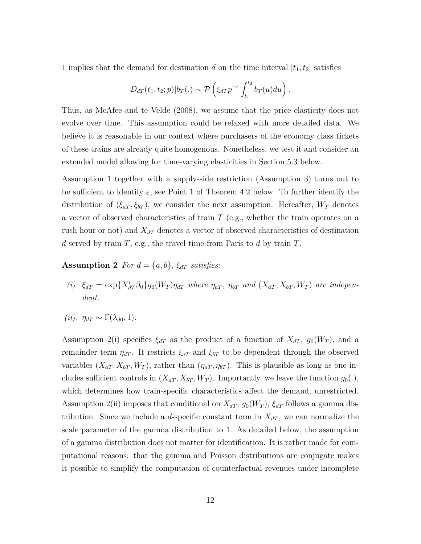1 implies that the demand for destination *d* on the time interval  $[t_1, t_2]$  satisfies

$$
D_{dT}(t_1, t_2; p)|b_T(.) \sim \mathcal{P}\left(\xi_{dT}p^{-\varepsilon}\int_{t_1}^{t_2} b_T(u) du\right).
$$

Thus, as McAfee and te Velde (2008), we assume that the price elasticity does not evolve over time. This assumption could be relaxed with more detailed data. We believe it is reasonable in our context where purchasers of the economy class tickets of these trains are already quite homogenous. Nonetheless, we test it and consider an extended model allowing for time-varying elasticities in Section 5.3 below.

Assumption 1 together with a supply-side restriction (Assumption 3) turns out to be sufficient to identify  $\varepsilon$ , see Point 1 of Theorem 4.2 below. To further identify the distribution of  $(\xi_{aT}, \xi_{bT})$ , we consider the next assumption. Hereafter,  $W_T$  denotes a vector of observed characteristics of train *T* (e.g., whether the train operates on a rush hour or not) and  $X_{dT}$  denotes a vector of observed characteristics of destination *d* served by train *T*, e.g., the travel time from Paris to *d* by train *T*.

**Assumption 2** *For*  $d = \{a, b\}$ *,*  $\xi_{dT}$  *satisfies:* 

- (i).  $\xi_{dT} = \exp\{X'_{dT}\beta_0\}g_0(W_T)\eta_{dT}$  where  $\eta_{aT}$ ,  $\eta_{bT}$  and  $(X_{aT}, X_{bT}, W_T)$  are indepen*dent.*
- $(iii)$ *.*  $\eta_{dT} \sim \Gamma(\lambda_{d0}, 1)$ *.*

Assumption 2(i) specifies  $\xi_{dT}$  as the product of a function of  $X_{dT}$ ,  $g_0(W_T)$ , and a remainder term  $\eta_{dT}$ . It restricts  $\xi_{aT}$  and  $\xi_{bT}$  to be dependent through the observed variables  $(X_{aT}, X_{bT}, W_T)$ , rather than  $(\eta_{aT}, \eta_{bT})$ . This is plausible as long as one includes sufficient controls in  $(X_{aT}, X_{bT}, W_T)$ . Importantly, we leave the function  $g_0(.)$ , which determines how train-specific characteristics affect the demand, unrestricted. Assumption 2(ii) imposes that conditional on  $X_{dT}$ ,  $g_0(W_T)$ ,  $\xi_{dT}$  follows a gamma distribution. Since we include a *d*-specific constant term in  $X_{dT}$ , we can normalize the scale parameter of the gamma distribution to 1. As detailed below, the assumption of a gamma distribution does not matter for identification. It is rather made for computational reasons: that the gamma and Poisson distributions are conjugate makes it possible to simplify the computation of counterfactual revenues under incomplete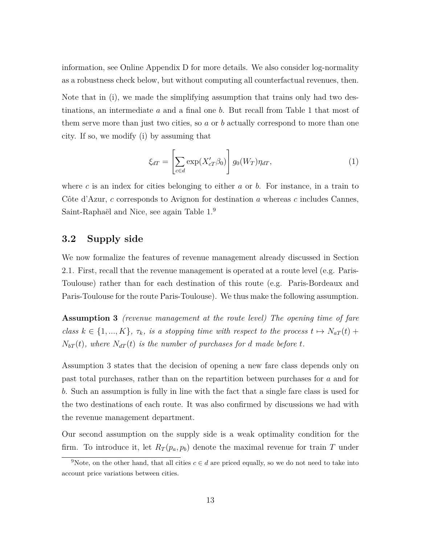information, see Online Appendix D for more details. We also consider log-normality as a robustness check below, but without computing all counterfactual revenues, then.

Note that in (i), we made the simplifying assumption that trains only had two destinations, an intermediate *a* and a final one *b*. But recall from Table 1 that most of them serve more than just two cities, so *a* or *b* actually correspond to more than one city. If so, we modify (i) by assuming that

$$
\xi_{dT} = \left[ \sum_{c \in d} \exp(X'_{cT} \beta_0) \right] g_0(W_T) \eta_{dT}, \tag{1}
$$

where *c* is an index for cities belonging to either *a* or *b*. For instance, in a train to Côte d'Azur, *c* corresponds to Avignon for destination *a* whereas *c* includes Cannes, Saint-Raphaël and Nice, see again Table 1.<sup>9</sup>

### **3.2 Supply side**

We now formalize the features of revenue management already discussed in Section 2.1. First, recall that the revenue management is operated at a route level (e.g. Paris-Toulouse) rather than for each destination of this route (e.g. Paris-Bordeaux and Paris-Toulouse for the route Paris-Toulouse). We thus make the following assumption.

**Assumption 3** *(revenue management at the route level) The opening time of fare class*  $k \in \{1, ..., K\}$ ,  $\tau_k$ , *is a stopping time with respect to the process*  $t \mapsto N_{aT}(t)$  +  $N_{bT}(t)$ *, where*  $N_{dT}(t)$  *is the number of purchases for d made before t.* 

Assumption 3 states that the decision of opening a new fare class depends only on past total purchases, rather than on the repartition between purchases for *a* and for *b*. Such an assumption is fully in line with the fact that a single fare class is used for the two destinations of each route. It was also confirmed by discussions we had with the revenue management department.

Our second assumption on the supply side is a weak optimality condition for the firm. To introduce it, let  $R_T(p_a, p_b)$  denote the maximal revenue for train *T* under

<sup>&</sup>lt;sup>9</sup>Note, on the other hand, that all cities  $c \in d$  are priced equally, so we do not need to take into account price variations between cities.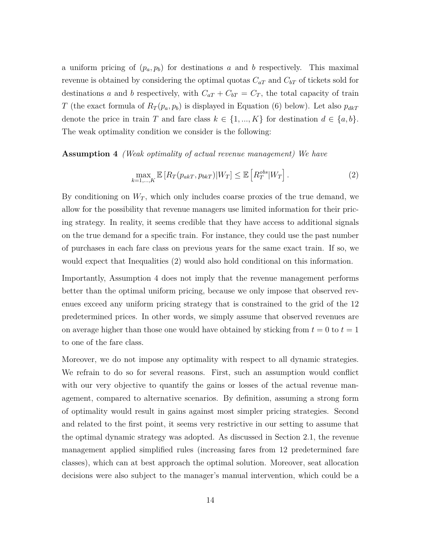a uniform pricing of  $(p_a, p_b)$  for destinations *a* and *b* respectively. This maximal revenue is obtained by considering the optimal quotas *CaT* and *CbT* of tickets sold for destinations *a* and *b* respectively, with  $C_{aT} + C_{bT} = C_T$ , the total capacity of train *T* (the exact formula of  $R_T(p_a, p_b)$  is displayed in Equation (6) below). Let also  $p_{dkT}$ denote the price in train *T* and fare class  $k \in \{1, ..., K\}$  for destination  $d \in \{a, b\}.$ The weak optimality condition we consider is the following:

**Assumption 4** *(Weak optimality of actual revenue management) We have*

$$
\max_{k=1,\dots,K} \mathbb{E}\left[R_T(p_{akT}, p_{bkT})|W_T\right] \le \mathbb{E}\left[R_T^{obs}|W_T\right].\tag{2}
$$

By conditioning on  $W_T$ , which only includes coarse proxies of the true demand, we allow for the possibility that revenue managers use limited information for their pricing strategy. In reality, it seems credible that they have access to additional signals on the true demand for a specific train. For instance, they could use the past number of purchases in each fare class on previous years for the same exact train. If so, we would expect that Inequalities (2) would also hold conditional on this information.

Importantly, Assumption 4 does not imply that the revenue management performs better than the optimal uniform pricing, because we only impose that observed revenues exceed any uniform pricing strategy that is constrained to the grid of the 12 predetermined prices. In other words, we simply assume that observed revenues are on average higher than those one would have obtained by sticking from  $t = 0$  to  $t = 1$ to one of the fare class.

Moreover, we do not impose any optimality with respect to all dynamic strategies. We refrain to do so for several reasons. First, such an assumption would conflict with our very objective to quantify the gains or losses of the actual revenue management, compared to alternative scenarios. By definition, assuming a strong form of optimality would result in gains against most simpler pricing strategies. Second and related to the first point, it seems very restrictive in our setting to assume that the optimal dynamic strategy was adopted. As discussed in Section 2.1, the revenue management applied simplified rules (increasing fares from 12 predetermined fare classes), which can at best approach the optimal solution. Moreover, seat allocation decisions were also subject to the manager's manual intervention, which could be a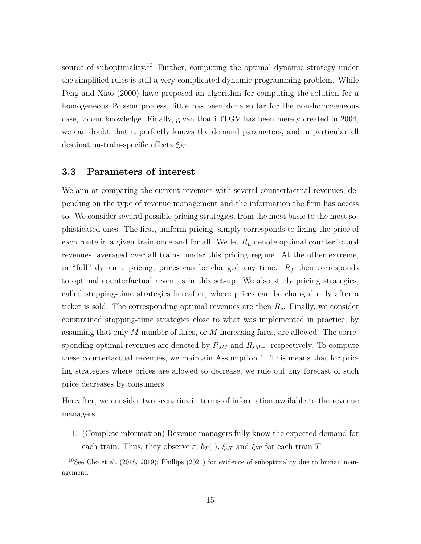source of suboptimality.<sup>10</sup> Further, computing the optimal dynamic strategy under the simplified rules is still a very complicated dynamic programming problem. While Feng and Xiao (2000) have proposed an algorithm for computing the solution for a homogeneous Poisson process, little has been done so far for the non-homogeneous case, to our knowledge. Finally, given that iDTGV has been merely created in 2004, we can doubt that it perfectly knows the demand parameters, and in particular all destination-train-specific effects *ξdT* .

### **3.3 Parameters of interest**

We aim at comparing the current revenues with several counterfactual revenues, depending on the type of revenue management and the information the firm has access to. We consider several possible pricing strategies, from the most basic to the most sophisticated ones. The first, uniform pricing, simply corresponds to fixing the price of each route in a given train once and for all. We let *R<sup>u</sup>* denote optimal counterfactual revenues, averaged over all trains, under this pricing regime. At the other extreme, in "full" dynamic pricing, prices can be changed any time.  $R_f$  then corresponds to optimal counterfactual revenues in this set-up. We also study pricing strategies, called stopping-time strategies hereafter, where prices can be changed only after a ticket is sold. The corresponding optimal revenues are then *Rs*. Finally, we consider constrained stopping-time strategies close to what was implemented in practice, by assuming that only *M* number of fares, or *M* increasing fares, are allowed. The corresponding optimal revenues are denoted by  $R_{sM}$  and  $R_{sM+}$ , respectively. To compute these counterfactual revenues, we maintain Assumption 1. This means that for pricing strategies where prices are allowed to decrease, we rule out any forecast of such price decreases by consumers.

Hereafter, we consider two scenarios in terms of information available to the revenue managers.

1. (Complete information) Revenue managers fully know the expected demand for each train. Thus, they observe  $\varepsilon$ ,  $b_T(.)$ ,  $\xi_{aT}$  and  $\xi_{bT}$  for each train *T*;

<sup>&</sup>lt;sup>10</sup>See Cho et al. (2018, 2019); Phillips (2021) for evidence of suboptimality due to human management.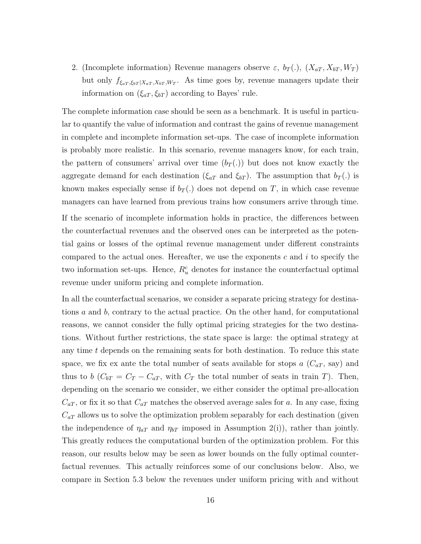2. (Incomplete information) Revenue managers observe  $\varepsilon$ ,  $b_T(.)$ ,  $(X_{aT}, X_{bT}, W_T)$ but only  $f_{\xi_{aT}, \xi_{bT} | X_{aT}, X_{bT}, W_T}$ . As time goes by, revenue managers update their information on  $(\xi_{aT}, \xi_{bT})$  according to Bayes' rule.

The complete information case should be seen as a benchmark. It is useful in particular to quantify the value of information and contrast the gains of revenue management in complete and incomplete information set-ups. The case of incomplete information is probably more realistic. In this scenario, revenue managers know, for each train, the pattern of consumers' arrival over time  $(b_T(.))$  but does not know exactly the aggregate demand for each destination ( $\xi_{aT}$  and  $\xi_{bT}$ ). The assumption that  $b_T(.)$  is known makes especially sense if  $b_T(.)$  does not depend on *T*, in which case revenue managers can have learned from previous trains how consumers arrive through time.

If the scenario of incomplete information holds in practice, the differences between the counterfactual revenues and the observed ones can be interpreted as the potential gains or losses of the optimal revenue management under different constraints compared to the actual ones. Hereafter, we use the exponents *c* and *i* to specify the two information set-ups. Hence,  $R_u^c$  denotes for instance the counterfactual optimal revenue under uniform pricing and complete information.

In all the counterfactual scenarios, we consider a separate pricing strategy for destinations *a* and *b*, contrary to the actual practice. On the other hand, for computational reasons, we cannot consider the fully optimal pricing strategies for the two destinations. Without further restrictions, the state space is large: the optimal strategy at any time *t* depends on the remaining seats for both destination. To reduce this state space, we fix ex ante the total number of seats available for stops  $a(C_{aT}, say)$  and thus to *b* ( $C_{bT} = C_T - C_{aT}$ , with  $C_T$  the total number of seats in train *T*). Then, depending on the scenario we consider, we either consider the optimal pre-allocation  $C_{aT}$ , or fix it so that  $C_{aT}$  matches the observed average sales for *a*. In any case, fixing  $C_{aT}$  allows us to solve the optimization problem separably for each destination (given the independence of  $\eta_{aT}$  and  $\eta_{bT}$  imposed in Assumption 2(i)), rather than jointly. This greatly reduces the computational burden of the optimization problem. For this reason, our results below may be seen as lower bounds on the fully optimal counterfactual revenues. This actually reinforces some of our conclusions below. Also, we compare in Section 5.3 below the revenues under uniform pricing with and without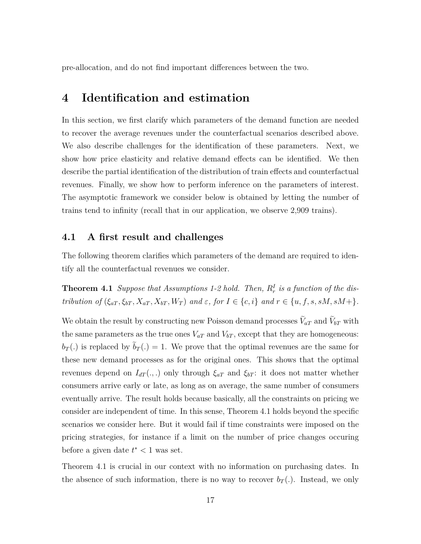pre-allocation, and do not find important differences between the two.

### **4 Identification and estimation**

In this section, we first clarify which parameters of the demand function are needed to recover the average revenues under the counterfactual scenarios described above. We also describe challenges for the identification of these parameters. Next, we show how price elasticity and relative demand effects can be identified. We then describe the partial identification of the distribution of train effects and counterfactual revenues. Finally, we show how to perform inference on the parameters of interest. The asymptotic framework we consider below is obtained by letting the number of trains tend to infinity (recall that in our application, we observe 2,909 trains).

#### **4.1 A first result and challenges**

The following theorem clarifies which parameters of the demand are required to identify all the counterfactual revenues we consider.

**Theorem 4.1** *Suppose that Assumptions 1-2 hold. Then,*  $R_r^I$  *is a function of the dis*tribution of  $(\xi_{aT}, \xi_{bT}, X_{aT}, X_{bT}, W_T)$  and  $\varepsilon$ , for  $I \in \{c, i\}$  and  $r \in \{u, f, s, sM, sM + \}$ .

We obtain the result by constructing new Poisson demand processes  $\tilde{V}_{aT}$  and  $\tilde{V}_{bT}$  with the same parameters as the true ones  $V_{aT}$  and  $V_{bT}$ , except that they are homogeneous:  $b_T(.)$  is replaced by  $b_T(.) = 1$ . We prove that the optimal revenues are the same for these new demand processes as for the original ones. This shows that the optimal revenues depend on  $I_{dT}(.,.)$  only through  $\xi_{aT}$  and  $\xi_{bT}$ : it does not matter whether consumers arrive early or late, as long as on average, the same number of consumers eventually arrive. The result holds because basically, all the constraints on pricing we consider are independent of time. In this sense, Theorem 4.1 holds beyond the specific scenarios we consider here. But it would fail if time constraints were imposed on the pricing strategies, for instance if a limit on the number of price changes occuring before a given date *t* <sup>∗</sup> *<* 1 was set.

Theorem 4.1 is crucial in our context with no information on purchasing dates. In the absence of such information, there is no way to recover  $b_T(.)$ . Instead, we only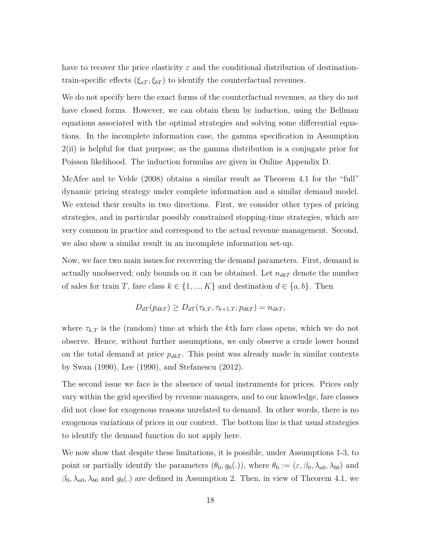have to recover the price elasticity  $\varepsilon$  and the conditional distribution of destinationtrain-specific effects  $(\xi_{aT}, \xi_{bT})$  to identify the counterfactual revenues.

We do not specify here the exact forms of the counterfactual revenues, as they do not have closed forms. However, we can obtain them by induction, using the Bellman equations associated with the optimal strategies and solving some differential equations. In the incomplete information case, the gamma specification in Assumption 2(ii) is helpful for that purpose, as the gamma distribution is a conjugate prior for Poisson likelihood. The induction formulas are given in Online Appendix D.

McAfee and te Velde (2008) obtains a similar result as Theorem 4.1 for the "full" dynamic pricing strategy under complete information and a similar demand model. We extend their results in two directions. First, we consider other types of pricing strategies, and in particular possibly constrained stopping-time strategies, which are very common in practice and correspond to the actual revenue management. Second, we also show a similar result in an incomplete information set-up.

Now, we face two main issues for recovering the demand parameters. First, demand is actually unobserved; only bounds on it can be obtained. Let  $n_{dkT}$  denote the number of sales for train *T*, fare class  $k \in \{1, ..., K\}$  and destination  $d \in \{a, b\}$ . Then

$$
D_{dT}(p_{dkT}) \geq D_{dT}(\tau_{k,T}, \tau_{k+1,T}; p_{dkT}) = n_{dkT},
$$

where  $\tau_{k,T}$  is the (random) time at which the *k*th fare class opens, which we do not observe. Hence, without further assumptions, we only observe a crude lower bound on the total demand at price  $p_{dkT}$ . This point was already made in similar contexts by Swan (1990), Lee (1990), and Stefanescu (2012).

The second issue we face is the absence of usual instruments for prices. Prices only vary within the grid specified by revenue managers, and to our knowledge, fare classes did not close for exogenous reasons unrelated to demand. In other words, there is no exogenous variations of prices in our context. The bottom line is that usual strategies to identify the demand function do not apply here.

We now show that despite these limitations, it is possible, under Assumptions 1-3, to point or partially identify the parameters  $(\theta_0, g_0(.))$ , where  $\theta_0 := (\varepsilon, \beta_0, \lambda_{a0}, \lambda_{b0})$  and  $\beta_0, \lambda_{a0}, \lambda_{b0}$  and  $g_0(.)$  are defined in Assumption 2. Then, in view of Theorem 4.1, we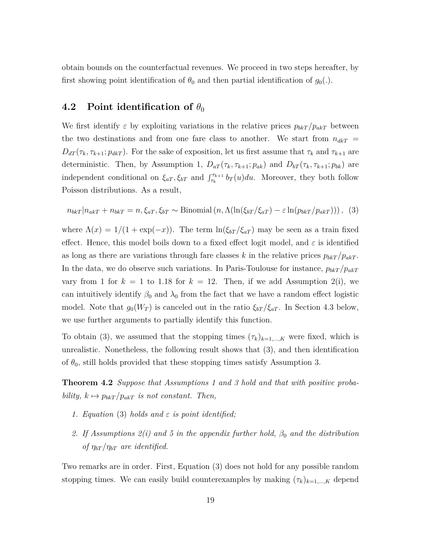obtain bounds on the counterfactual revenues. We proceed in two steps hereafter, by first showing point identification of  $\theta_0$  and then partial identification of  $g_0(.)$ .

### **4.2** Point identification of  $\theta_0$

We first identify  $\varepsilon$  by exploiting variations in the relative prices  $p_{b k T}/p_{a k T}$  between the two destinations and from one fare class to another. We start from  $n_{dkT}$  =  $D_{dT}(\tau_k, \tau_{k+1}; p_{dk})$ . For the sake of exposition, let us first assume that  $\tau_k$  and  $\tau_{k+1}$  are deterministic. Then, by Assumption 1,  $D_{aT}(\tau_k, \tau_{k+1}; p_{ak})$  and  $D_{bT}(\tau_k, \tau_{k+1}; p_{bk})$  are independent conditional on  $\xi_{aT}$ ,  $\xi_{bT}$  and  $\int_{\tau_k}^{\tau_{k+1}} b_T(u) du$ . Moreover, they both follow Poisson distributions. As a result,

$$
n_{bkT}|n_{akT} + n_{bkT} = n, \xi_{aT}, \xi_{bT} \sim \text{Binomial}\left(n, \Lambda(\ln(\xi_{bT}/\xi_{aT}) - \varepsilon \ln(p_{bkT}/p_{akT}))\right), \tag{3}
$$

where  $\Lambda(x) = 1/(1 + \exp(-x))$ . The term  $\ln(\xi_{bT}/\xi_{aT})$  may be seen as a train fixed effect. Hence, this model boils down to a fixed effect logit model, and *ε* is identified as long as there are variations through fare classes *k* in the relative prices  $p_{b k}T / p_{a k}T$ . In the data, we do observe such variations. In Paris-Toulouse for instance,  $p_{b k}T / p_{a k}T$ vary from 1 for  $k = 1$  to 1.18 for  $k = 12$ . Then, if we add Assumption 2(i), we can intuitively identify  $\beta_0$  and  $\lambda_0$  from the fact that we have a random effect logistic model. Note that  $g_0(W_T)$  is canceled out in the ratio  $\xi_{bT}/\xi_{aT}$ . In Section 4.3 below, we use further arguments to partially identify this function.

To obtain (3), we assumed that the stopping times  $(\tau_k)_{k=1,\dots,K}$  were fixed, which is unrealistic. Nonetheless, the following result shows that (3), and then identification of  $\theta_0$ , still holds provided that these stopping times satisfy Assumption 3.

**Theorem 4.2** *Suppose that Assumptions 1 and 3 hold and that with positive probability,*  $k \mapsto p_{bkT}/p_{akT}$  *is not constant. Then,* 

- *1. Equation* (3) *holds and ε is point identified;*
- *2. If Assumptions 2(i) and 5 in the appendix further hold, β*<sup>0</sup> *and the distribution of*  $\eta_{bT}/\eta_{bT}$  are identified.

Two remarks are in order. First, Equation (3) does not hold for any possible random stopping times. We can easily build counterexamples by making  $(\tau_k)_{k=1,\dots,K}$  depend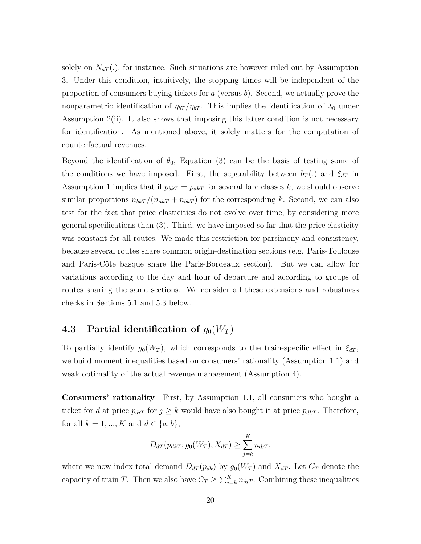solely on  $N_{aT}$ .), for instance. Such situations are however ruled out by Assumption 3. Under this condition, intuitively, the stopping times will be independent of the proportion of consumers buying tickets for *a* (versus *b*). Second, we actually prove the nonparametric identification of  $\eta_{bT}/\eta_{bT}$ . This implies the identification of  $\lambda_0$  under Assumption 2(ii). It also shows that imposing this latter condition is not necessary for identification. As mentioned above, it solely matters for the computation of counterfactual revenues.

Beyond the identification of  $\theta_0$ , Equation (3) can be the basis of testing some of the conditions we have imposed. First, the separability between  $b_T(.)$  and  $\xi_{dT}$  in Assumption 1 implies that if  $p_{bk} = p_{ak}$  for several fare classes *k*, we should observe similar proportions  $n_{b k T}/(n_{a k T} + n_{b k T})$  for the corresponding *k*. Second, we can also test for the fact that price elasticities do not evolve over time, by considering more general specifications than (3). Third, we have imposed so far that the price elasticity was constant for all routes. We made this restriction for parsimony and consistency, because several routes share common origin-destination sections (e.g. Paris-Toulouse and Paris-Côte basque share the Paris-Bordeaux section). But we can allow for variations according to the day and hour of departure and according to groups of routes sharing the same sections. We consider all these extensions and robustness checks in Sections 5.1 and 5.3 below.

### **4.3** Partial identification of  $g_0(W_T)$

To partially identify  $g_0(W_T)$ , which corresponds to the train-specific effect in  $\xi_{dT}$ , we build moment inequalities based on consumers' rationality (Assumption 1.1) and weak optimality of the actual revenue management (Assumption 4).

**Consumers' rationality** First, by Assumption 1.1, all consumers who bought a ticket for *d* at price  $p_{djT}$  for  $j \geq k$  would have also bought it at price  $p_{dkT}$ . Therefore, for all  $k = 1, ..., K$  and  $d \in \{a, b\}$ ,

$$
D_{dT}(p_{dkT}; g_0(W_T), X_{dT}) \ge \sum_{j=k}^{K} n_{djT},
$$

where we now index total demand  $D_{dT}(p_{dk})$  by  $g_0(W_T)$  and  $X_{dT}$ . Let  $C_T$  denote the capacity of train *T*. Then we also have  $C_T \ge \sum_{j=k}^K n_{\text{djT}}$ . Combining these inequalities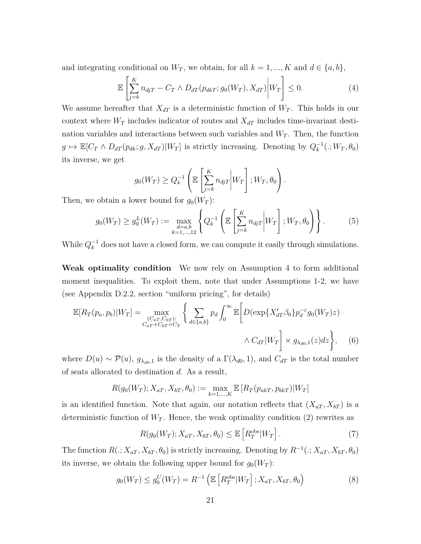and integrating conditional on  $W_T$ , we obtain, for all  $k = 1, ..., K$  and  $d \in \{a, b\}$ ,

$$
\mathbb{E}\left[\sum_{j=k}^{K} n_{djT} - C_T \wedge D_{dT}(p_{dkT}; g_0(W_T), X_{dT}) \middle| W_T\right] \le 0.
$$
\n(4)

We assume hereafter that  $X_{dT}$  is a deterministic function of  $W_T$ . This holds in our context where  $W_T$  includes indicator of routes and  $X_{dT}$  includes time-invariant destination variables and interactions between such variables and  $W_T$ . Then, the function  $g \mapsto \mathbb{E}[C_T \wedge D_{dT}(p_{dk}; g, X_{dT})|W_T]$  is strictly increasing. Denoting by  $Q_k^{-1}(.; W_T, \theta_0)$ its inverse, we get

$$
g_0(W_T) \ge Q_k^{-1} \left( \mathbb{E} \left[ \sum_{j=k}^K n_{djT} \middle| W_T \right]; W_T, \theta_0 \right).
$$

Then, we obtain a lower bound for  $g_0(W_T)$ :

$$
g_0(W_T) \ge g_0^L(W_T) := \max_{\substack{d=a,b\\k=1,\dots,12}} \left\{ Q_k^{-1} \left( \mathbb{E} \left[ \sum_{j=k}^K n_{djT} \middle| W_T \right] ; W_T, \theta_0 \right) \right\}.
$$
 (5)

While  $Q_k^{-1}$  does not have a closed form, we can compute it easily through simulations.

**Weak optimality condition** We now rely on Assumption 4 to form additional moment inequalities. To exploit them, note that under Assumptions 1-2, we have (see Appendix D.2.2, section "uniform pricing", for details)

$$
\mathbb{E}[R_T(p_a, p_b)|W_T] = \max_{\substack{(C_{aT}, C_{bT}):\\C_{aT} + C_{bT} = C_T}} \left\{ \sum_{d \in \{a, b\}} p_d \int_0^\infty \mathbb{E} \left[ D(\exp\{X_{dT}'\beta_0\} p_d^{-\varepsilon} g_0(W_T) z) \right. \\ \left. \qquad \qquad \wedge C_{dT} |W_T| \right\} \times g_{\lambda_{d0, 1}}(z) dz \right\}, \quad (6)
$$

where  $D(u) \sim \mathcal{P}(u)$ ,  $g_{\lambda_{d0},1}$  is the density of a  $\Gamma(\lambda_{d0}, 1)$ , and  $C_{dT}$  is the total number of seats allocated to destination *d*. As a result,

$$
R(g_0(W_T); X_{aT}, X_{bT}, \theta_0) := \max_{k=1,\dots,K} \mathbb{E}\left[R_T(p_{akT}, p_{bkT}) | W_T\right]
$$

is an identified function. Note that again, our notation reflects that  $(X_{aT}, X_{bT})$  is a deterministic function of  $W_T$ . Hence, the weak optimality condition (2) rewrites as

$$
R(g_0(W_T); X_{aT}, X_{bT}, \theta_0) \le \mathbb{E}\left[R_T^{\text{obs}}|W_T\right].\tag{7}
$$

The function  $R(.; X_{aT}, X_{bT}, \theta_0)$  is strictly increasing. Denoting by  $R^{-1}(.; X_{aT}, X_{bT}, \theta_0)$ its inverse, we obtain the following upper bound for  $g_0(W_T)$ :

$$
g_0(W_T) \le g_0^U(W_T) = R^{-1} \left( \mathbb{E} \left[ R_T^{\text{obs}} | W_T \right]; X_{aT}, X_{bT}, \theta_0 \right) \tag{8}
$$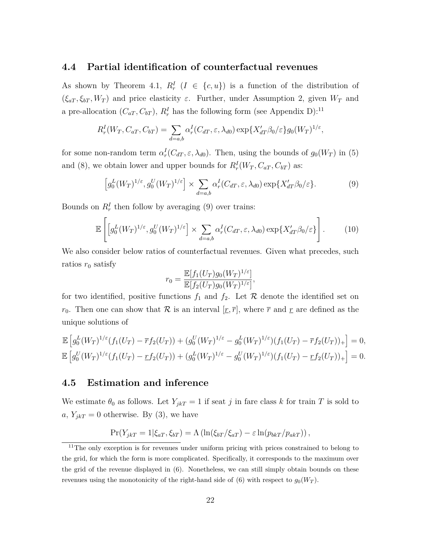#### **4.4 Partial identification of counterfactual revenues**

As shown by Theorem 4.1,  $R_r^I$  ( $I \in \{c, u\}$ ) is a function of the distribution of  $(\xi_{aT}, \xi_{bT}, W_T)$  and price elasticity  $\varepsilon$ . Further, under Assumption 2, given  $W_T$  and a pre-allocation  $(C_{aT}, C_{bT})$ ,  $R_r^I$  has the following form (see Appendix D):<sup>11</sup>

$$
R_r^I(W_T, C_{aT}, C_{bT}) = \sum_{d=a,b} \alpha_r^I(C_{dT}, \varepsilon, \lambda_{d0}) \exp\{X'_{dT}\beta_0/\varepsilon\}g_0(W_T)^{1/\varepsilon},
$$

for some non-random term  $\alpha_r^I(C_{dT}, \varepsilon, \lambda_{d0})$ . Then, using the bounds of  $g_0(W_T)$  in (5) and (8), we obtain lower and upper bounds for  $R_r^I(W_T, C_{aT}, C_{bT})$  as:

$$
\left[g_0^L(W_T)^{1/\varepsilon}, g_0^U(W_T)^{1/\varepsilon}\right] \times \sum_{d=a,b} \alpha_r^I(C_{dT}, \varepsilon, \lambda_{d0}) \exp\{X'_{dT}\beta_0/\varepsilon\}.
$$
 (9)

Bounds on  $R_r^I$  then follow by averaging (9) over trains:

$$
\mathbb{E}\left[\left[g_0^L(W_T)^{1/\varepsilon}, g_0^U(W_T)^{1/\varepsilon}\right] \times \sum_{d=a,b} \alpha_r^I(C_{dT}, \varepsilon, \lambda_{d0}) \exp\{X_{dT}^{\prime}\beta_0/\varepsilon\}\right].\tag{10}
$$

We also consider below ratios of counterfactual revenues. Given what precedes, such ratios  $r_0$  satisfy

$$
r_0 = \frac{\mathbb{E}[f_1(U_T)g_0(W_T)^{1/\varepsilon}]}{\mathbb{E}[f_2(U_T)g_0(W_T)^{1/\varepsilon}]},
$$

for two identified, positive functions  $f_1$  and  $f_2$ . Let  $\mathcal R$  denote the identified set on *r*<sub>0</sub>. Then one can show that  $\mathcal{R}$  is an interval  $[r, \overline{r}]$ , where  $\overline{r}$  and  $\overline{r}$  are defined as the unique solutions of

$$
\mathbb{E}\left[g_0^L(W_T)^{1/\varepsilon}(f_1(U_T) - \overline{r}f_2(U_T)) + (g_0^U(W_T)^{1/\varepsilon} - g_0^L(W_T)^{1/\varepsilon})(f_1(U_T) - \overline{r}f_2(U_T))_+\right] = 0,
$$
  

$$
\mathbb{E}\left[g_0^U(W_T)^{1/\varepsilon}(f_1(U_T) - \underline{r}f_2(U_T)) + (g_0^L(W_T)^{1/\varepsilon} - g_0^U(W_T)^{1/\varepsilon})(f_1(U_T) - \underline{r}f_2(U_T))_+\right] = 0.
$$

#### **4.5 Estimation and inference**

We estimate  $\theta_0$  as follows. Let  $Y_{jkT} = 1$  if seat *j* in fare class *k* for train *T* is sold to  $a, Y_{jkT} = 0$  otherwise. By (3), we have

$$
Pr(Y_{jkT} = 1 | \xi_{aT}, \xi_{bT}) = \Lambda \left( \ln(\xi_{bT}/\xi_{aT}) - \varepsilon \ln(p_{bkT}/p_{akT}) \right),
$$

 $11$ The only exception is for revenues under uniform pricing with prices constrained to belong to the grid, for which the form is more complicated. Specifically, it corresponds to the maximum over the grid of the revenue displayed in (6). Nonetheless, we can still simply obtain bounds on these revenues using the monotonicity of the right-hand side of (6) with respect to  $g_0(W_T)$ .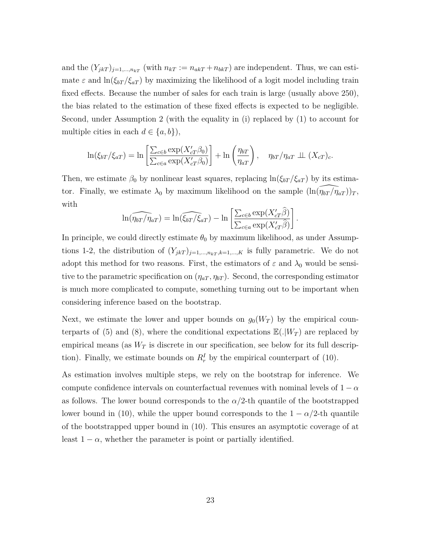and the  $(Y_{jkT})_{j=1,\dots,n_kT}$  (with  $n_{kT} := n_{akT} + n_{bkT}$ ) are independent. Thus, we can estimate  $\varepsilon$  and  $\ln(\xi_{bT}/\xi_{aT})$  by maximizing the likelihood of a logit model including train fixed effects. Because the number of sales for each train is large (usually above 250), the bias related to the estimation of these fixed effects is expected to be negligible. Second, under Assumption 2 (with the equality in (i) replaced by (1) to account for multiple cities in each  $d \in \{a, b\}$ ,

$$
\ln(\xi_{bT}/\xi_{aT}) = \ln\left[\frac{\sum_{c\in b} \exp(X'_{cT}\beta_0)}{\sum_{c\in a} \exp(X'_{cT}\beta_0)}\right] + \ln\left(\frac{\eta_{bT}}{\eta_{aT}}\right), \quad \eta_{bT}/\eta_{aT} \perp (X_{cT})_c.
$$

Then, we estimate  $\beta_0$  by nonlinear least squares, replacing  $\ln(\xi_{bT}/\xi_{aT})$  by its estimator. Finally, we estimate  $\lambda_0$  by maximum likelihood on the sample  $(\ln(\widehat{\eta_{bT}}/\widehat{\eta}_{aT}))_T$ , with

$$
\ln(\widehat{\eta_{bT}/\eta_{aT}}) = \ln(\widehat{\xi_{bT}/\xi_{aT}}) - \ln\left[\frac{\sum_{c \in b} \exp(X'_{cT}\widehat{\beta})}{\sum_{c \in a} \exp(X'_{cT}\widehat{\beta})}\right]
$$

*.*

In principle, we could directly estimate  $\theta_0$  by maximum likelihood, as under Assumptions 1-2, the distribution of  $(Y_{jkT})_{j=1,\dots,n_kT,k=1,\dots,K}$  is fully parametric. We do not adopt this method for two reasons. First, the estimators of  $\varepsilon$  and  $\lambda_0$  would be sensitive to the parametric specification on  $(\eta_{aT}, \eta_{bT})$ . Second, the corresponding estimator is much more complicated to compute, something turning out to be important when considering inference based on the bootstrap.

Next, we estimate the lower and upper bounds on  $g_0(W_T)$  by the empirical counterparts of (5) and (8), where the conditional expectations  $\mathbb{E}(.|W_T)$  are replaced by empirical means (as  $W_T$  is discrete in our specification, see below for its full description). Finally, we estimate bounds on  $R_r^I$  by the empirical counterpart of (10).

As estimation involves multiple steps, we rely on the bootstrap for inference. We compute confidence intervals on counterfactual revenues with nominal levels of  $1 - \alpha$ as follows. The lower bound corresponds to the  $\alpha/2$ -th quantile of the bootstrapped lower bound in (10), while the upper bound corresponds to the  $1 - \alpha/2$ -th quantile of the bootstrapped upper bound in (10). This ensures an asymptotic coverage of at least  $1 - \alpha$ , whether the parameter is point or partially identified.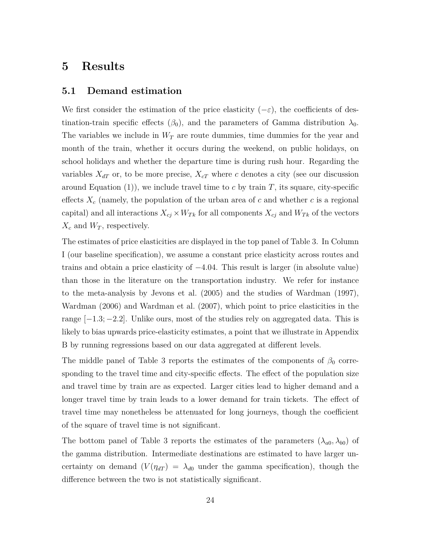### **5 Results**

#### **5.1 Demand estimation**

We first consider the estimation of the price elasticity  $(-\varepsilon)$ , the coefficients of destination-train specific effects  $(\beta_0)$ , and the parameters of Gamma distribution  $\lambda_0$ . The variables we include in *W<sup>T</sup>* are route dummies, time dummies for the year and month of the train, whether it occurs during the weekend, on public holidays, on school holidays and whether the departure time is during rush hour. Regarding the variables  $X_{dT}$  or, to be more precise,  $X_{cT}$  where *c* denotes a city (see our discussion around Equation  $(1)$ , we include travel time to c by train T, its square, city-specific effects  $X_c$  (namely, the population of the urban area of  $c$  and whether  $c$  is a regional capital) and all interactions  $X_{cj} \times W_{Tk}$  for all components  $X_{cj}$  and  $W_{Tk}$  of the vectors  $X_c$  and  $W_T$ , respectively.

The estimates of price elasticities are displayed in the top panel of Table 3. In Column I (our baseline specification), we assume a constant price elasticity across routes and trains and obtain a price elasticity of −4*.*04. This result is larger (in absolute value) than those in the literature on the transportation industry. We refer for instance to the meta-analysis by Jevons et al. (2005) and the studies of Wardman (1997), Wardman (2006) and Wardman et al. (2007), which point to price elasticities in the range [−1*.*3; −2*.*2]. Unlike ours, most of the studies rely on aggregated data. This is likely to bias upwards price-elasticity estimates, a point that we illustrate in Appendix B by running regressions based on our data aggregated at different levels.

The middle panel of Table 3 reports the estimates of the components of  $\beta_0$  corresponding to the travel time and city-specific effects. The effect of the population size and travel time by train are as expected. Larger cities lead to higher demand and a longer travel time by train leads to a lower demand for train tickets. The effect of travel time may nonetheless be attenuated for long journeys, though the coefficient of the square of travel time is not significant.

The bottom panel of Table 3 reports the estimates of the parameters  $(\lambda_{a0}, \lambda_{b0})$  of the gamma distribution. Intermediate destinations are estimated to have larger uncertainty on demand  $(V(\eta_{dT}) = \lambda_{d0}$  under the gamma specification), though the difference between the two is not statistically significant.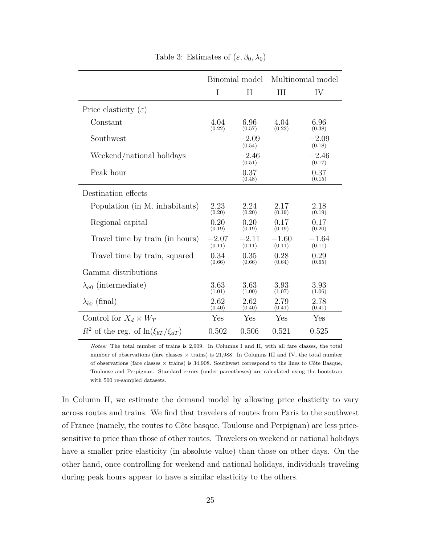|                                               | Binomial model    |                   | Multinomial model |                   |
|-----------------------------------------------|-------------------|-------------------|-------------------|-------------------|
|                                               | I                 | П                 | Ш                 | IV                |
| Price elasticity $(\varepsilon)$              |                   |                   |                   |                   |
| Constant                                      | 4.04<br>(0.22)    | 6.96<br>(0.57)    | 4.04<br>(0.22)    | 6.96<br>(0.38)    |
| Southwest                                     |                   | $-2.09$<br>(0.54) |                   | $-2.09$<br>(0.18) |
| Weekend/national holidays                     |                   | $-2.46$<br>(0.51) |                   | $-2.46$<br>(0.17) |
| Peak hour                                     |                   | 0.37<br>(0.48)    |                   | 0.37<br>(0.15)    |
| Destination effects                           |                   |                   |                   |                   |
| Population (in M. inhabitants)                | 2.23<br>(0.20)    | 2.24<br>(0.20)    | 2.17<br>(0.19)    | 2.18<br>(0.19)    |
| Regional capital                              | 0.20<br>(0.19)    | 0.20<br>(0.19)    | 0.17<br>(0.19)    | 0.17<br>(0.20)    |
| Travel time by train (in hours)               | $-2.07$<br>(0.11) | $-2.11$<br>(0.11) | $-1.60$<br>(0.11) | $-1.64$<br>(0.11) |
| Travel time by train, squared                 | 0.34<br>(0.66)    | 0.35<br>(0.66)    | 0.28<br>(0.64)    | 0.29<br>(0.65)    |
| Gamma distributions                           |                   |                   |                   |                   |
| $\lambda_{a0}$ (intermediate)                 | 3.63<br>(1.01)    | 3.63<br>(1.00)    | 3.93<br>(1.07)    | 3.93<br>(1.06)    |
| $\lambda_{b0}$ (final)                        | 2.62<br>(0.40)    | 2.62<br>(0.40)    | 2.79<br>(0.41)    | 2.78<br>(0.41)    |
| Control for $X_d \times W_T$                  | Yes               | Yes               | Yes               | Yes               |
| $R^2$ of the reg. of $\ln(\xi_{bT}/\xi_{aT})$ | 0.502             | 0.506             | 0.521             | 0.525             |

Table 3: Estimates of  $(\varepsilon, \beta_0, \lambda_0)$ 

*Notes:* The total number of trains is 2,909. In Columns I and II, with all fare classes, the total number of observations (fare classes  $\times$  trains) is 21,988. In Columns III and IV, the total number of observations (fare classes  $\times$  trains) is 34,908. Southwest correspond to the lines to Côte Basque, Toulouse and Perpignan. Standard errors (under parentheses) are calculated using the bootstrap with 500 re-sampled datasets.

In Column II, we estimate the demand model by allowing price elasticity to vary across routes and trains. We find that travelers of routes from Paris to the southwest of France (namely, the routes to Côte basque, Toulouse and Perpignan) are less pricesensitive to price than those of other routes. Travelers on weekend or national holidays have a smaller price elasticity (in absolute value) than those on other days. On the other hand, once controlling for weekend and national holidays, individuals traveling during peak hours appear to have a similar elasticity to the others.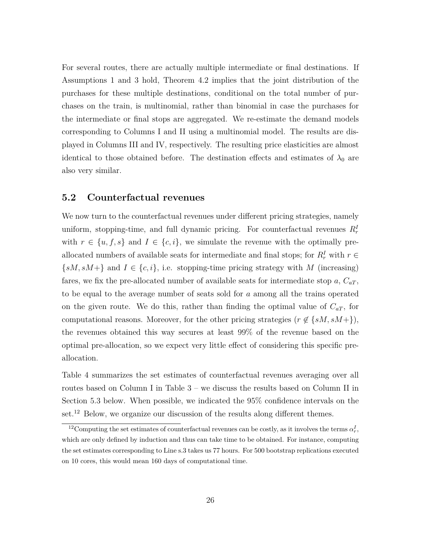For several routes, there are actually multiple intermediate or final destinations. If Assumptions 1 and 3 hold, Theorem 4.2 implies that the joint distribution of the purchases for these multiple destinations, conditional on the total number of purchases on the train, is multinomial, rather than binomial in case the purchases for the intermediate or final stops are aggregated. We re-estimate the demand models corresponding to Columns I and II using a multinomial model. The results are displayed in Columns III and IV, respectively. The resulting price elasticities are almost identical to those obtained before. The destination effects and estimates of  $\lambda_0$  are also very similar.

#### **5.2 Counterfactual revenues**

We now turn to the counterfactual revenues under different pricing strategies, namely uniform, stopping-time, and full dynamic pricing. For counterfactual revenues  $R_r^I$ with  $r \in \{u, f, s\}$  and  $I \in \{c, i\}$ , we simulate the revenue with the optimally preallocated numbers of available seats for intermediate and final stops; for  $R_r^I$  with  $r \in$  $\{sM, sM+\}$  and  $I \in \{c, i\}$ , i.e. stopping-time pricing strategy with *M* (increasing) fares, we fix the pre-allocated number of available seats for intermediate stop  $a, C_{aT}$ , to be equal to the average number of seats sold for *a* among all the trains operated on the given route. We do this, rather than finding the optimal value of  $C_{aT}$ , for computational reasons. Moreover, for the other pricing strategies ( $r \notin \{sM, sM+\}\$ ), the revenues obtained this way secures at least 99% of the revenue based on the optimal pre-allocation, so we expect very little effect of considering this specific preallocation.

Table 4 summarizes the set estimates of counterfactual revenues averaging over all routes based on Column I in Table 3 – we discuss the results based on Column II in Section 5.3 below. When possible, we indicated the 95% confidence intervals on the set.<sup>12</sup> Below, we organize our discussion of the results along different themes.

<sup>&</sup>lt;sup>12</sup> Computing the set estimates of counterfactual revenues can be costly, as it involves the terms  $\alpha_r^I$ , which are only defined by induction and thus can take time to be obtained. For instance, computing the set estimates corresponding to Line s.3 takes us 77 hours. For 500 bootstrap replications executed on 10 cores, this would mean 160 days of computational time.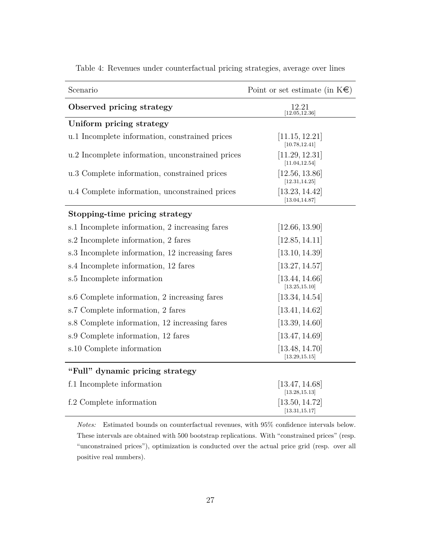| Scenario                                         | Point or set estimate (in $K \in \mathbb{R}$ ) |
|--------------------------------------------------|------------------------------------------------|
| Observed pricing strategy                        | 12.21<br>[12.05, 12.36]                        |
| Uniform pricing strategy                         |                                                |
| u.1 Incomplete information, constrained prices   | [11.15, 12.21]<br>[10.78, 12.41]               |
| u.2 Incomplete information, unconstrained prices | [11.29, 12.31]<br>[11.04, 12.54]               |
| u.3 Complete information, constrained prices     | [12.56, 13.86]<br>[12.31, 14.25]               |
| u.4 Complete information, unconstrained prices   | [13.23, 14.42]<br>[13.04, 14.87]               |
| Stopping-time pricing strategy                   |                                                |
| s.1 Incomplete information, 2 increasing fares   | [12.66, 13.90]                                 |
| s.2 Incomplete information, 2 fares              | [12.85, 14.11]                                 |
| s.3 Incomplete information, 12 increasing fares  | [13.10, 14.39]                                 |
| s.4 Incomplete information, 12 fares             | [13.27, 14.57]                                 |
| s.5 Incomplete information                       | [13.44, 14.66]<br>[13.25, 15.10]               |
| s.6 Complete information, 2 increasing fares     | [13.34, 14.54]                                 |
| s.7 Complete information, 2 fares                | [13.41, 14.62]                                 |
| s.8 Complete information, 12 increasing fares    | [13.39, 14.60]                                 |
| s.9 Complete information, 12 fares               | [13.47, 14.69]                                 |
| s.10 Complete information                        | [13.48, 14.70]<br>[13.29, 15.15]               |
| "Full" dynamic pricing strategy                  |                                                |
| f.1 Incomplete information                       | [13.47, 14.68]<br>[13.28, 15.13]               |
| f.2 Complete information                         | [13.50, 14.72]<br>[13.31, 15.17]               |

Table 4: Revenues under counterfactual pricing strategies, average over lines

*Notes:* Estimated bounds on counterfactual revenues, with 95% confidence intervals below. These intervals are obtained with 500 bootstrap replications. With "constrained prices" (resp. "unconstrained prices"), optimization is conducted over the actual price grid (resp. over all positive real numbers).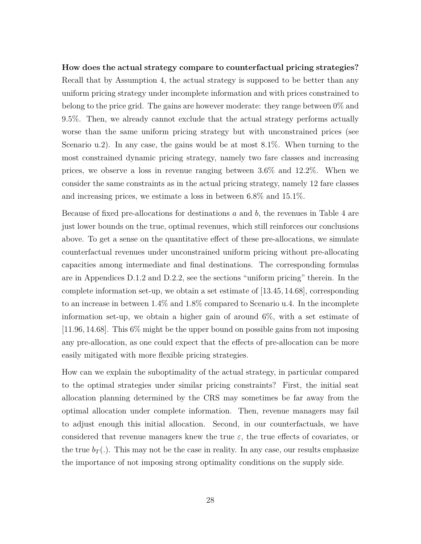**How does the actual strategy compare to counterfactual pricing strategies?** Recall that by Assumption 4, the actual strategy is supposed to be better than any uniform pricing strategy under incomplete information and with prices constrained to belong to the price grid. The gains are however moderate: they range between  $0\%$  and 9.5%. Then, we already cannot exclude that the actual strategy performs actually worse than the same uniform pricing strategy but with unconstrained prices (see Scenario u.2). In any case, the gains would be at most 8.1%. When turning to the most constrained dynamic pricing strategy, namely two fare classes and increasing prices, we observe a loss in revenue ranging between 3.6% and 12.2%. When we consider the same constraints as in the actual pricing strategy, namely 12 fare classes and increasing prices, we estimate a loss in between 6.8% and 15.1%.

Because of fixed pre-allocations for destinations *a* and *b*, the revenues in Table 4 are just lower bounds on the true, optimal revenues, which still reinforces our conclusions above. To get a sense on the quantitative effect of these pre-allocations, we simulate counterfactual revenues under unconstrained uniform pricing without pre-allocating capacities among intermediate and final destinations. The corresponding formulas are in Appendices D.1.2 and D.2.2, see the sections "uniform pricing" therein. In the complete information set-up, we obtain a set estimate of [13*.*45*,* 14*.*68], corresponding to an increase in between 1.4% and 1.8% compared to Scenario u.4. In the incomplete information set-up, we obtain a higher gain of around 6%, with a set estimate of [11*.*96*,* 14*.*68]. This 6% might be the upper bound on possible gains from not imposing any pre-allocation, as one could expect that the effects of pre-allocation can be more easily mitigated with more flexible pricing strategies.

How can we explain the suboptimality of the actual strategy, in particular compared to the optimal strategies under similar pricing constraints? First, the initial seat allocation planning determined by the CRS may sometimes be far away from the optimal allocation under complete information. Then, revenue managers may fail to adjust enough this initial allocation. Second, in our counterfactuals, we have considered that revenue managers knew the true  $\varepsilon$ , the true effects of covariates, or the true  $b_T(.)$ . This may not be the case in reality. In any case, our results emphasize the importance of not imposing strong optimality conditions on the supply side.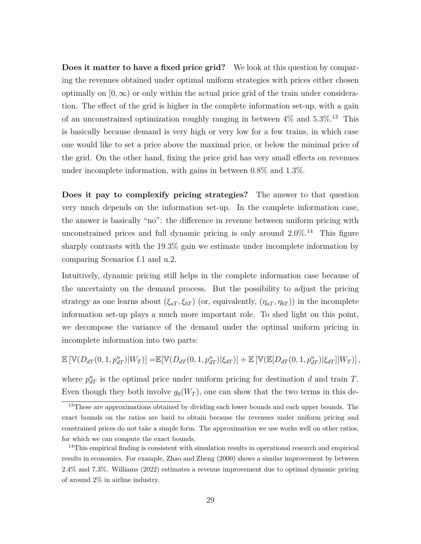**Does it matter to have a fixed price grid?** We look at this question by comparing the revenues obtained under optimal uniform strategies with prices either chosen optimally on  $(0, \infty)$  or only within the actual price grid of the train under consideration. The effect of the grid is higher in the complete information set-up, with a gain of an unconstrained optimization roughly ranging in between  $4\%$  and  $5.3\%$ .<sup>13</sup> This is basically because demand is very high or very low for a few trains, in which case one would like to set a price above the maximal price, or below the minimal price of the grid. On the other hand, fixing the price grid has very small effects on revenues under incomplete information, with gains in between 0.8% and 1.3%.

**Does it pay to complexify pricing strategies?** The answer to that question very much depends on the information set-up. In the complete information case, the answer is basically "no": the difference in revenue between uniform pricing with unconstrained prices and full dynamic pricing is only around  $2.0\%$ .<sup>14</sup> This figure sharply contrasts with the  $19.3\%$  gain we estimate under incomplete information by comparing Scenarios f.1 and u.2.

Intuitively, dynamic pricing still helps in the complete information case because of the uncertainty on the demand process. But the possibility to adjust the pricing strategy as one learns about  $(\xi_{aT}, \xi_{bT})$  (or, equivalently,  $(\eta_{aT}, \eta_{bT})$ ) in the incomplete information set-up plays a much more important role. To shed light on this point, we decompose the variance of the demand under the optimal uniform pricing in incomplete information into two parts:

$$
\mathbb{E}\left[\mathbb{V}(D_{dT}(0,1,p_{dT}^u)|W_T)\right] = \mathbb{E}[\mathbb{V}(D_{dT}(0,1,p_{dT}^u)|\xi_{dT})] + \mathbb{E}\left[\mathbb{V}(\mathbb{E}[D_{dT}(0,1,p_{dT}^u)|\xi_{dT}]|W_T)\right],
$$

where  $p_{dT}^{u}$  is the optimal price under uniform pricing for destination *d* and train *T*. Even though they both involve  $g_0(W_T)$ , one can show that the two terms in this de-

<sup>&</sup>lt;sup>13</sup>These are approximations obtained by dividing each lower bounds and each upper bounds. The exact bounds on the ratios are hard to obtain because the revenues under uniform pricing and constrained prices do not take a simple form. The approximation we use works well on other ratios, for which we can compute the exact bounds.

<sup>&</sup>lt;sup>14</sup>This empirical finding is consistent with simulation results in operational research and empirical results in economics. For example, Zhao and Zheng (2000) shows a similar improvement by between 2.4% and 7.3%. Williams (2022) estimates a revenue improvement due to optimal dynamic pricing of around 2% in airline industry.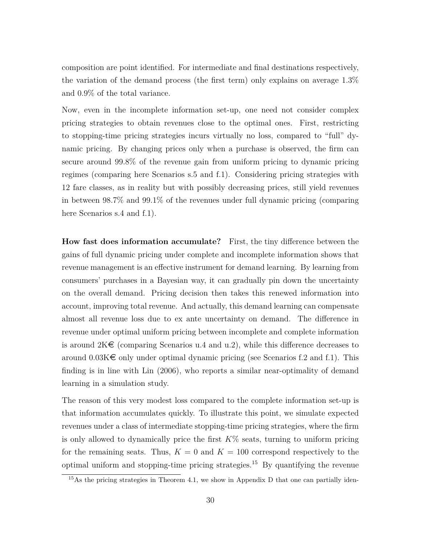composition are point identified. For intermediate and final destinations respectively, the variation of the demand process (the first term) only explains on average 1*.*3% and 0*.*9% of the total variance.

Now, even in the incomplete information set-up, one need not consider complex pricing strategies to obtain revenues close to the optimal ones. First, restricting to stopping-time pricing strategies incurs virtually no loss, compared to "full" dynamic pricing. By changing prices only when a purchase is observed, the firm can secure around 99.8% of the revenue gain from uniform pricing to dynamic pricing regimes (comparing here Scenarios s.5 and f.1). Considering pricing strategies with 12 fare classes, as in reality but with possibly decreasing prices, still yield revenues in between 98.7% and 99.1% of the revenues under full dynamic pricing (comparing here Scenarios s.4 and f.1).

**How fast does information accumulate?** First, the tiny difference between the gains of full dynamic pricing under complete and incomplete information shows that revenue management is an effective instrument for demand learning. By learning from consumers' purchases in a Bayesian way, it can gradually pin down the uncertainty on the overall demand. Pricing decision then takes this renewed information into account, improving total revenue. And actually, this demand learning can compensate almost all revenue loss due to ex ante uncertainty on demand. The difference in revenue under optimal uniform pricing between incomplete and complete information is around  $2K\epsilon$  (comparing Scenarios u.4 and u.2), while this difference decreases to around  $0.03K\epsilon$  only under optimal dynamic pricing (see Scenarios f.2 and f.1). This finding is in line with Lin (2006), who reports a similar near-optimality of demand learning in a simulation study.

The reason of this very modest loss compared to the complete information set-up is that information accumulates quickly. To illustrate this point, we simulate expected revenues under a class of intermediate stopping-time pricing strategies, where the firm is only allowed to dynamically price the first  $K\%$  seats, turning to uniform pricing for the remaining seats. Thus,  $K = 0$  and  $K = 100$  correspond respectively to the optimal uniform and stopping-time pricing strategies.<sup>15</sup> By quantifying the revenue

 $15\text{As the pricing strategies in Theorem 4.1, we show in Appendix D that one can partially iden-$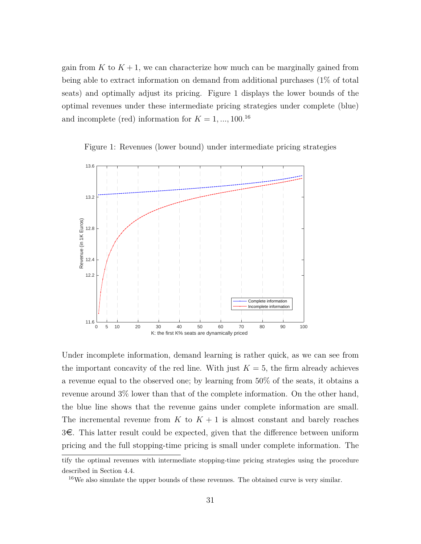gain from  $K$  to  $K + 1$ , we can characterize how much can be marginally gained from being able to extract information on demand from additional purchases (1% of total seats) and optimally adjust its pricing. Figure 1 displays the lower bounds of the optimal revenues under these intermediate pricing strategies under complete (blue) and incomplete (red) information for  $K = 1, ..., 100$ .<sup>16</sup>

Figure 1: Revenues (lower bound) under intermediate pricing strategies



Under incomplete information, demand learning is rather quick, as we can see from the important concavity of the red line. With just  $K = 5$ , the firm already achieves a revenue equal to the observed one; by learning from 50% of the seats, it obtains a revenue around 3% lower than that of the complete information. On the other hand, the blue line shows that the revenue gains under complete information are small. The incremental revenue from  $K$  to  $K + 1$  is almost constant and barely reaches  $3\epsilon$ . This latter result could be expected, given that the difference between uniform pricing and the full stopping-time pricing is small under complete information. The

tify the optimal revenues with intermediate stopping-time pricing strategies using the procedure described in Section 4.4.

<sup>16</sup>We also simulate the upper bounds of these revenues. The obtained curve is very similar.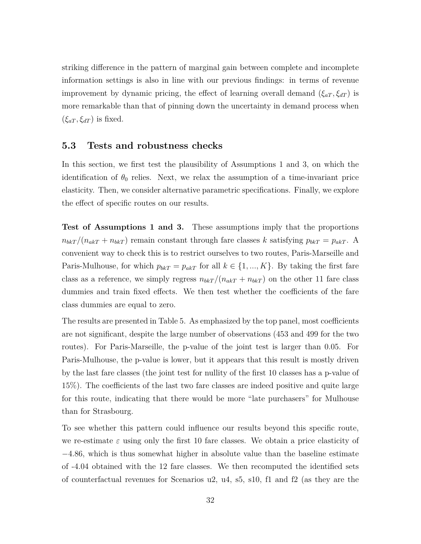striking difference in the pattern of marginal gain between complete and incomplete information settings is also in line with our previous findings: in terms of revenue improvement by dynamic pricing, the effect of learning overall demand  $(\xi_{aT}, \xi_{dT})$  is more remarkable than that of pinning down the uncertainty in demand process when  $(\xi_{aT}, \xi_{dT})$  is fixed.

#### **5.3 Tests and robustness checks**

In this section, we first test the plausibility of Assumptions 1 and 3, on which the identification of  $\theta_0$  relies. Next, we relax the assumption of a time-invariant price elasticity. Then, we consider alternative parametric specifications. Finally, we explore the effect of specific routes on our results.

**Test of Assumptions 1 and 3.** These assumptions imply that the proportions  $n_{b k T} / (n_{a k T} + n_{b k T})$  remain constant through fare classes *k* satisfying  $p_{b k T} = p_{a k T}$ . A convenient way to check this is to restrict ourselves to two routes, Paris-Marseille and Paris-Mulhouse, for which  $p_{bkT} = p_{akT}$  for all  $k \in \{1, ..., K\}$ . By taking the first fare class as a reference, we simply regress  $n_{bkT}/(n_{akT} + n_{bkT})$  on the other 11 fare class dummies and train fixed effects. We then test whether the coefficients of the fare class dummies are equal to zero.

The results are presented in Table 5. As emphasized by the top panel, most coefficients are not significant, despite the large number of observations (453 and 499 for the two routes). For Paris-Marseille, the p-value of the joint test is larger than 0.05. For Paris-Mulhouse, the p-value is lower, but it appears that this result is mostly driven by the last fare classes (the joint test for nullity of the first 10 classes has a p-value of 15%). The coefficients of the last two fare classes are indeed positive and quite large for this route, indicating that there would be more "late purchasers" for Mulhouse than for Strasbourg.

To see whether this pattern could influence our results beyond this specific route, we re-estimate  $\varepsilon$  using only the first 10 fare classes. We obtain a price elasticity of −4*.*86, which is thus somewhat higher in absolute value than the baseline estimate of -4.04 obtained with the 12 fare classes. We then recomputed the identified sets of counterfactual revenues for Scenarios u2, u4, s5, s10, f1 and f2 (as they are the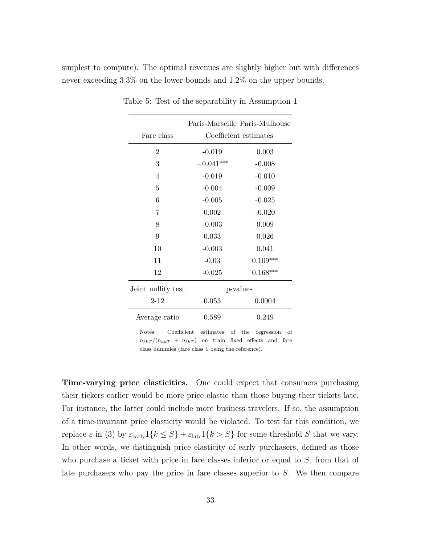simplest to compute). The optimal revenues are slightly higher but with differences never exceeding 3.3% on the lower bounds and 1.2% on the upper bounds.

|                    | Paris-Marseille Paris-Mulhouse |            |  |
|--------------------|--------------------------------|------------|--|
| Fare class         | Coefficient estimates          |            |  |
| $\overline{2}$     | $-0.019$                       | 0.003      |  |
| 3                  | $-0.041***$                    | $-0.008$   |  |
| 4                  | $-0.019$                       | $-0.010$   |  |
| 5                  | $-0.004$                       | $-0.009$   |  |
| 6                  | $-0.005$                       | $-0.025$   |  |
| $\overline{7}$     | 0.002                          | $-0.020$   |  |
| 8                  | $-0.003$                       | 0.009      |  |
| 9                  | 0.033                          | 0.026      |  |
| 10                 | $-0.003$                       | 0.041      |  |
| 11                 | $-0.03$                        | $0.109***$ |  |
| 12                 | $-0.025$                       | $0.168***$ |  |
| Joint nullity test | p-values                       |            |  |
| $2 - 12$           | 0.053                          | 0.0004     |  |
| Average ratio      | 0.589                          | 0.249      |  |
|                    |                                |            |  |

Table 5: Test of the separability in Assumption 1

Notes: Coefficient estimates of the regression of  $n_{bkT}/(n_{akT} + n_{bkT})$  on train fixed effects and fare class dummies (fare class 1 being the reference).

**Time-varying price elasticities.** One could expect that consumers purchasing their tickers earlier would be more price elastic than those buying their tickets late. For instance, the latter could include more business travelers. If so, the assumption of a time-invariant price elasticity would be violated. To test for this condition, we replace  $\varepsilon$  in (3) by  $\varepsilon_{\text{early}}1\{k \leq S\} + \varepsilon_{\text{late}}1\{k > S\}$  for some threshold *S* that we vary. In other words, we distinguish price elasticity of early purchasers, defined as those who purchase a ticket with price in fare classes inferior or equal to *S*, from that of late purchasers who pay the price in fare classes superior to *S*. We then compare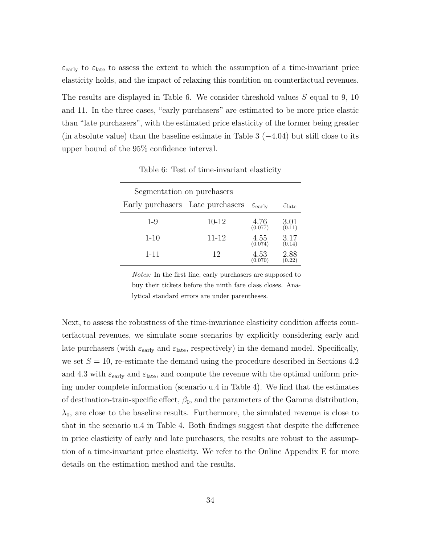$\varepsilon_{\rm early}$  to  $\varepsilon_{\rm late}$  to assess the extent to which the assumption of a time-invariant price elasticity holds, and the impact of relaxing this condition on counterfactual revenues.

The results are displayed in Table 6. We consider threshold values *S* equal to 9, 10 and 11. In the three cases, "early purchasers" are estimated to be more price elastic than "late purchasers", with the estimated price elasticity of the former being greater (in absolute value) than the baseline estimate in Table 3 (−4*.*04) but still close to its upper bound of the 95% confidence interval.

| Segmentation on purchasers       |         |                           |                             |  |
|----------------------------------|---------|---------------------------|-----------------------------|--|
| Early purchasers Late purchasers |         | $\varepsilon_{\rm early}$ | $\varepsilon_{\text{late}}$ |  |
| $1 - 9$                          | $10-12$ | 4.76<br>(0.077)           | 3.01<br>(0.11)              |  |
| $1 - 10$                         | 11-12   | 4.55<br>(0.074)           | 3.17<br>(0.14)              |  |
| 1-11                             | 12      | 4.53<br>(0.070)           | 2.88<br>(0.22)              |  |

Table 6: Test of time-invariant elasticity

*Notes:* In the first line, early purchasers are supposed to buy their tickets before the ninth fare class closes. Analytical standard errors are under parentheses.

Next, to assess the robustness of the time-invariance elasticity condition affects counterfactual revenues, we simulate some scenarios by explicitly considering early and late purchasers (with  $\varepsilon_{\text{early}}$  and  $\varepsilon_{\text{late}}$ , respectively) in the demand model. Specifically, we set  $S = 10$ , re-estimate the demand using the procedure described in Sections 4.2 and 4.3 with  $\varepsilon_{\rm early}$  and  $\varepsilon_{\rm late}$ , and compute the revenue with the optimal uniform pricing under complete information (scenario u.4 in Table 4). We find that the estimates of destination-train-specific effect,  $\beta_0$ , and the parameters of the Gamma distribution,  $\lambda_0$ , are close to the baseline results. Furthermore, the simulated revenue is close to that in the scenario u.4 in Table 4. Both findings suggest that despite the difference in price elasticity of early and late purchasers, the results are robust to the assumption of a time-invariant price elasticity. We refer to the Online Appendix E for more details on the estimation method and the results.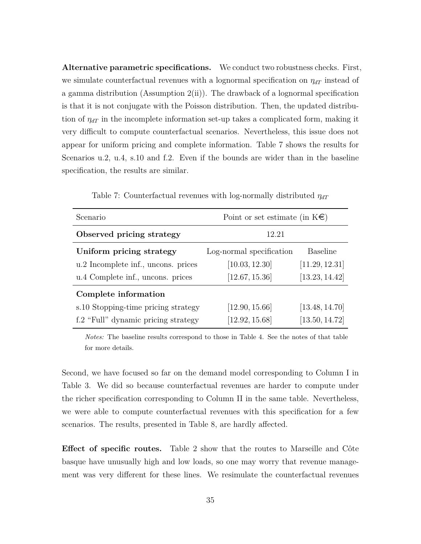**Alternative parametric specifications.** We conduct two robustness checks. First, we simulate counterfactual revenues with a lognormal specification on  $\eta_{dT}$  instead of a gamma distribution (Assumption 2(ii)). The drawback of a lognormal specification is that it is not conjugate with the Poisson distribution. Then, the updated distribution of  $\eta_{dT}$  in the incomplete information set-up takes a complicated form, making it very difficult to compute counterfactual scenarios. Nevertheless, this issue does not appear for uniform pricing and complete information. Table 7 shows the results for Scenarios u.2, u.4, s.10 and f.2. Even if the bounds are wider than in the baseline specification, the results are similar.

| Scenario                            | Point or set estimate (in $K \in \mathbb{R}$ ) |                 |  |  |
|-------------------------------------|------------------------------------------------|-----------------|--|--|
| Observed pricing strategy           | 12.21                                          |                 |  |  |
| Uniform pricing strategy            | Log-normal specification                       | <b>Baseline</b> |  |  |
| u.2 Incomplete inf., uncons. prices | [10.03, 12.30]                                 | [11.29, 12.31]  |  |  |
| u.4 Complete inf., uncons. prices   | [12.67, 15.36]                                 | [13.23, 14.42]  |  |  |
| Complete information                |                                                |                 |  |  |
| s.10 Stopping-time pricing strategy | [12.90, 15.66]                                 | [13.48, 14.70]  |  |  |
| f.2 "Full" dynamic pricing strategy | [12.92, 15.68]                                 | [13.50, 14.72]  |  |  |

Table 7: Counterfactual revenues with log-normally distributed *ηdT*

*Notes:* The baseline results correspond to those in Table 4. See the notes of that table for more details.

Second, we have focused so far on the demand model corresponding to Column I in Table 3. We did so because counterfactual revenues are harder to compute under the richer specification corresponding to Column II in the same table. Nevertheless, we were able to compute counterfactual revenues with this specification for a few scenarios. The results, presented in Table 8, are hardly affected.

**Effect of specific routes.** Table 2 show that the routes to Marseille and Côte basque have unusually high and low loads, so one may worry that revenue management was very different for these lines. We resimulate the counterfactual revenues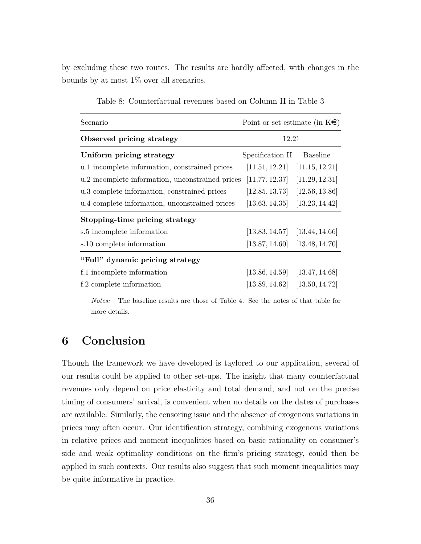by excluding these two routes. The results are hardly affected, with changes in the bounds by at most 1% over all scenarios.

| Scenario                                         | Point or set estimate (in $K \in \mathbb{R}$ ) |                |  |
|--------------------------------------------------|------------------------------------------------|----------------|--|
| Observed pricing strategy                        | 12.21                                          |                |  |
| Uniform pricing strategy                         | Specification II                               | Baseline       |  |
| u.1 incomplete information, constrained prices   | [11.51, 12.21]                                 | [11.15, 12.21] |  |
| u.2 incomplete information, unconstrained prices | [11.77, 12.37]                                 | [11.29, 12.31] |  |
| u.3 complete information, constrained prices     | $[12.85, 13.73]$ $[12.56, 13.86]$              |                |  |
| u.4 complete information, unconstrained prices   | [13.63, 14.35]                                 | [13.23, 14.42] |  |
| Stopping-time pricing strategy                   |                                                |                |  |
| s.5 incomplete information                       | $[13.83, 14.57]$ $[13.44, 14.66]$              |                |  |
| s.10 complete information                        | $[13.87, 14.60]$ $[13.48, 14.70]$              |                |  |
| "Full" dynamic pricing strategy                  |                                                |                |  |
| f.1 incomplete information                       | $[13.86, 14.59]$ $[13.47, 14.68]$              |                |  |
| f.2 complete information                         | $[13.89, 14.62]$ $[13.50, 14.72]$              |                |  |

Table 8: Counterfactual revenues based on Column II in Table 3

*Notes:* The baseline results are those of Table 4. See the notes of that table for more details.

# **6 Conclusion**

Though the framework we have developed is taylored to our application, several of our results could be applied to other set-ups. The insight that many counterfactual revenues only depend on price elasticity and total demand, and not on the precise timing of consumers' arrival, is convenient when no details on the dates of purchases are available. Similarly, the censoring issue and the absence of exogenous variations in prices may often occur. Our identification strategy, combining exogenous variations in relative prices and moment inequalities based on basic rationality on consumer's side and weak optimality conditions on the firm's pricing strategy, could then be applied in such contexts. Our results also suggest that such moment inequalities may be quite informative in practice.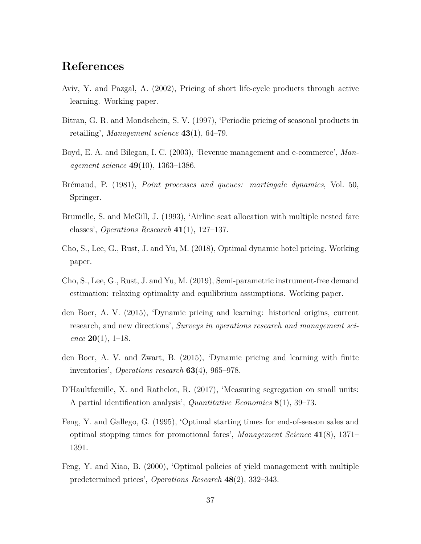## **References**

- Aviv, Y. and Pazgal, A. (2002), Pricing of short life-cycle products through active learning. Working paper.
- Bitran, G. R. and Mondschein, S. V. (1997), 'Periodic pricing of seasonal products in retailing', *Management science* **43**(1), 64–79.
- Boyd, E. A. and Bilegan, I. C. (2003), 'Revenue management and e-commerce', *Management science* **49**(10), 1363–1386.
- Brémaud, P. (1981), *Point processes and queues: martingale dynamics*, Vol. 50, Springer.
- Brumelle, S. and McGill, J. (1993), 'Airline seat allocation with multiple nested fare classes', *Operations Research* **41**(1), 127–137.
- Cho, S., Lee, G., Rust, J. and Yu, M. (2018), Optimal dynamic hotel pricing. Working paper.
- Cho, S., Lee, G., Rust, J. and Yu, M. (2019), Semi-parametric instrument-free demand estimation: relaxing optimality and equilibrium assumptions. Working paper.
- den Boer, A. V. (2015), 'Dynamic pricing and learning: historical origins, current research, and new directions', *Surveys in operations research and management science* **20**(1), 1–18.
- den Boer, A. V. and Zwart, B. (2015), 'Dynamic pricing and learning with finite inventories', *Operations research* **63**(4), 965–978.
- D'Haultfœuille, X. and Rathelot, R. (2017), 'Measuring segregation on small units: A partial identification analysis', *Quantitative Economics* **8**(1), 39–73.
- Feng, Y. and Gallego, G. (1995), 'Optimal starting times for end-of-season sales and optimal stopping times for promotional fares', *Management Science* **41**(8), 1371– 1391.
- Feng, Y. and Xiao, B. (2000), 'Optimal policies of yield management with multiple predetermined prices', *Operations Research* **48**(2), 332–343.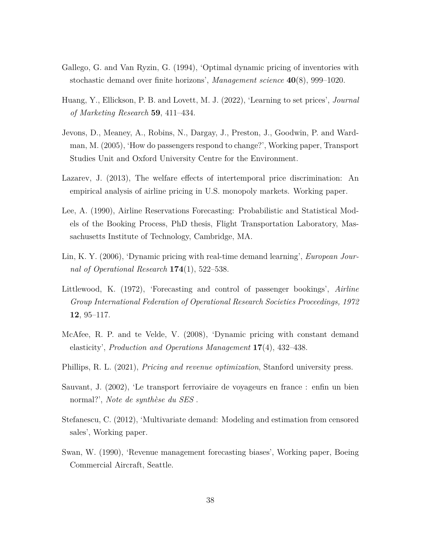- Gallego, G. and Van Ryzin, G. (1994), 'Optimal dynamic pricing of inventories with stochastic demand over finite horizons', *Management science* **40**(8), 999–1020.
- Huang, Y., Ellickson, P. B. and Lovett, M. J. (2022), 'Learning to set prices', *Journal of Marketing Research* **59**, 411–434.
- Jevons, D., Meaney, A., Robins, N., Dargay, J., Preston, J., Goodwin, P. and Wardman, M. (2005), 'How do passengers respond to change?', Working paper, Transport Studies Unit and Oxford University Centre for the Environment.
- Lazarev, J. (2013), The welfare effects of intertemporal price discrimination: An empirical analysis of airline pricing in U.S. monopoly markets. Working paper.
- Lee, A. (1990), Airline Reservations Forecasting: Probabilistic and Statistical Models of the Booking Process, PhD thesis, Flight Transportation Laboratory, Massachusetts Institute of Technology, Cambridge, MA.
- Lin, K. Y. (2006), 'Dynamic pricing with real-time demand learning', *European Journal of Operational Research* **174**(1), 522–538.
- Littlewood, K. (1972), 'Forecasting and control of passenger bookings', *Airline Group International Federation of Operational Research Societies Proceedings, 1972* **12**, 95–117.
- McAfee, R. P. and te Velde, V. (2008), 'Dynamic pricing with constant demand elasticity', *Production and Operations Management* **17**(4), 432–438.
- Phillips, R. L. (2021), *Pricing and revenue optimization*, Stanford university press.
- Sauvant, J. (2002), 'Le transport ferroviaire de voyageurs en france : enfin un bien normal?', *Note de synthèse du SES* .
- Stefanescu, C. (2012), 'Multivariate demand: Modeling and estimation from censored sales', Working paper.
- Swan, W. (1990), 'Revenue management forecasting biases', Working paper, Boeing Commercial Aircraft, Seattle.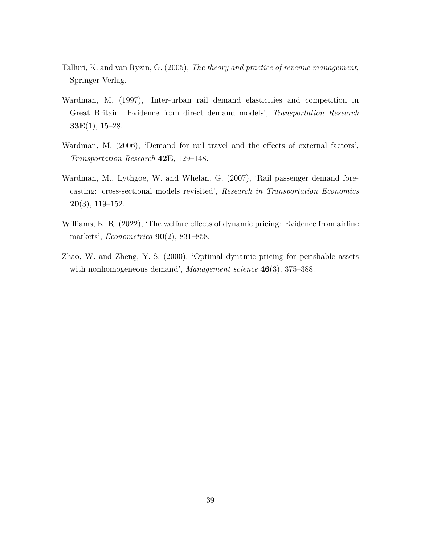- Talluri, K. and van Ryzin, G. (2005), *The theory and practice of revenue management*, Springer Verlag.
- Wardman, M. (1997), 'Inter-urban rail demand elasticities and competition in Great Britain: Evidence from direct demand models', *Transportation Research* **33E**(1), 15–28.
- Wardman, M. (2006), 'Demand for rail travel and the effects of external factors', *Transportation Research* **42E**, 129–148.
- Wardman, M., Lythgoe, W. and Whelan, G. (2007), 'Rail passenger demand forecasting: cross-sectional models revisited', *Research in Transportation Economics* **20**(3), 119–152.
- Williams, K. R. (2022), 'The welfare effects of dynamic pricing: Evidence from airline markets', *Econometrica* **90**(2), 831–858.
- Zhao, W. and Zheng, Y.-S. (2000), 'Optimal dynamic pricing for perishable assets with nonhomogeneous demand', *Management science* **46**(3), 375–388.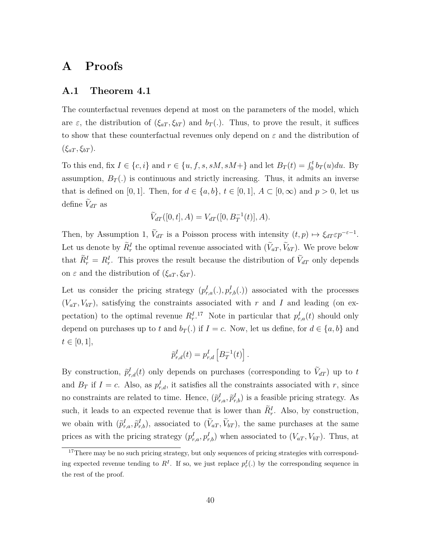### **A Proofs**

#### **A.1 Theorem 4.1**

The counterfactual revenues depend at most on the parameters of the model, which are  $\varepsilon$ , the distribution of  $(\xi_{aT}, \xi_{bT})$  and  $b_T(.)$ . Thus, to prove the result, it suffices to show that these counterfactual revenues only depend on *ε* and the distribution of (*ξaT , ξbT* ).

To this end, fix  $I \in \{c, i\}$  and  $r \in \{u, f, s, sM, sM+\}$  and let  $B_T(t) = \int_0^t b_T(u) du$ . By assumption,  $B_T(.)$  is continuous and strictly increasing. Thus, it admits an inverse that is defined on [0, 1]. Then, for  $d \in \{a, b\}$ ,  $t \in [0, 1]$ ,  $A \subset [0, \infty)$  and  $p > 0$ , let us define  $\tilde{V}_{dT}$  as

$$
\widetilde{V}_{dT}([0,t], A) = V_{dT}([0, B_T^{-1}(t)], A).
$$

Then, by Assumption 1,  $\tilde{V}_{dT}$  is a Poisson process with intensity  $(t, p) \mapsto \xi_{dT} \varepsilon p^{-\varepsilon - 1}$ . Let us denote by  $\tilde{R}_r^I$  the optimal revenue associated with  $(\tilde{V}_{aT}, \tilde{V}_{bT})$ . We prove below that  $\tilde{R}_r^I = R_r^I$ . This proves the result because the distribution of  $\tilde{V}_{dT}$  only depends on *ε* and the distribution of  $(ξ<sub>aT</sub>, ξ<sub>bT</sub>)$ .

Let us consider the pricing strategy  $(p_{r,a}^I(.), p_{r,b}^I(.)$  associated with the processes  $(V_{aT}, V_{bT})$ , satisfying the constraints associated with *r* and *I* and leading (on expectation) to the optimal revenue  $R_r^{I}$ <sup>17</sup> Note in particular that  $p_{r,a}^I(t)$  should only depend on purchases up to *t* and  $b_T(.)$  if  $I = c$ . Now, let us define, for  $d \in \{a, b\}$  and  $t \in [0, 1],$ 

$$
\widetilde{p}_{r,d}^I(t) = p_{r,d}^I \left[ B_T^{-1}(t) \right].
$$

By construction,  $\tilde{p}^I_{r,d}(t)$  only depends on purchases (corresponding to  $\tilde{V}_{dT}$ ) up to *t* and  $B_T$  if  $I = c$ . Also, as  $p_{r,d}^I$ , it satisfies all the constraints associated with r, since no constraints are related to time. Hence,  $(\tilde{p}^I_{r,a}, \tilde{p}^I_{r,b})$  is a feasible pricing strategy. As such, it leads to an expected revenue that is lower than  $\tilde{R}_r^I$ . Also, by construction, we obain with  $(\tilde{p}_{r,a}^I, \tilde{p}_{r,b}^I)$ , associated to  $(\tilde{V}_{aT}, \tilde{V}_{bT})$ , the same purchases at the same prices as with the pricing strategy  $(p_{r,a}^I, p_{r,b}^I)$  when associated to  $(V_{aT}, V_{bT})$ . Thus, at

<sup>&</sup>lt;sup>17</sup>There may be no such pricing strategy, but only sequences of pricing strategies with corresponding expected revenue tending to  $R^I$ . If so, we just replace  $p_r^I(.)$  by the corresponding sequence in the rest of the proof.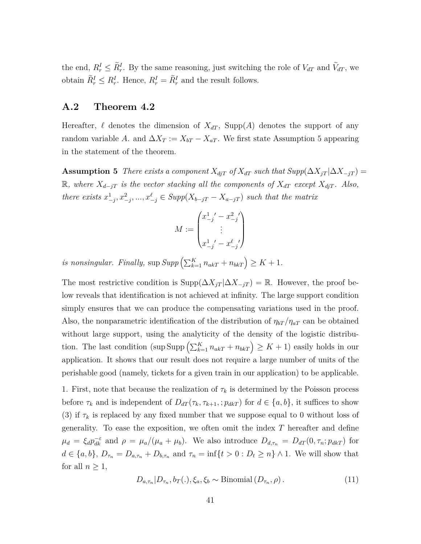the end,  $R_r^I \leq \tilde{R}_r^I$ . By the same reasoning, just switching the role of  $V_{dT}$  and  $\tilde{V}_{dT}$ , we obtain  $\widetilde{R}_r^I \leq R_r^I$ . Hence,  $R_r^I = \widetilde{R}_r^I$  and the result follows.

#### **A.2 Theorem 4.2**

Hereafter,  $\ell$  denotes the dimension of  $X_{dT}$ , Supp(A) denotes the support of any random variable *A*. and  $\Delta X_T := X_{bT} - X_{aT}$ . We first state Assumption 5 appearing in the statement of the theorem.

**Assumption 5** *There exists a component*  $X_{djT}$  *of*  $X_{dT}$  *such that*  $Supp(\Delta X_{jT} | \Delta X_{-jT}) =$  $\mathbb{R}$ *, where*  $X_{d-jT}$  *is the vector stacking all the components of*  $X_{dT}$  *except*  $X_{djT}$ *. Also, there exists*  $x_{-j}^1, x_{-j}^2, ..., x_{-j}^{\ell} \in Supp(X_{b-jT} - X_{a-jT})$  *such that the matrix* 

$$
M := \begin{pmatrix} x_{-j}^1' - x_{-j}^2' \\ \vdots \\ x_{-j}^1' - x_{-j}^\ell' \end{pmatrix}
$$

*is nonsingular. Finally,*  $\sup \text{Supp}\left(\sum_{k=1}^{K} n_{ak} + n_{bk}\right) \geq K + 1$ .

The most restrictive condition is  $\text{Supp}(\Delta X_{jT} | \Delta X_{-jT}) = \mathbb{R}$ . However, the proof below reveals that identification is not achieved at infinity. The large support condition simply ensures that we can produce the compensating variations used in the proof. Also, the nonparametric identification of the distribution of  $\eta_{bT}/\eta_{aT}$  can be obtained without large support, using the analyticity of the density of the logistic distribution. The last condition (sup  $\text{Supp}\left(\sum_{k=1}^K n_{akT} + n_{bkT}\right) \geq K + 1$ ) easily holds in our application. It shows that our result does not require a large number of units of the perishable good (namely, tickets for a given train in our application) to be applicable.

1. First, note that because the realization of  $\tau_k$  is determined by the Poisson process before  $\tau_k$  and is independent of  $D_{dT}(\tau_k, \tau_{k+1},; p_{dk})$  for  $d \in \{a, b\}$ , it suffices to show (3) if  $\tau_k$  is replaced by any fixed number that we suppose equal to 0 without loss of generality. To ease the exposition, we often omit the index *T* hereafter and define  $\mu_d = \xi_d p_{dk}^{-\varepsilon}$  and  $\rho = \mu_a/(\mu_a + \mu_b)$ . We also introduce  $D_{d,\tau_n} = D_{dT}(0, \tau_n; p_{dkT})$  for  $d \in \{a, b\}, D_{\tau_n} = D_{a, \tau_n} + D_{b, \tau_n}$  and  $\tau_n = \inf\{t > 0 : D_t \ge n\} \wedge 1$ . We will show that for all  $n \geq 1$ ,

$$
D_{a,\tau_n}|D_{\tau_n}, b_T(.), \xi_a, \xi_b \sim \text{Binomial}(D_{\tau_n}, \rho). \tag{11}
$$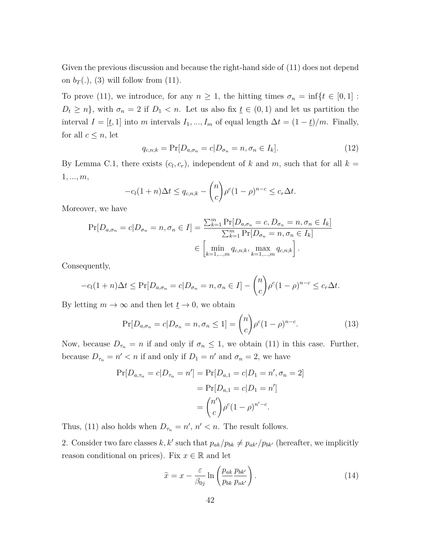Given the previous discussion and because the right-hand side of (11) does not depend on  $b_T(.)$ , (3) will follow from (11).

To prove (11), we introduce, for any  $n \geq 1$ , the hitting times  $\sigma_n = \inf\{t \in [0,1]:$  $D_t \geq n$ , with  $\sigma_n = 2$  if  $D_1 < n$ . Let us also fix  $t \in (0,1)$  and let us partition the interval *I* =  $[\underline{t}, 1]$  into *m* intervals *I*<sub>1</sub>*, ..., I<sub>m</sub>* of equal length  $\Delta t = (1 - \underline{t})/m$ . Finally, for all  $c \leq n$ , let

$$
q_{c,n;k} = \Pr[D_{a,\sigma_n} = c | D_{\sigma_n} = n, \sigma_n \in I_k]. \tag{12}
$$

By Lemma C.1, there exists  $(c_l, c_r)$ , independent of *k* and *m*, such that for all  $k =$ 1*, ..., m*,

$$
-c_l(1+n)\Delta t \le q_{c,n;k} - {n \choose c} \rho^c (1-\rho)^{n-c} \le c_r \Delta t.
$$

Moreover, we have

$$
\Pr[D_{a,\sigma_n} = c | D_{\sigma_n} = n, \sigma_n \in I] = \frac{\sum_{k=1}^{m} \Pr[D_{a,\sigma_n} = c, D_{\sigma_n} = n, \sigma_n \in I_k]}{\sum_{k=1}^{m} \Pr[D_{\sigma_n} = n, \sigma_n \in I_k]} \in \left[ \min_{k=1,\dots,m} q_{c,n;k}, \max_{k=1,\dots,m} q_{c,n;k} \right].
$$

Consequently,

$$
-c_l(1+n)\Delta t \leq \Pr[D_{a,\sigma_n} = c | D_{\sigma_n} = n, \sigma_n \in I] - {n \choose c} \rho^c (1-\rho)^{n-c} \leq c_r \Delta t.
$$

By letting  $m \to \infty$  and then let  $\underline{t} \to 0$ , we obtain

$$
\Pr[D_{a,\sigma_n} = c | D_{\sigma_n} = n, \sigma_n \le 1] = \binom{n}{c} \rho^c (1-\rho)^{n-c}.
$$
\n(13)

Now, because  $D_{\tau_n} = n$  if and only if  $\sigma_n \leq 1$ , we obtain (11) in this case. Further, because  $D_{\tau_n} = n' < n$  if and only if  $D_1 = n'$  and  $\sigma_n = 2$ , we have

$$
\Pr[D_{a,\tau_n} = c | D_{\tau_n} = n'] = \Pr[D_{a,1} = c | D_1 = n', \sigma_n = 2]
$$

$$
= \Pr[D_{a,1} = c | D_1 = n']
$$

$$
= {n' \choose c} \rho^c (1 - \rho)^{n' - c}.
$$

Thus, (11) also holds when  $D_{\tau_n} = n'$ ,  $n' < n$ . The result follows.

2. Consider two fare classes k, k' such that  $p_{ak}/p_{bk} \neq p_{ak'}/p_{bk'}$  (hereafter, we implicitly reason conditional on prices). Fix  $x \in \mathbb{R}$  and let

$$
\tilde{x} = x - \frac{\varepsilon}{\beta_{0j}} \ln \left( \frac{p_{ak}}{p_{bk}} \frac{p_{bk'}}{p_{ak'}} \right). \tag{14}
$$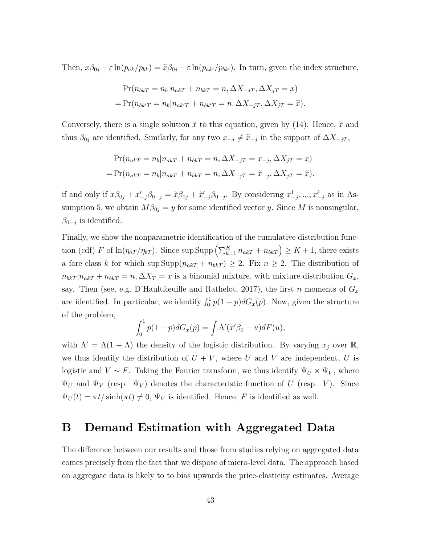Then,  $x\beta_{0j} - \varepsilon \ln(p_{ak}/p_{bk}) = \tilde{x}\beta_{0j} - \varepsilon \ln(p_{ak}/p_{bk'})$ . In turn, given the index structure,

$$
Pr(n_{bkT} = n_b | n_{akT} + n_{bkT} = n, \Delta X_{-jT}, \Delta X_{jT} = x)
$$
  
= 
$$
Pr(n_{bk'T} = n_b | n_{ak'T} + n_{bk'T} = n, \Delta X_{-jT}, \Delta X_{jT} = \tilde{x}).
$$

Conversely, there is a single solution  $\tilde{x}$  to this equation, given by (14). Hence,  $\tilde{x}$  and thus  $\beta_{0j}$  are identified. Similarly, for any two  $x_{-j} \neq \tilde{x}_{-j}$  in the support of  $\Delta X_{-jT}$ ,

$$
Pr(n_{akT} = n_b | n_{akT} + n_{bkT} = n, \Delta X_{-jT} = x_{-j}, \Delta X_{jT} = x)
$$
  
= 
$$
Pr(n_{akT} = n_b | n_{akT} + n_{bkT} = n, \Delta X_{-jT} = \tilde{x}_{-j}, \Delta X_{jT} = \tilde{x}).
$$

if and only if  $x\beta_{0j} + x'_{-j}\beta_{0-j} = \tilde{x}\beta_{0j} + \tilde{x}'_{-j}\beta_{0-j}$ . By considering  $x^1_{-j}, ..., x^{\ell}_{-j}$  as in Assumption 5, we obtain  $M\beta_{0j} = y$  for some identified vector *y*. Since *M* is nonsingular,  $\beta_{0-j}$  is identified.

Finally, we show the nonparametric identification of the cumulative distribution function (cdf) *F* of  $\ln(\eta_{aT}/\eta_{bT})$ . Since  $\sup \text{Supp}\left(\sum_{k=1}^K n_{akT} + n_{bkT}\right) \geq K + 1$ , there exists a fare class *k* for which  $\sup \text{Supp}(n_{akT} + n_{bkT}) \geq 2$ . Fix  $n \geq 2$ . The distribution of  $n_{b k T} | n_{a k T} + n_{b k T} = n$ ,  $\Delta X_T = x$  is a binomial mixture, with mixture distribution  $G_x$ , say. Then (see, e.g. D'Haultfœuille and Rathelot, 2017), the first *n* moments of  $G_x$ are identified. In particular, we identify  $\int_0^1 p(1-p)dG_x(p)$ . Now, given the structure of the problem,

$$
\int_0^1 p(1-p)dG_x(p) = \int \Lambda'(x'\beta_0 - u)dF(u),
$$

with  $\Lambda' = \Lambda(1 - \Lambda)$  the density of the logistic distribution. By varying  $x_j$  over R, we thus identify the distribution of  $U + V$ , where U and V are independent, U is logistic and  $V \sim F$ . Taking the Fourier transform, we thus identify  $\Psi_U \times \Psi_V$ , where  $\Psi_U$  and  $\Psi_V$  (resp.  $\Psi_V$ ) denotes the characteristic function of *U* (resp. *V*). Since  $\Psi_U(t) = \pi t / \sinh(\pi t) \neq 0$ ,  $\Psi_V$  is identified. Hence, *F* is identified as well.

## **B Demand Estimation with Aggregated Data**

The difference between our results and those from studies relying on aggregated data comes precisely from the fact that we dispose of micro-level data. The approach based on aggregate data is likely to to bias upwards the price-elasticity estimates. Average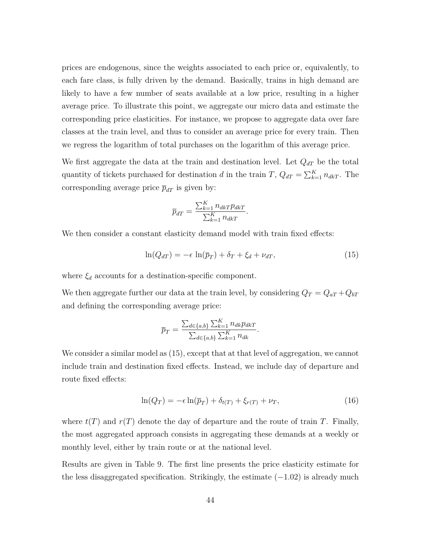prices are endogenous, since the weights associated to each price or, equivalently, to each fare class, is fully driven by the demand. Basically, trains in high demand are likely to have a few number of seats available at a low price, resulting in a higher average price. To illustrate this point, we aggregate our micro data and estimate the corresponding price elasticities. For instance, we propose to aggregate data over fare classes at the train level, and thus to consider an average price for every train. Then we regress the logarithm of total purchases on the logarithm of this average price.

We first aggregate the data at the train and destination level. Let  $Q_{dT}$  be the total quantity of tickets purchased for destination *d* in the train *T*,  $Q_{dT} = \sum_{k=1}^{K} n_{dkT}$ . The corresponding average price  $\bar{p}_{dT}$  is given by:

$$
\overline{p}_{dT} = \frac{\sum_{k=1}^{K} n_{dkT} p_{dkT}}{\sum_{k=1}^{K} n_{dkT}}
$$

We then consider a constant elasticity demand model with train fixed effects:

$$
\ln(Q_{dT}) = -\epsilon \ln(\overline{p}_T) + \delta_T + \xi_d + \nu_{dT},\tag{15}
$$

*.*

where  $\xi_d$  accounts for a destination-specific component.

We then aggregate further our data at the train level, by considering  $Q_T = Q_{aT} + Q_{bT}$ and defining the corresponding average price:

$$
\overline{p}_T = \frac{\sum_{d \in \{a,b\}} \sum_{k=1}^K n_{dk} p_{dkT}}{\sum_{d \in \{a,b\}} \sum_{k=1}^K n_{dk}}.
$$

We consider a similar model as (15), except that at that level of aggregation, we cannot include train and destination fixed effects. Instead, we include day of departure and route fixed effects:

$$
\ln(Q_T) = -\epsilon \ln(\overline{p}_T) + \delta_{t(T)} + \xi_{r(T)} + \nu_T,\tag{16}
$$

where  $t(T)$  and  $r(T)$  denote the day of departure and the route of train T. Finally, the most aggregated approach consists in aggregating these demands at a weekly or monthly level, either by train route or at the national level.

Results are given in Table 9. The first line presents the price elasticity estimate for the less disaggregated specification. Strikingly, the estimate (−1*.*02) is already much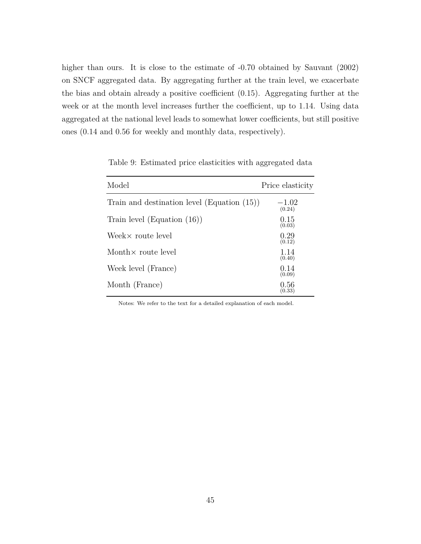higher than ours. It is close to the estimate of  $-0.70$  obtained by Sauvant (2002) on SNCF aggregated data. By aggregating further at the train level, we exacerbate the bias and obtain already a positive coefficient (0.15). Aggregating further at the week or at the month level increases further the coefficient, up to 1.14. Using data aggregated at the national level leads to somewhat lower coefficients, but still positive ones (0.14 and 0.56 for weekly and monthly data, respectively).

| Model                                          | Price elasticity  |
|------------------------------------------------|-------------------|
| Train and destination level (Equation $(15)$ ) | $-1.02$<br>(0.24) |
| Train level (Equation $(16)$ )                 | 0.15<br>(0.03)    |
| Week $\times$ route level                      | 0.29<br>(0.12)    |
| Month $\times$ route level                     | 1.14<br>(0.40)    |
| Week level (France)                            | 0.14<br>(0.09)    |
| Month (France)                                 | 0.56<br>(0.33)    |

Table 9: Estimated price elasticities with aggregated data

Notes: We refer to the text for a detailed explanation of each model.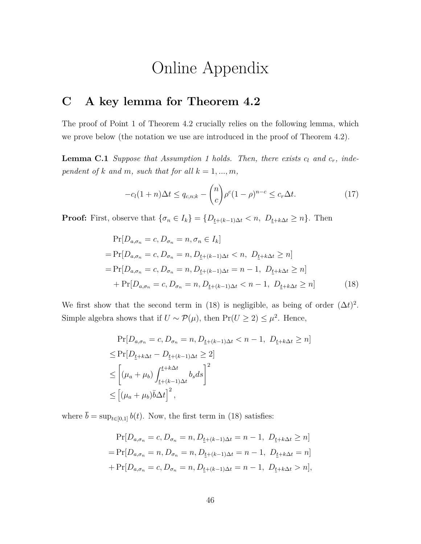# Online Appendix

### **C A key lemma for Theorem 4.2**

The proof of Point 1 of Theorem 4.2 crucially relies on the following lemma, which we prove below (the notation we use are introduced in the proof of Theorem 4.2).

**Lemma C.1** *Suppose that Assumption 1 holds. Then, there exists c<sup>l</sup> and cr, independent of*  $k$  *and*  $m$ *, such that for all*  $k = 1, ..., m$ *,* 

$$
-c_l(1+n)\Delta t \le q_{c,n;k} - \binom{n}{c} \rho^c (1-\rho)^{n-c} \le c_r \Delta t. \tag{17}
$$

**Proof:** First, observe that  $\{\sigma_n \in I_k\} = \{D_{\underline{t}+(k-1)\Delta t} < n, D_{\underline{t}+k\Delta t} \geq n\}$ . Then

$$
\Pr[D_{a,\sigma_n} = c, D_{\sigma_n} = n, \sigma_n \in I_k]
$$
  
=  $\Pr[D_{a,\sigma_n} = c, D_{\sigma_n} = n, D_{t+(k-1)\Delta t} < n, D_{t+k\Delta t} \ge n]$   
=  $\Pr[D_{a,\sigma_n} = c, D_{\sigma_n} = n, D_{t+(k-1)\Delta t} = n-1, D_{t+k\Delta t} \ge n]$   
+  $\Pr[D_{a,\sigma_n} = c, D_{\sigma_n} = n, D_{t+(k-1)\Delta t} < n-1, D_{t+k\Delta t} \ge n]$  (18)

We first show that the second term in (18) is negligible, as being of order  $(\Delta t)^2$ . Simple algebra shows that if  $U \sim \mathcal{P}(\mu)$ , then  $Pr(U \ge 2) \le \mu^2$ . Hence,

$$
\Pr[D_{a,\sigma_n} = c, D_{\sigma_n} = n, D_{\underline{t} + (k-1)\Delta t} < n-1, D_{\underline{t} + k\Delta t} \ge n]
$$
\n
$$
\le \Pr[D_{\underline{t} + k\Delta t} - D_{\underline{t} + (k-1)\Delta t} \ge 2]
$$
\n
$$
\le \left[ (\mu_a + \mu_b) \int_{\underline{t} + (k-1)\Delta t}^{\underline{t} + k\Delta t} b_s ds \right]^2
$$
\n
$$
\le \left[ (\mu_a + \mu_b) \bar{b} \Delta t \right]^2,
$$

where  $\bar{b} = \sup_{t \in [0,1]} b(t)$ . Now, the first term in (18) satisfies:

$$
\Pr[D_{a,\sigma_n} = c, D_{\sigma_n} = n, D_{t+(k-1)\Delta t} = n-1, D_{t+k\Delta t} \ge n]
$$
  
= 
$$
\Pr[D_{a,\sigma_n} = n, D_{\sigma_n} = n, D_{t+(k-1)\Delta t} = n-1, D_{t+k\Delta t} = n]
$$
  
+ 
$$
\Pr[D_{a,\sigma_n} = c, D_{\sigma_n} = n, D_{t+(k-1)\Delta t} = n-1, D_{t+k\Delta t} > n],
$$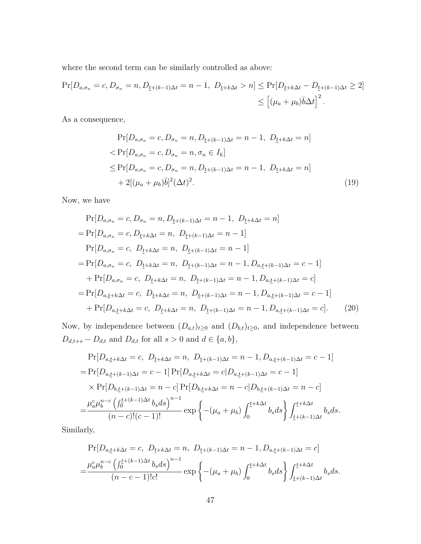where the second term can be similarly controlled as above:

$$
\Pr[D_{a,\sigma_n} = c, D_{\sigma_n} = n, D_{\underline{t} + (k-1)\Delta t} = n-1, D_{\underline{t} + k\Delta t} > n] \le \Pr[D_{\underline{t} + k\Delta t} - D_{\underline{t} + (k-1)\Delta t} \ge 2]
$$
  

$$
\le [(\mu_a + \mu_b)\bar{b}\Delta t]^2.
$$

As a consequence,

$$
\Pr[D_{a,\sigma_n} = c, D_{\sigma_n} = n, D_{\underline{t} + (k-1)\Delta t} = n - 1, D_{\underline{t} + k\Delta t} = n]
$$
  

$$
< \Pr[D_{a,\sigma_n} = c, D_{\sigma_n} = n, \sigma_n \in I_k]
$$
  

$$
\leq \Pr[D_{a,\sigma_n} = c, D_{\sigma_n} = n, D_{\underline{t} + (k-1)\Delta t} = n - 1, D_{\underline{t} + k\Delta t} = n]
$$
  

$$
+ 2[(\mu_a + \mu_b)\bar{b}]^2 (\Delta t)^2.
$$
 (19)

Now, we have

$$
\Pr[D_{a,\sigma_n} = c, D_{\sigma_n} = n, D_{\underline{t} + (k-1)\Delta t} = n - 1, D_{\underline{t} + k\Delta t} = n]
$$
\n
$$
= \Pr[D_{a,\sigma_n} = c, D_{\underline{t} + k\Delta t} = n, D_{\underline{t} + (k-1)\Delta t} = n - 1]
$$
\n
$$
\Pr[D_{a,\sigma_n} = c, D_{\underline{t} + k\Delta t} = n, D_{\underline{t} + (k-1)\Delta t} = n - 1]
$$
\n
$$
= \Pr[D_{a,\sigma_n} = c, D_{\underline{t} + k\Delta t} = n, D_{\underline{t} + (k-1)\Delta t} = n - 1, D_{a,\underline{t} + (k-1)\Delta t} = c - 1]
$$
\n
$$
+ \Pr[D_{a,\sigma_n} = c, D_{\underline{t} + k\Delta t} = n, D_{\underline{t} + (k-1)\Delta t} = n - 1, D_{a,\underline{t} + (k-1)\Delta t} = c]
$$
\n
$$
= \Pr[D_{a,\underline{t} + k\Delta t} = c, D_{\underline{t} + k\Delta t} = n, D_{\underline{t} + (k-1)\Delta t} = n - 1, D_{a,\underline{t} + (k-1)\Delta t} = c - 1]
$$
\n
$$
+ \Pr[D_{a,\underline{t} + k\Delta t} = c, D_{\underline{t} + k\Delta t} = n, D_{\underline{t} + (k-1)\Delta t} = n - 1, D_{a,\underline{t} + (k-1)\Delta t} = c]. \tag{20}
$$

Now, by independence between  $(D_{a,t})_{t\geq 0}$  and  $(D_{b,t})_{t\geq 0}$ , and independence between  $D_{d,t+s} - D_{d,t}$  and  $D_{d,t}$  for all  $s > 0$  and  $d \in \{a, b\}$ ,

$$
\Pr[D_{a,\underline{t}+k\Delta t} = c, D_{\underline{t}+k\Delta t} = n, D_{\underline{t}+(k-1)\Delta t} = n-1, D_{a,\underline{t}+(k-1)\Delta t} = c-1]
$$
\n
$$
= \Pr[D_{a,\underline{t}+(k-1)\Delta t} = c-1] \Pr[D_{a,\underline{t}+k\Delta t} = c|D_{a,\underline{t}+(k-1)\Delta t} = c-1]
$$
\n
$$
\times \Pr[D_{b,\underline{t}+(k-1)\Delta t} = n-c] \Pr[D_{b,\underline{t}+k\Delta t} = n-c|D_{b,\underline{t}+(k-1)\Delta t} = n-c]
$$
\n
$$
= \frac{\mu_a^c \mu_b^{n-c} \left(\int_0^{\underline{t}+(k-1)\Delta t} b_s ds\right)^{n-1}}{(n-c)!(c-1)!} \exp\left\{-(\mu_a + \mu_b) \int_0^{\underline{t}+k\Delta t} b_s ds\right\} \int_{\underline{t}+(k-1)\Delta t}^{\underline{t}+k\Delta t} b_s ds.
$$

Similarly,

$$
\Pr[D_{a,\underline{t}+k\Delta t} = c, D_{\underline{t}+k\Delta t} = n, D_{\underline{t}+(k-1)\Delta t} = n-1, D_{a,\underline{t}+(k-1)\Delta t} = c]
$$
  

$$
= \frac{\mu_a^c \mu_b^{n-c} \left(\int_0^{\underline{t}+(k-1)\Delta t} b_s ds\right)^{n-1}}{(n-c-1)!c!} \exp\left\{-(\mu_a + \mu_b) \int_0^{\underline{t}+k\Delta t} b_s ds\right\} \int_{\underline{t}+(k-1)\Delta t}^{\underline{t}+k\Delta t} b_s ds.
$$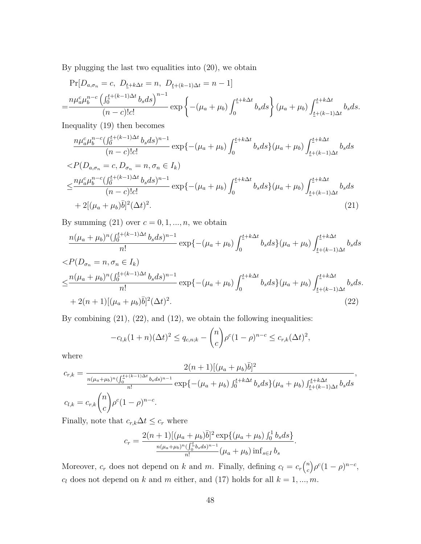By plugging the last two equalities into (20), we obtain

$$
\Pr[D_{a,\sigma_n} = c, D_{\underline{t}+k\Delta t} = n, D_{\underline{t}+(k-1)\Delta t} = n-1]
$$
  
= 
$$
\frac{n\mu_a^c\mu_b^{n-c}\left(\int_0^{\underline{t}+(k-1)\Delta t} b_s ds\right)^{n-1}}{(n-c)!c!} \exp\left\{-(\mu_a + \mu_b)\int_0^{\underline{t}+k\Delta t} b_s ds\right\} (\mu_a + \mu_b) \int_{\underline{t}+(k-1)\Delta t}^{\underline{t}+k\Delta t} b_s ds.
$$

Inequality (19) then becomes

$$
\frac{n\mu_a^c\mu_b^{n-c}(\int_0^{\underline{t}+(k-1)\Delta t} b_s ds)^{n-1}}{(n-c)!c!} \exp\left\{-\left(\mu_a + \mu_b\right) \int_0^{\underline{t}+k\Delta t} b_s ds\right\}\left(\mu_a + \mu_b\right) \int_{\underline{t}+(k-1)\Delta t}^{\underline{t}+k\Delta t} b_s ds
$$

$$
\langle P(D_{a,\sigma_{n}} = c, D_{\sigma_{n}} = n, \sigma_{n} \in I_{k})
$$
  

$$
\leq \frac{n\mu_{a}^{c}\mu_{b}^{n-c}(\int_{0}^{\frac{t}{c}+(k-1)\Delta t} b_{s} ds)^{n-1}}{(n-c)!c!} \exp\left\{-(\mu_{a} + \mu_{b}) \int_{0}^{\frac{t}{c}+k\Delta t} b_{s} ds\} (\mu_{a} + \mu_{b}) \int_{\frac{t}{c}+(k-1)\Delta t}^{\frac{t}{c}+k\Delta t} b_{s} ds
$$
  
+ 2[(\mu\_{a} + \mu\_{b})\overline{b}]^{2} (\Delta t)^{2}. (21)

By summing  $(21)$  over  $c = 0, 1, ..., n$ , we obtain

$$
\frac{n(\mu_a + \mu_b)^n (\int_0^{\underline{t} + (k-1)\Delta t} b_s ds)^{n-1}}{n!} \exp\left\{ -(\mu_a + \mu_b) \int_0^{\underline{t} + k\Delta t} b_s ds \right\} (\mu_a + \mu_b) \int_{\underline{t} + (k-1)\Delta t}^{\underline{t} + k\Delta t} b_s ds
$$

$$
\langle P(D_{\sigma_n} = n, \sigma_n \in I_k) \rangle
$$
  
\n
$$
\leq \frac{n(\mu_a + \mu_b)^n (\int_0^{t + (k-1)\Delta t} b_s ds)^{n-1}}{n!} \exp\{-(\mu_a + \mu_b) \int_0^{t + k\Delta t} b_s ds\} (\mu_a + \mu_b) \int_{t + (k-1)\Delta t}^{t + k\Delta t} b_s ds.
$$
  
\n+ 2(n+1)[(\mu\_a + \mu\_b)\bar{b}]^2 (\Delta t)^2. (22)

By combining  $(21)$ ,  $(22)$ , and  $(12)$ , we obtain the following inequalities:

$$
-c_{l,k}(1+n)(\Delta t)^2 \le q_{c,n;k} - {n \choose c} \rho^c (1-\rho)^{n-c} \le c_{r,k} (\Delta t)^2,
$$

where

$$
c_{r,k} = \frac{2(n+1)[(\mu_a + \mu_b)\bar{b}]^2}{\frac{n(\mu_a + \mu_b)^n(\int_0^{\frac{t}{L} + (k-1)\Delta t} b_s ds)^{n-1}}{n!}} \exp\{-(\mu_a + \mu_b) \int_0^{\frac{t}{L} + k\Delta t} b_s ds\} (\mu_a + \mu_b) \int_{\frac{t}{L} + (k-1)\Delta t}^{\frac{t}{L} + k\Delta t} b_s ds
$$
  

$$
c_{l,k} = c_{r,k} {n \choose c} \rho^c (1-\rho)^{n-c}.
$$

Finally, note that  $c_{r,k} \Delta t \leq c_r$  where

$$
c_r = \frac{2(n+1)[(\mu_a + \mu_b)\bar{b}]^2 \exp\{(\mu_a + \mu_b) \int_0^1 b_s ds\}}{\frac{n(\mu_a + \mu_b)^n (\int_0^t b_s ds)^{n-1}}{n!} (\mu_a + \mu_b) \inf_{s \in I} b_s}.
$$

Moreover,  $c_r$  does not depend on *k* and *m*. Finally, defining  $c_l = c_r \binom{n}{c}$ *c*  $(\rho^c(1-\rho)^{n-c})$  $c_l$  does not depend on  $k$  and  $m$  either, and (17) holds for all  $k = 1, ..., m$ .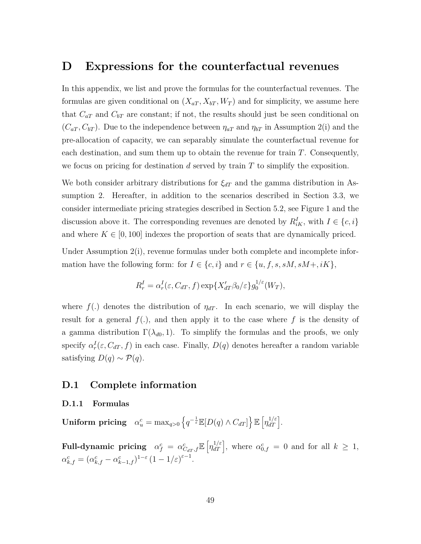### **D Expressions for the counterfactual revenues**

In this appendix, we list and prove the formulas for the counterfactual revenues. The formulas are given conditional on  $(X_{aT}, X_{bT}, W_T)$  and for simplicity, we assume here that  $C_{aT}$  and  $C_{bT}$  are constant; if not, the results should just be seen conditional on  $(C_{aT}, C_{bT})$ . Due to the independence between  $\eta_{aT}$  and  $\eta_{bT}$  in Assumption 2(i) and the pre-allocation of capacity, we can separably simulate the counterfactual revenue for each destination, and sum them up to obtain the revenue for train *T*. Consequently, we focus on pricing for destination *d* served by train *T* to simplify the exposition.

We both consider arbitrary distributions for  $\xi_{dT}$  and the gamma distribution in Assumption 2. Hereafter, in addition to the scenarios described in Section 3.3, we consider intermediate pricing strategies described in Section 5.2, see Figure 1 and the discussion above it. The corresponding revenues are denoted by  $R^I_{iK}$ , with  $I \in \{c, i\}$ and where  $K \in [0, 100]$  indexes the proportion of seats that are dynamically priced.

Under Assumption 2(i), revenue formulas under both complete and incomplete information have the following form: for  $I \in \{c, i\}$  and  $r \in \{u, f, s, sM, sM, iK\},\$ 

$$
R_r^I = \alpha_r^I(\varepsilon, C_{dT}, f) \exp\{X'_{dT}\beta_0/\varepsilon\} g_0^{1/\varepsilon}(W_T),
$$

where  $f(.)$  denotes the distribution of  $\eta_{dT}$ . In each scenario, we will display the result for a general *f*(*.*), and then apply it to the case where *f* is the density of a gamma distribution  $\Gamma(\lambda_{d0}, 1)$ . To simplify the formulas and the proofs, we only specify  $\alpha_r^I(\varepsilon, C_{dT}, f)$  in each case. Finally,  $D(q)$  denotes hereafter a random variable satisfying  $D(q) \sim \mathcal{P}(q)$ .

#### **D.1 Complete information**

#### **D.1.1 Formulas**

 $\textbf{Uniform pricing} \quad \alpha_u^c = \max_{q>0} \left\{ q^{-\frac{1}{\varepsilon}} \mathbb{E}[D(q) \wedge C_{dT}] \right\} \mathbb{E} \left[ \eta_{dT}^{1/\varepsilon} \right].$ 

Full-dynamic pricing  $\alpha_f^c = \alpha_{C_{dT},f}^c \mathbb{E} \left[ \eta_{dT}^{1/\varepsilon} \right]$ , where  $\alpha_{0,f}^c = 0$  and for all  $k \geq 1$ ,  $\alpha_{k,f}^c = (\alpha_{k,f}^c - \alpha_{k-1,f}^c)^{1-\varepsilon} (1 - 1/\varepsilon)^{\varepsilon-1}.$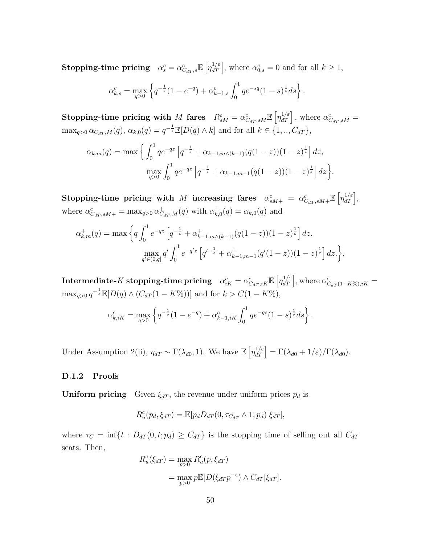**Stopping-time pricing**  $\alpha_s^c = \alpha_{Car,s}^c \mathbb{E} \left[ \eta_{dT}^{1/\varepsilon} \right]$ , where  $\alpha_{0,s}^c = 0$  and for all  $k \geq 1$ ,

$$
\alpha_{k,s}^c = \max_{q>0} \left\{ q^{-\frac{1}{\varepsilon}} (1 - e^{-q}) + \alpha_{k-1,s}^c \int_0^1 q e^{-sq} (1 - s)^{\frac{1}{\varepsilon}} ds \right\}.
$$

**Stopping-time pricing with** M fares  $R_{sM}^c = \alpha_{C_{dT},sM}^c \mathbb{E} \left[ \eta_{dT}^{1/\varepsilon} \right]$ , where  $\alpha_{C_{dT},sM}^c =$  $\max_{q>0} \alpha_{C_{dT},M}(q), \alpha_{k,0}(q) = q^{-\frac{1}{\varepsilon}} \mathbb{E}[D(q) \wedge k]$  and for all  $k \in \{1, ..., C_{dT}\},$ 

$$
\alpha_{k,m}(q) = \max \left\{ \int_0^1 q e^{-qz} \left[ q^{-\frac{1}{\varepsilon}} + \alpha_{k-1,m} \wedge (k-1) (q(1-z))(1-z)^{\frac{1}{\varepsilon}} \right] dz, \right\}
$$

$$
\max_{q>0} \int_0^1 q e^{-qz} \left[ q^{-\frac{1}{\varepsilon}} + \alpha_{k-1,m-1} (q(1-z))(1-z)^{\frac{1}{\varepsilon}} \right] dz \right\}.
$$

 $\textbf{Stoping-time pricing with}\;\; M\;\; \textbf{increasing \; fares} \;\;\; \alpha^c_{sM+} \; = \; \alpha^c_{C_{dT},sM+} \mathbb{E}\left[\eta_{dT}^{1/\varepsilon}\right],$ where  $\alpha_{C_{dT},sM+}^{c} = \max_{q>0} \alpha_{C_{dT},M}^{+}(q)$  with  $\alpha_{k,0}^{+}(q) = \alpha_{k,0}(q)$  and

$$
\alpha_{k,m}^+(q) = \max \left\{ q \int_0^1 e^{-qz} \left[ q^{-\frac{1}{\varepsilon}} + \alpha_{k-1,m \wedge (k-1)}^+(q(1-z))(1-z)^{\frac{1}{\varepsilon}} \right] dz, \right\}
$$

$$
\max_{q' \in (0,q]} q' \int_0^1 e^{-q'z} \left[ q'^{-\frac{1}{\varepsilon}} + \alpha_{k-1,m-1}^+(q'(1-z))(1-z)^{\frac{1}{\varepsilon}} \right] dz.
$$

 $\textbf{Intermediate-}K \textbf{ stopping-time pricing} \quad \alpha^c_{iK} = \alpha^c_{C_{dT},iK} \mathbb{E}\left[\eta_{dT}^{1/\varepsilon}\right], \text{where } \alpha^c_{C_{dT}(1-K\%),iK} = 0.$  $\max_{q>0} q^{-\frac{1}{\varepsilon}} \mathbb{E}[D(q) \wedge (C_{dT}(1 - K\))]$  and for  $k > C(1 - K\%)$ ,

$$
\alpha_{k,iK}^c = \max_{q>0} \left\{ q^{-\frac{1}{\varepsilon}} (1 - e^{-q}) + \alpha_{k-1,iK}^c \int_0^1 q e^{-qs} (1 - s)^{\frac{1}{\varepsilon}} ds \right\}.
$$

Under Assumption 2(ii),  $\eta_{dT} \sim \Gamma(\lambda_{d0}, 1)$ . We have  $\mathbb{E} \left[ \eta_{dT}^{1/\varepsilon} \right] = \Gamma(\lambda_{d0} + 1/\varepsilon) / \Gamma(\lambda_{d0})$ .

#### **D.1.2 Proofs**

**Uniform pricing** Given  $\xi_{dT}$ , the revenue under uniform prices  $p_d$  is

$$
R_u^c(p_d, \xi_{dT}) = \mathbb{E}[p_d D_{dT}(0, \tau_{C_{dT}} \wedge 1; p_d) | \xi_{dT}],
$$

where  $\tau_C = \inf\{t : D_{dT}(0, t; p_d) \geq C_{dT}\}$  is the stopping time of selling out all  $C_{dT}$ seats. Then,

$$
R_u^c(\xi_{dT}) = \max_{p>0} R_u^c(p, \xi_{dT})
$$
  
= 
$$
\max_{p>0} p \mathbb{E}[D(\xi_{dT} p^{-\varepsilon}) \wedge C_{dT} | \xi_{dT}].
$$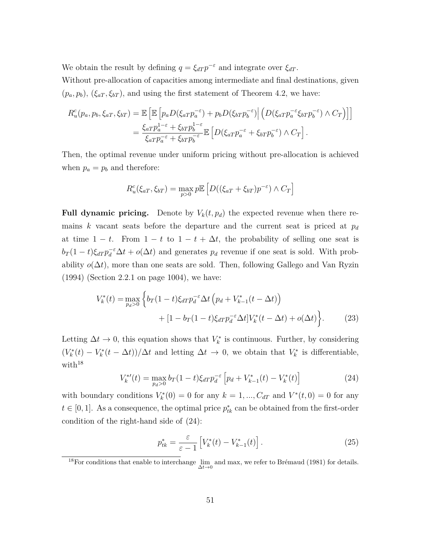We obtain the result by defining  $q = \xi_{dT} p^{-\varepsilon}$  and integrate over  $\xi_{dT}$ .

Without pre-allocation of capacities among intermediate and final destinations, given  $(p_a, p_b)$ ,  $(\xi_{aT}, \xi_{bT})$ , and using the first statement of Theorem 4.2, we have:

$$
R_u^c(p_a, p_b, \xi_{aT}, \xi_{bT}) = \mathbb{E}\left[\mathbb{E}\left[p_a D(\xi_{aT} p_a^{-\varepsilon}) + p_b D(\xi_{bT} p_b^{-\varepsilon})\middle|\left(D(\xi_{aT} p_a^{-\varepsilon} \xi_{bT} p_b^{-\varepsilon}) \wedge C_T\right)\right]\right]
$$

$$
= \frac{\xi_{aT} p_a^{1-\varepsilon} + \xi_{bT} p_b^{1-\varepsilon}}{\xi_{aT} p_a^{-\varepsilon} + \xi_{bT} p_b^{-\varepsilon}} \mathbb{E}\left[D(\xi_{aT} p_a^{-\varepsilon} + \xi_{bT} p_b^{-\varepsilon}) \wedge C_T\right].
$$

Then, the optimal revenue under uniform pricing without pre-allocation is achieved when  $p_a = p_b$  and therefore:

$$
R_u^c(\xi_{aT}, \xi_{bT}) = \max_{p>0} p \mathbb{E}\left[D((\xi_{aT} + \xi_{bT})p^{-\varepsilon}) \wedge C_T\right]
$$

**Full dynamic pricing.** Denote by  $V_k(t, p_d)$  the expected revenue when there remains *k* vacant seats before the departure and the current seat is priced at *p<sup>d</sup>* at time  $1 - t$ . From  $1 - t$  to  $1 - t + \Delta t$ , the probability of selling one seat is  $b_T(1-t)\xi_{dT} p_d^{-\epsilon} \Delta t + o(\Delta t)$  and generates  $p_d$  revenue if one seat is sold. With probability  $o(\Delta t)$ , more than one seats are sold. Then, following Gallego and Van Ryzin (1994) (Section 2.2.1 on page 1004), we have:

$$
V_k^*(t) = \max_{p_d>0} \left\{ b_T(1-t)\xi_{dT} p_d^{-\epsilon} \Delta t \left( p_d + V_{k-1}^*(t-\Delta t) \right) + [1-b_T(1-t)\xi_{dT} p_d^{-\epsilon} \Delta t] V_k^*(t-\Delta t) + o(\Delta t) \right\}.
$$
 (23)

Letting  $\Delta t \to 0$ , this equation shows that  $V_k^*$  is continuous. Further, by considering  $(V_k^*(t) - V_k^*(t - \Delta t))/\Delta t$  and letting  $\Delta t \to 0$ , we obtain that  $V_k^*$  is differentiable, with $18$ 

$$
V_k^{*'}(t) = \max_{p_d>0} b_T(1-t)\xi_{dT} p_d^{-\varepsilon} \left[ p_d + V_{k-1}^*(t) - V_k^*(t) \right]
$$
 (24)

with boundary conditions  $V_k^*(0) = 0$  for any  $k = 1, ..., C_{dT}$  and  $V^*(t, 0) = 0$  for any  $t \in [0, 1]$ . As a consequence, the optimal price  $p_{tk}^*$  can be obtained from the first-order condition of the right-hand side of (24):

$$
p_{tk}^* = \frac{\varepsilon}{\varepsilon - 1} \left[ V_k^*(t) - V_{k-1}^*(t) \right]. \tag{25}
$$

<sup>&</sup>lt;sup>18</sup>For conditions that enable to interchange  $\lim_{\Delta t \to 0}$  and max, we refer to Brémaud (1981) for details.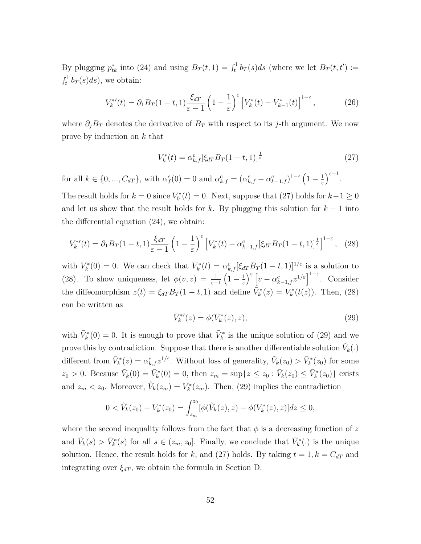By plugging  $p_{tk}^*$  into (24) and using  $B_T(t,1) = \int_t^1 b_T(s)ds$  (where we let  $B_T(t,t') :=$  $\int_t^1 b_T(s)ds$ , we obtain:

$$
V_k^{*'}(t) = \partial_1 B_T (1-t,1) \frac{\xi_{dT}}{\varepsilon - 1} \left( 1 - \frac{1}{\varepsilon} \right)^{\varepsilon} \left[ V_k^*(t) - V_{k-1}^*(t) \right]^{1-\varepsilon},\tag{26}
$$

where  $\partial_j B_T$  denotes the derivative of  $B_T$  with respect to its *j*-th argument. We now prove by induction on *k* that

$$
V_k^*(t) = \alpha_{k,f}^c [\xi_{dT} B_T (1-t, 1)]^{\frac{1}{\varepsilon}}
$$
\n(27)

for all  $k \in \{0, ..., C_{dT}\}$ , with  $\alpha_f^c(0) = 0$  and  $\alpha_{k,f}^c = (\alpha_{k,f}^c - \alpha_{k-1,f}^c)^{1-\varepsilon} (1 - \frac{1}{\varepsilon})$ *ε*  $\Big)^{\varepsilon-1}.$ 

The result holds for  $k = 0$  since  $V_0^*(t) = 0$ . Next, suppose that (27) holds for  $k - 1 \ge 0$ and let us show that the result holds for  $k$ . By plugging this solution for  $k-1$  into the differential equation (24), we obtain:

$$
V_k^{*\prime}(t) = \partial_1 B_T (1-t,1) \frac{\xi_{dT}}{\varepsilon - 1} \left( 1 - \frac{1}{\varepsilon} \right)^{\varepsilon} \left[ V_k^*(t) - \alpha_{k-1,f}^c [\xi_{dT} B_T (1-t,1)]^{\frac{1}{\varepsilon}} \right]^{1-\varepsilon}, \tag{28}
$$

with  $V_k^*(0) = 0$ . We can check that  $V_k^*(t) = \alpha_{k,f}^c[\xi_{dT}B_T(1-t,1)]^{1/\varepsilon}$  is a solution to (28). To show uniqueness, let  $\phi(v, z) = \frac{1}{\varepsilon - 1}$  $\left(1-\frac{1}{\epsilon}\right)$ *ε*  $\int_{c}^{\varepsilon} \left[ v - \alpha_{k-1,f}^{c} z^{1/\varepsilon} \right]^{1-\varepsilon}$ . Consider the diffeomorphism  $z(t) = \xi_{dT}B_T(1-t,1)$  and define  $\bar{V}_k^*(z) = V_k^*(t(z))$ . Then, (28) can be written as

$$
\bar{V}_k^{*\prime}(z) = \phi(\bar{V}_k^*(z), z),\tag{29}
$$

with  $\bar{V}_k^*(0) = 0$ . It is enough to prove that  $\bar{V}_k^*$  is the unique solution of (29) and we prove this by contradiction. Suppose that there is another differentiable solution  $\tilde{V}_k(.)$ different from  $\bar{V}_k^*(z) = \alpha_{k,f}^c z^{1/\varepsilon}$ . Without loss of generality,  $\tilde{V}_k(z_0) > \bar{V}_k^*(z_0)$  for some  $z_0 > 0$ . Because  $\tilde{V}_k(0) = \bar{V}_k^*(0) = 0$ , then  $z_m = \sup\{z \le z_0 : \tilde{V}_k(z_0) \le \bar{V}_k^*(z_0)\}\)$  exists and  $z_m < z_0$ . Moreover,  $\tilde{V}_k(z_m) = \bar{V}_k^*(z_m)$ . Then, (29) implies the contradiction

$$
0 < \tilde{V}_k(z_0) - \bar{V}_k^*(z_0) = \int_{z_m}^{z_0} [\phi(\tilde{V}_k(z), z) - \phi(\bar{V}_k^*(z), z)] dz \le 0,
$$

where the second inequality follows from the fact that  $\phi$  is a decreasing function of  $z$ and  $\tilde{V}_k(s) > \bar{V}_k^*(s)$  for all  $s \in (z_m, z_0]$ . Finally, we conclude that  $\bar{V}_k^*(.)$  is the unique solution. Hence, the result holds for *k*, and (27) holds. By taking  $t = 1, k = C_{dT}$  and integrating over  $\xi_{dT}$ , we obtain the formula in Section D.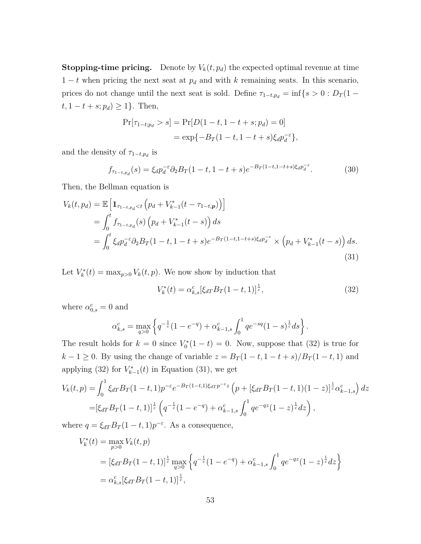**Stopping-time pricing.** Denote by  $V_k(t, p_d)$  the expected optimal revenue at time  $1 - t$  when pricing the next seat at  $p_d$  and with *k* remaining seats. In this scenario, prices do not change until the next seat is sold. Define  $\tau_{1-t,p_d} = \inf\{s > 0 : D_T(1-t)$ *t*, 1 − *t* + *s*; *pd*) ≥ 1}. Then,

$$
Pr[\tau_{1-t;p_d} > s] = Pr[D(1-t, 1-t+s; p_d) = 0]
$$
  
= 
$$
\exp{-B_T(1-t, 1-t+s)\xi_d p_d^{-\epsilon}},
$$

and the density of  $\tau_{1-t,p_d}$  is

$$
f_{\tau_{1-t,p_d}}(s) = \xi_d p_d^{-\varepsilon} \partial_2 B_T (1-t, 1-t+s) e^{-B_T (1-t, 1-t+s)\xi_d p_d^{-\varepsilon}}.
$$
 (30)

Then, the Bellman equation is

$$
V_k(t, p_d) = \mathbb{E}\left[\mathbf{1}_{\tau_{1-t, p_d} < t} \left(p_d + V_{k-1}^*(t - \tau_{1-t, p})\right)\right]
$$
\n
$$
= \int_0^t f_{\tau_{1-t, p_d}}(s) \left(p_d + V_{k-1}^*(t - s)\right) ds
$$
\n
$$
= \int_0^t \xi_d p_d^{-\varepsilon} \partial_2 B_T(1 - t, 1 - t + s) e^{-B_T(1 - t, 1 - t + s)} \xi_d p_d^{-\varepsilon} \times \left(p_d + V_{k-1}^*(t - s)\right) ds.
$$
\n(31)

Let  $V_k^*(t) = \max_{p>0} V_k(t, p)$ . We now show by induction that

$$
V_k^*(t) = \alpha_{k,s}^c [\xi_{dT} B_T (1-t, 1)]^{\frac{1}{\varepsilon}},\tag{32}
$$

where  $\alpha_{0,s}^c = 0$  and

$$
\alpha_{k,s}^c = \max_{q>0} \left\{ q^{-\frac{1}{\varepsilon}} (1 - e^{-q}) + \alpha_{k-1,s}^c \int_0^1 q e^{-sq} (1 - s)^{\frac{1}{\varepsilon}} ds \right\}.
$$

The result holds for  $k = 0$  since  $V_0^*(1 - t) = 0$ . Now, suppose that (32) is true for *k* − 1 ≥ 0. By using the change of variable  $z = B_T(1-t, 1-t+s)/B_T(1-t, 1)$  and applying (32) for  $V_{k-1}^*(t)$  in Equation (31), we get

$$
V_k(t,p) = \int_0^1 \xi_{dT} B_T (1-t,1) p^{-\varepsilon} e^{-B_T (1-t,1)\xi_{dT} p^{-\varepsilon} z} \left( p + [\xi_{dT} B_T (1-t,1)(1-z)]^{\frac{1}{\varepsilon}} \alpha_{k-1,s}^c \right) dz
$$
  
=  $[\xi_{dT} B_T (1-t,1)]^{\frac{1}{\varepsilon}} \left( q^{-\frac{1}{\varepsilon}} (1-e^{-q}) + \alpha_{k-1,s}^c \int_0^1 q e^{-qz} (1-z)^{\frac{1}{\varepsilon}} dz \right),$ 

where  $q = \xi_{dT}B_T(1-t,1)p^{-\varepsilon}$ . As a consequence,

$$
V_k^*(t) = \max_{p>0} V_k(t, p)
$$
  
=  $[\xi_{dT}B_T(1-t, 1)]^{\frac{1}{\varepsilon}} \max_{q>0} \left\{ q^{-\frac{1}{\varepsilon}} (1 - e^{-q}) + \alpha_{k-1,s}^c \int_0^1 q e^{-qz} (1-z)^{\frac{1}{\varepsilon}} dz \right\}$   
=  $\alpha_{k,s}^c [\xi_{dT}B_T(1-t, 1)]^{\frac{1}{\varepsilon}},$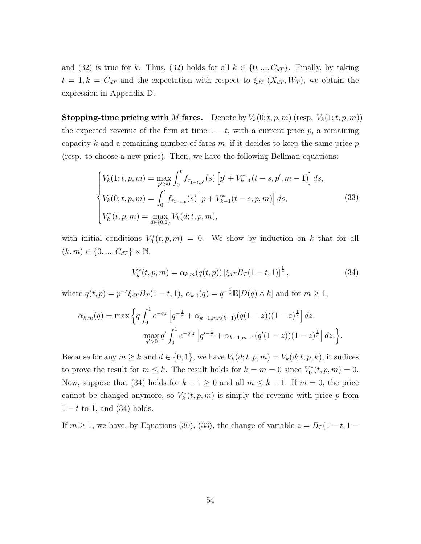and (32) is true for *k*. Thus, (32) holds for all  $k \in \{0, ..., C_{dT}\}$ . Finally, by taking  $t = 1, k = C_{dT}$  and the expectation with respect to  $\xi_{dT} | (X_{dT}, W_T)$ , we obtain the expression in Appendix D.

**Stopping-time pricing with** *M* **fares.** Denote by  $V_k(0; t, p, m)$  (resp.  $V_k(1; t, p, m)$ ) the expected revenue of the firm at time  $1 - t$ , with a current price p, a remaining capacity *k* and a remaining number of fares *m*, if it decides to keep the same price *p* (resp. to choose a new price). Then, we have the following Bellman equations:

$$
\begin{cases}\nV_k(1;t,p,m) = \max_{p' > 0} \int_0^t f_{\tau_{1-t,p'}}(s) \left[ p' + V_{k-1}^*(t-s,p',m-1) \right] ds, \\
V_k(0;t,p,m) = \int_0^t f_{\tau_{1-t,p}}(s) \left[ p + V_{k-1}^*(t-s,p,m) \right] ds, \\
V_k^*(t,p,m) = \max_{d \in \{0,1\}} V_k(d;t,p,m),\n\end{cases} \tag{33}
$$

with initial conditions  $V_0^*(t, p, m) = 0$ . We show by induction on k that for all  $(k, m) \in \{0, ..., C_{dT}\} \times \mathbb{N},$ 

$$
V_k^*(t, p, m) = \alpha_{k,m}(q(t, p)) \left[\xi_{dT} B_T(1-t, 1)\right]^{\frac{1}{\varepsilon}},\tag{34}
$$

where  $q(t, p) = p^{-\varepsilon} \xi_{dT} B_T (1-t, 1), \ \alpha_{k,0}(q) = q^{-\frac{1}{\varepsilon}} \mathbb{E}[D(q) \wedge k]$  and for  $m \ge 1$ ,

$$
\alpha_{k,m}(q) = \max \left\{ q \int_0^1 e^{-qz} \left[ q^{-\frac{1}{\varepsilon}} + \alpha_{k-1,m} \wedge (k-1) (q(1-z))(1-z)^{\frac{1}{\varepsilon}} \right] dz, \right\}
$$

$$
\max_{q' > 0} q' \int_0^1 e^{-q'z} \left[ q'^{-\frac{1}{\varepsilon}} + \alpha_{k-1,m-1} (q'(1-z))(1-z)^{\frac{1}{\varepsilon}} \right] dz.
$$

Because for any  $m \geq k$  and  $d \in \{0, 1\}$ , we have  $V_k(d; t, p, m) = V_k(d; t, p, k)$ , it suffices to prove the result for  $m \leq k$ . The result holds for  $k = m = 0$  since  $V_0^*(t, p, m) = 0$ . Now, suppose that (34) holds for  $k - 1 \ge 0$  and all  $m \le k - 1$ . If  $m = 0$ , the price cannot be changed anymore, so  $V_k^*(t, p, m)$  is simply the revenue with price p from  $1 - t$  to 1, and (34) holds.

If  $m \geq 1$ , we have, by Equations (30), (33), the change of variable  $z = B_T(1-t, 1-t)$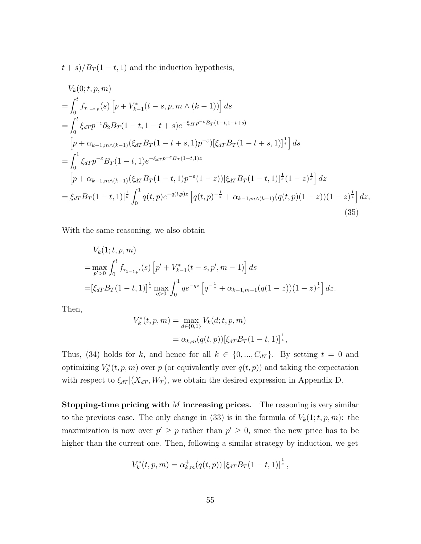$t + s$ / $B_T$ (1 − *t*, 1) and the induction hypothesis,

$$
V_{k}(0; t, p, m)
$$
\n
$$
= \int_{0}^{t} f_{\tau_{1-t,p}}(s) \left[ p + V_{k-1}^{*}(t-s, p, m \wedge (k-1)) \right] ds
$$
\n
$$
= \int_{0}^{t} \xi_{dT} p^{-\varepsilon} \partial_{2} B_{T} (1-t, 1-t+s) e^{-\xi_{dT} p^{-\varepsilon} B_{T} (1-t, 1-t+s)}
$$
\n
$$
\left[ p + \alpha_{k-1,m} \wedge (k-1) (\xi_{dT} B_{T} (1-t+s, 1) p^{-\varepsilon}) [\xi_{dT} B_{T} (1-t+s, 1)]^{\frac{1}{\varepsilon}} \right] ds
$$
\n
$$
= \int_{0}^{1} \xi_{dT} p^{-\varepsilon} B_{T} (1-t, 1) e^{-\xi_{dT} p^{-\varepsilon} B_{T} (1-t, 1) z}
$$
\n
$$
\left[ p + \alpha_{k-1,m} \wedge (k-1) (\xi_{dT} B_{T} (1-t, 1) p^{-\varepsilon} (1-z)) [\xi_{dT} B_{T} (1-t, 1)]^{\frac{1}{\varepsilon}} (1-z)^{\frac{1}{\varepsilon}} \right] dz
$$
\n
$$
= [\xi_{dT} B_{T} (1-t, 1)]^{\frac{1}{\varepsilon}} \int_{0}^{1} q(t, p) e^{-q(t, p) z} \left[ q(t, p)^{-\frac{1}{\varepsilon}} + \alpha_{k-1,m} \wedge (k-1) (q(t, p) (1-z)) (1-z)^{\frac{1}{\varepsilon}} \right] dz,
$$
\n(35)

With the same reasoning, we also obtain

$$
V_k(1;t,p,m)
$$
  
=  $\max_{p' > 0} \int_0^t f_{\tau_{1-t,p'}}(s) \left[ p' + V_{k-1}^*(t-s,p',m-1) \right] ds$   
=  $\left[ \xi_{dT} B_T(1-t,1) \right]^{\frac{1}{\varepsilon}} \max_{q>0} \int_0^1 q e^{-qz} \left[ q^{-\frac{1}{\varepsilon}} + \alpha_{k-1,m-1} (q(1-z))(1-z)^{\frac{1}{\varepsilon}} \right] dz.$ 

Then,

$$
V_k^*(t, p, m) = \max_{d \in \{0, 1\}} V_k(d; t, p, m)
$$
  
=  $\alpha_{k,m}(q(t, p)) [\xi_{dT} B_T(1-t, 1)]^{\frac{1}{\varepsilon}},$ 

Thus, (34) holds for *k*, and hence for all  $k \in \{0, ..., C_{dT}\}$ . By setting  $t = 0$  and optimizing  $V_k^*(t, p, m)$  over  $p$  (or equivalently over  $q(t, p)$ ) and taking the expectation with respect to  $\xi_{dT} | (X_{dT}, W_T)$ , we obtain the desired expression in Appendix D.

**Stopping-time pricing with** *M* **increasing prices.** The reasoning is very similar to the previous case. The only change in (33) is in the formula of  $V_k(1; t, p, m)$ : the maximization is now over  $p' \geq p$  rather than  $p' \geq 0$ , since the new price has to be higher than the current one. Then, following a similar strategy by induction, we get

$$
V_k^*(t, p, m) = \alpha_{k,m}^+(q(t, p)) \left[ \xi_{dT} B_T(1-t, 1) \right]^{\frac{1}{\varepsilon}},
$$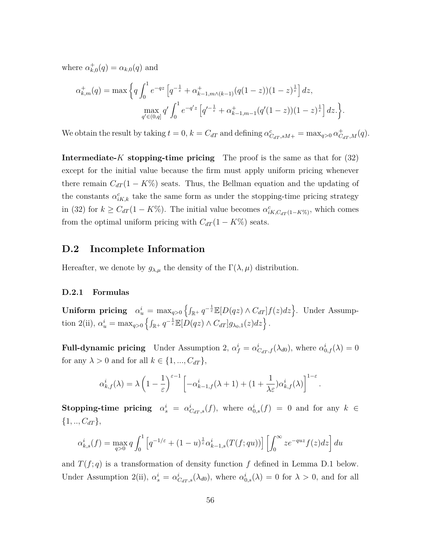where  $\alpha_{k,0}^+(q) = \alpha_{k,0}(q)$  and

$$
\alpha_{k,m}^+(q) = \max \left\{ q \int_0^1 e^{-qz} \left[ q^{-\frac{1}{\varepsilon}} + \alpha_{k-1,m \wedge (k-1)}^+ (q(1-z))(1-z)^{\frac{1}{\varepsilon}} \right] dz, \right\}
$$

$$
\max_{q' \in (0,q]} q' \int_0^1 e^{-q'z} \left[ q'^{-\frac{1}{\varepsilon}} + \alpha_{k-1,m-1}^+ (q'(1-z))(1-z)^{\frac{1}{\varepsilon}} \right] dz.
$$

We obtain the result by taking  $t = 0$ ,  $k = C_{dT}$  and defining  $\alpha_{C_{dT},sM+}^{c} = \max_{q>0} \alpha_{C_{dT},M}^{+}(q)$ .

**Intermediate-***K* **stopping-time pricing** The proof is the same as that for (32) except for the initial value because the firm must apply uniform pricing whenever there remain  $C_{dT} (1 - K\%)$  seats. Thus, the Bellman equation and the updating of the constants  $\alpha_{i,K,k}^c$  take the same form as under the stopping-time pricing strategy in (32) for  $k \geq C_{dT} (1 - K\%)$ . The initial value becomes  $\alpha_{iK,C_{dT}(1 - K\%)}^{c}$ , which comes from the optimal uniform pricing with  $C_{dT} (1 - K\%)$  seats.

### **D.2 Incomplete Information**

Hereafter, we denote by  $g_{\lambda,\mu}$  the density of the  $\Gamma(\lambda,\mu)$  distribution.

#### **D.2.1 Formulas**

 $\textbf{Uniform pricing} \quad \alpha_u^i = \max_{q>0} \left\{ \int_{\mathbb{R}^+} q^{-\frac{1}{\varepsilon}} \mathbb{E}[D(qz) \wedge C_{dT}] f(z) dz \right\}.$  Under Assumption 2(ii),  $\alpha_u^i = \max_{q>0} \left\{ \int_{\mathbb{R}^+} q^{-\frac{1}{\varepsilon}} \mathbb{E}[D(qz) \wedge C_{dT}] g_{\lambda_0,1}(z) dz \right\}.$ 

**Full-dynamic pricing** Under Assumption 2,  $\alpha_f^i = \alpha_{C_{dT},f}^i(\lambda_{d0})$ , where  $\alpha_{0,f}^i(\lambda) = 0$ for any  $\lambda > 0$  and for all  $k \in \{1, ..., C_{dT}\},$ 

$$
\alpha_{k,f}^i(\lambda) = \lambda \left(1 - \frac{1}{\varepsilon}\right)^{\varepsilon - 1} \left[ -\alpha_{k-1,f}^i(\lambda + 1) + (1 + \frac{1}{\lambda \varepsilon})\alpha_{k,f}^i(\lambda) \right]^{1-\varepsilon}.
$$

**Stopping-time pricing**  $\alpha_s^i = \alpha_{C_{dT},s}^i(f)$ , where  $\alpha_{0,s}^i(f) = 0$  and for any  $k \in$  $\{1, ..., C_{dT}\},\$ 

$$
\alpha_{k,s}^i(f) = \max_{q>0} q \int_0^1 \left[ q^{-1/\varepsilon} + (1-u)^{\frac{1}{\varepsilon}} \alpha_{k-1,s}^i(T(f;qu)) \right] \left[ \int_0^\infty z e^{-quz} f(z) dz \right] du
$$

and  $T(f; q)$  is a transformation of density function  $f$  defined in Lemma D.1 below. Under Assumption 2(ii),  $\alpha_s^i = \alpha_{C_{dT},s}^i(\lambda_{d0})$ , where  $\alpha_{0,s}^i(\lambda) = 0$  for  $\lambda > 0$ , and for all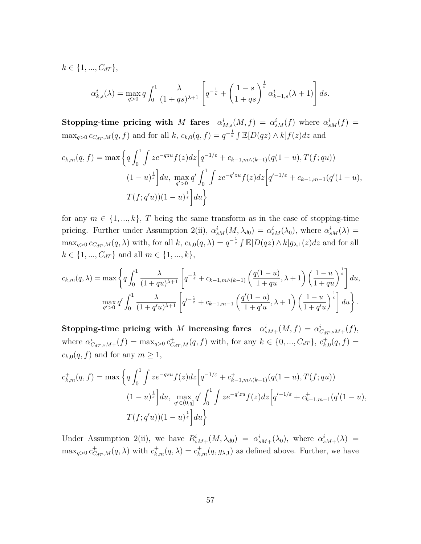$k \in \{1, ..., C_{dT}\},\$ 

$$
\alpha_{k,s}^i(\lambda) = \max_{q>0} q \int_0^1 \frac{\lambda}{(1+qs)^{\lambda+1}} \left[ q^{-\frac{1}{\varepsilon}} + \left( \frac{1-s}{1+qs} \right)^{\frac{1}{\varepsilon}} \alpha_{k-1,s}^i(\lambda+1) \right] ds.
$$

**Stopping-time pricing with** *M* **fares**  $\alpha_{M,s}^i(M, f) = \alpha_{sM}^i(f)$  where  $\alpha_{sM}^i(f) =$  $\max_{q>0} c_{C_{dT},M}(q, f)$  and for all  $k, c_{k,0}(q, f) = q^{-\frac{1}{\varepsilon}} \int \mathbb{E}[D(qz) \wedge k] f(z) dz$  and

$$
c_{k,m}(q,f) = \max \left\{ q \int_0^1 \int ze^{-qzu} f(z)dz \left[ q^{-1/\varepsilon} + c_{k-1,m \wedge (k-1)}(q(1-u), T(f; qu)) \right. \right.\left. (1-u)^{\frac{1}{\varepsilon}} \right\} du, \max_{q' > 0} q' \int_0^1 \int ze^{-q'zu} f(z)dz \left[ q'^{-1/\varepsilon} + c_{k-1,m-1}(q'(1-u), T(f; q'u))(1-u)^{\frac{1}{\varepsilon}} \right] du \right\}
$$

for any  $m \in \{1, ..., k\}, T$  being the same transform as in the case of stopping-time pricing. Further under Assumption 2(ii),  $\alpha_{sM}^{i}(M, \lambda_{d0}) = \alpha_{sM}^{i}(\lambda_{0})$ , where  $\alpha_{sM}^{i}(\lambda) =$  $\max_{q>0} c_{C_{dT},M}(q,\lambda)$  with, for all  $k, c_{k,0}(q,\lambda) = q^{-\frac{1}{\varepsilon}} \int \mathbb{E}[D(qz)\wedge k]g_{\lambda,1}(z)dz$  and for all  $k \in \{1, ..., C_{dT}\}$  and all  $m \in \{1, ..., k\},$ 

$$
c_{k,m}(q,\lambda) = \max\left\{q\int_0^1 \frac{\lambda}{(1+qu)^{\lambda+1}} \left[q^{-\frac{1}{\varepsilon}} + c_{k-1,m\wedge(k-1)}\left(\frac{q(1-u)}{1+qu}, \lambda+1\right) \left(\frac{1-u}{1+qu}\right)^{\frac{1}{\varepsilon}}\right] du, \atop \max_{q' > 0} q' \int_0^1 \frac{\lambda}{(1+q'u)^{\lambda+1}} \left[q'^{-\frac{1}{\varepsilon}} + c_{k-1,m-1}\left(\frac{q'(1-u)}{1+q'u}, \lambda+1\right) \left(\frac{1-u}{1+q'u}\right)^{\frac{1}{\varepsilon}}\right] du\right\}.
$$

**Stopping-time pricing with** *M* **increasing fares**  $\alpha_{sM+}^{i}(M, f) = \alpha_{C_{dT},sM+}^{i}(f)$ , where  $\alpha^i_{C_{dT},sM+}(f) = \max_{q>0} c^+_{C_{dT},M}(q,f)$  with, for any  $k \in \{0, ..., C_{dT}\}, c^+_{k,0}(q,f) =$  $c_{k,0}(q, f)$  and for any  $m \geq 1$ ,

$$
c_{k,m}^+(q,f) = \max\left\{q \int_0^1 \int ze^{-qzu} f(z)dz \Big[q^{-1/\varepsilon} + c_{k-1,m \wedge (k-1)}^+(q(1-u), T(f; qu))\right.\n\left. (1-u)^{\frac{1}{\varepsilon}}\right\} du, \max_{q' \in (0,q]} q' \int_0^1 \int ze^{-q'zu} f(z)dz \Big[q'^{-1/\varepsilon} + c_{k-1,m-1}^+(q'(1-u),\n\left. T(f; q'u)\right)(1-u)^{\frac{1}{\varepsilon}}\Big] du\right\}
$$

Under Assumption 2(ii), we have  $R_{sM+}^i(M, \lambda_{d0}) = \alpha_{sM+}^i(\lambda_0)$ , where  $\alpha_{sM+}^i(\lambda) =$  $\max_{q>0} c^+_{C_{dT},M}(q,\lambda)$  with  $c^+_{k,m}(q,\lambda) = c^+_{k,m}(q,g_{\lambda,1})$  as defined above. Further, we have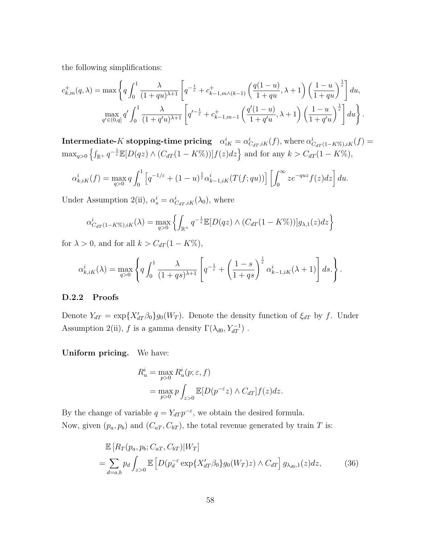the following simplifications:

$$
c_{k,m}^+(q,\lambda) = \max \left\{ q \int_0^1 \frac{\lambda}{(1+qu)^{\lambda+1}} \left[ q^{-\frac{1}{\varepsilon}} + c_{k-1,m\wedge(k-1)}^+ \left( \frac{q(1-u)}{1+qu}, \lambda + 1 \right) \left( \frac{1-u}{1+qu} \right)^{\frac{1}{\varepsilon}} \right] du, \atop q' \in (0,q]^d' \int_0^1 \frac{\lambda}{(1+q'u)^{\lambda+1}} \left[ q'^{-\frac{1}{\varepsilon}} + c_{k-1,m-1}^+ \left( \frac{q'(1-u)}{1+q'u}, \lambda + 1 \right) \left( \frac{1-u}{1+q'u} \right)^{\frac{1}{\varepsilon}} \right] du \right\}.
$$

 $\textbf{Intermediate-}K \textbf{ stopping-time pricing} \quad \alpha^i_{iK} = \alpha^i_{C_{dT},iK}(f), \text{where } \alpha^i_{C_{dT}(1-K\%),iK}(f) = 0.$  $\max_{q>0} \left\{ \int_{\mathbb{R}^+} q^{-\frac{1}{\varepsilon}} \mathbb{E}[D(qz) \wedge (C_{dT}(1 - K\%))]f(z)dz \right\}$  and for any  $k > C_{dT}(1 - K\%)$ ,

$$
\alpha_{k,iK}^i(f) = \max_{q>0} q \int_0^1 \left[ q^{-1/\varepsilon} + (1-u)^{\frac{1}{\varepsilon}} \alpha_{k-1,iK}^i(T(f;qu)) \right] \left[ \int_0^\infty z e^{-quz} f(z) dz \right] du.
$$

Under Assumption 2(ii),  $\alpha_s^i = \alpha_{C_{dT},iK}^i(\lambda_0)$ , where

$$
\alpha_{C_{dT}(1-K\%),iK}^{i}(\lambda) = \max_{q>0} \left\{ \int_{\mathbb{R}^{+}} q^{-\frac{1}{\varepsilon}} \mathbb{E}[D(qz) \wedge (C_{dT}(1-K\%))] g_{\lambda,1}(z) dz \right\}
$$

for  $\lambda > 0$ , and for all  $k > C_{dT} (1 - K\%)$ ,

$$
\alpha_{k,iK}^i(\lambda) = \max_{q>0} \left\{ q \int_0^1 \frac{\lambda}{(1+qs)^{\lambda+1}} \left[ q^{-\frac{1}{\varepsilon}} + \left( \frac{1-s}{1+qs} \right)^{\frac{1}{\varepsilon}} \alpha_{k-1,iK}^i(\lambda+1) \right] ds. \right\}.
$$

#### **D.2.2 Proofs**

Denote  $Y_{dT} = \exp\{X'_{dT}\beta_0\}g_0(W_T)$ . Denote the density function of  $\xi_{dT}$  by f. Under Assumption 2(ii), *f* is a gamma density  $\Gamma(\lambda_{d0}, Y_{dT}^{-1})$ .

**Uniform pricing.** We have:

$$
R_u^i = \max_{p>0} R_u^i(p; \varepsilon, f)
$$
  
= 
$$
\max_{p>0} p \int_{z>0} \mathbb{E}[D(p^{-\varepsilon}z) \wedge C_{dT}] f(z) dz.
$$

By the change of variable  $q = Y_{dT} p^{-\varepsilon}$ , we obtain the desired formula. Now, given  $(p_a, p_b)$  and  $(C_{aT}, C_{bT})$ , the total revenue generated by train *T* is:

$$
\mathbb{E}\left[R_T(p_a, p_b; C_{aT}, C_{bT})|W_T\right]
$$
\n
$$
= \sum_{d=a,b} p_d \int_{z>0} \mathbb{E}\left[D(p_d^{-\varepsilon} \exp\{X_{dT}^{\prime}\beta_0\}g_0(W_T)z) \wedge C_{dT}\right] g_{\lambda_{d0,1}}(z) dz,
$$
\n(36)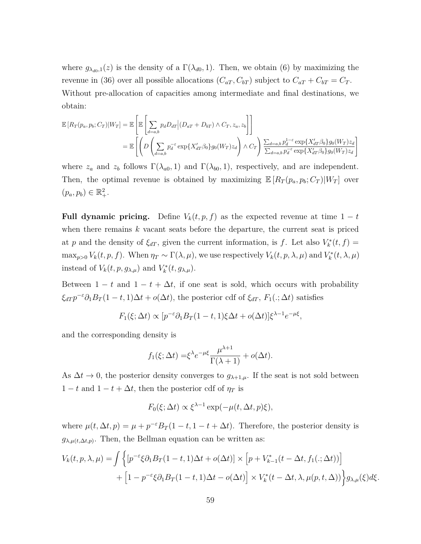where  $g_{\lambda_{d0},1}(z)$  is the density of a  $\Gamma(\lambda_{d0},1)$ . Then, we obtain (6) by maximizing the revenue in (36) over all possible allocations  $(C_{aT}, C_{bT})$  subject to  $C_{aT} + C_{bT} = C_T$ . Without pre-allocation of capacities among intermediate and final destinations, we obtain:

$$
\mathbb{E}\left[R_T(p_a, p_b; C_T)|W_T\right] = \mathbb{E}\left[\mathbb{E}\left[\sum_{d=a,b} p_d D_{dT}\Big|(D_{aT} + D_{bT}) \wedge C_T, z_a, z_b\right]\right]
$$
  
\n
$$
= \mathbb{E}\left[\left(D\left(\sum_{d=a,b} p_d^{-\varepsilon} \exp\{X'_{dT}\beta_0\}g_0(W_T)z_d\right) \wedge C_T\right) \frac{\sum_{d=a,b} p_d^{1-\varepsilon} \exp\{X'_{dT}\beta_0\}g_0(W_T)z_d}{\sum_{d=a,b} p_d^{-\varepsilon} \exp\{X'_{dT}\beta_0\}g_0(W_T)z_d}\right]
$$

where  $z_a$  and  $z_b$  follows  $\Gamma(\lambda_{a0}, 1)$  and  $\Gamma(\lambda_{b0}, 1)$ , respectively, and are independent. Then, the optimal revenue is obtained by maximizing  $\mathbb{E}[R_T(p_a, p_b; C_T)|W_T]$  over  $(p_a, p_b) \in \mathbb{R}^2_+.$ 

**Full dynamic pricing.** Define  $V_k(t, p, f)$  as the expected revenue at time  $1 - t$ when there remains *k* vacant seats before the departure, the current seat is priced at *p* and the density of  $\xi_{dT}$ , given the current information, is *f*. Let also  $V_k^*(t, f) =$  $\max_{p>0} V_k(t, p, f)$ . When  $\eta_T \sim \Gamma(\lambda, \mu)$ , we use respectively  $V_k(t, p, \lambda, \mu)$  and  $V_k^*(t, \lambda, \mu)$ instead of  $V_k(t, p, g_{\lambda,\mu})$  and  $V_k^*(t, g_{\lambda,\mu})$ .

Between  $1 - t$  and  $1 - t + \Delta t$ , if one seat is sold, which occurs with probability  $\xi_{dT} p^{-\varepsilon} \partial_1 B_T (1-t,1) \Delta t + o(\Delta t)$ , the posterior cdf of  $\xi_{dT}$ ,  $F_1(:,\Delta t)$  satisfies

$$
F_1(\xi; \Delta t) \propto [p^{-\varepsilon} \partial_1 B_T (1-t, 1)\xi \Delta t + o(\Delta t)] \xi^{\lambda - 1} e^{-\mu \xi},
$$

and the corresponding density is

$$
f_1(\xi; \Delta t) = \xi^{\lambda} e^{-\mu \xi} \frac{\mu^{\lambda+1}}{\Gamma(\lambda+1)} + o(\Delta t).
$$

As  $\Delta t \to 0$ , the posterior density converges to  $g_{\lambda+1,\mu}$ . If the seat is not sold between  $1 - t$  and  $1 - t + \Delta t$ , then the posterior cdf of  $\eta_T$  is

$$
F_0(\xi; \Delta t) \propto \xi^{\lambda - 1} \exp(-\mu(t, \Delta t, p)\xi),
$$

where  $\mu(t, \Delta t, p) = \mu + p^{-\varepsilon} B_T (1 - t, 1 - t + \Delta t)$ . Therefore, the posterior density is  $g_{\lambda,\mu(t,\Delta t,p)}$ . Then, the Bellman equation can be written as:

$$
V_k(t, p, \lambda, \mu) = \int \left\{ \left[ p^{-\varepsilon} \xi \partial_1 B_T (1-t, 1) \Delta t + o(\Delta t) \right] \times \left[ p + V_{k-1}^*(t - \Delta t, f_1(:, \Delta t)) \right] \right\} + \left[ 1 - p^{-\varepsilon} \xi \partial_1 B_T (1-t, 1) \Delta t - o(\Delta t) \right] \times V_k^*(t - \Delta t, \lambda, \mu(p, t, \Delta)) \right\} g_{\lambda, \mu}(\xi) d\xi.
$$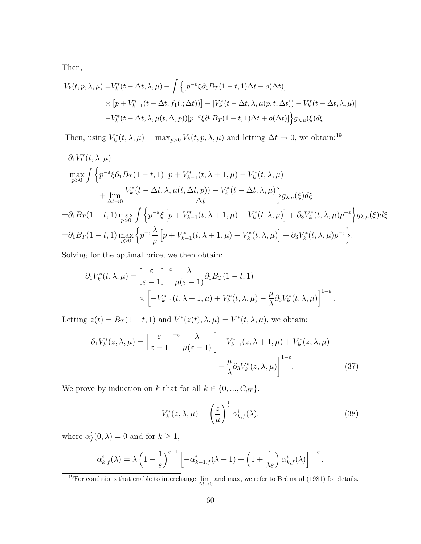Then,

$$
V_k(t, p, \lambda, \mu) = V_k^*(t - \Delta t, \lambda, \mu) + \int \left\{ \left[ p^{-\varepsilon} \xi \partial_1 B_T (1 - t, 1) \Delta t + o(\Delta t) \right] \times \left[ p + V_{k-1}^*(t - \Delta t, f_1(:,\Delta t)) \right] + \left[ V_k^*(t - \Delta t, \lambda, \mu(p, t, \Delta t)) - V_k^*(t - \Delta t, \lambda, \mu(t, \Delta t)) \right] \right\} \times \left[ V_k^*(t - \Delta t, \lambda, \mu(t, \Delta, p)) \right] e^{-\varepsilon} \xi \partial_1 B_T (1 - t, 1) \Delta t + o(\Delta t) \right\} g_{\lambda, \mu}(\xi) d\xi.
$$

Then, using  $V_k^*(t, \lambda, \mu) = \max_{p>0} V_k(t, p, \lambda, \mu)$  and letting  $\Delta t \to 0$ , we obtain:<sup>19</sup>

$$
\partial_1 V_k^*(t, \lambda, \mu)
$$
\n
$$
= \max_{p>0} \int \left\{ p^{-\varepsilon} \xi \partial_1 B_T (1-t, 1) \left[ p + V_{k-1}^*(t, \lambda+1, \mu) - V_k^*(t, \lambda, \mu) \right] \right\} + \lim_{\Delta t \to 0} \frac{V_k^*(t - \Delta t, \lambda, \mu(t, \Delta t, p)) - V_k^*(t - \Delta t, \lambda, \mu)}{\Delta t} \right\} g_{\lambda, \mu}(\xi) d\xi
$$
\n
$$
= \partial_1 B_T (1-t, 1) \max_{p>0} \int \left\{ p^{-\varepsilon} \xi \left[ p + V_{k-1}^*(t, \lambda+1, \mu) - V_k^*(t, \lambda, \mu) \right] + \partial_3 V_k^*(t, \lambda, \mu) p^{-\varepsilon} \right\} g_{\lambda, \mu}(\xi) d\xi
$$
\n
$$
= \partial_1 B_T (1-t, 1) \max_{p>0} \left\{ p^{-\varepsilon} \frac{\lambda}{\mu} \left[ p + V_{k-1}^*(t, \lambda+1, \mu) - V_k^*(t, \lambda, \mu) \right] + \partial_3 V_k^*(t, \lambda, \mu) p^{-\varepsilon} \right\}.
$$

Solving for the optimal price, we then obtain:

$$
\partial_1 V_k^*(t, \lambda, \mu) = \left[\frac{\varepsilon}{\varepsilon - 1}\right]^{-\varepsilon} \frac{\lambda}{\mu(\varepsilon - 1)} \partial_1 B_T(1 - t, 1)
$$

$$
\times \left[ -V_{k-1}^*(t, \lambda + 1, \mu) + V_k^*(t, \lambda, \mu) - \frac{\mu}{\lambda} \partial_3 V_k^*(t, \lambda, \mu) \right]^{1 - \varepsilon}
$$

Letting  $z(t) = B_T(1-t, 1)$  and  $\overline{V}^*(z(t), \lambda, \mu) = V^*(t, \lambda, \mu)$ , we obtain:

$$
\partial_1 \bar{V}_k^*(z, \lambda, \mu) = \left[\frac{\varepsilon}{\varepsilon - 1}\right]^{-\varepsilon} \frac{\lambda}{\mu(\varepsilon - 1)} \left[ -\bar{V}_{k-1}^*(z, \lambda + 1, \mu) + \bar{V}_k^*(z, \lambda, \mu) -\frac{\mu}{\lambda} \partial_3 \bar{V}_k^*(z, \lambda, \mu) \right]^{1 - \varepsilon}.
$$
\n(37)

We prove by induction on *k* that for all  $k \in \{0, ..., C_{dT}\}.$ 

$$
\bar{V}_k^*(z,\lambda,\mu) = \left(\frac{z}{\mu}\right)^{\frac{1}{\varepsilon}} \alpha_{k,f}^i(\lambda),\tag{38}
$$

*.*

where  $\alpha_f^i(0,\lambda) = 0$  and for  $k \geq 1$ ,

$$
\alpha_{k,f}^i(\lambda) = \lambda \left(1 - \frac{1}{\varepsilon}\right)^{\varepsilon - 1} \left[ -\alpha_{k-1,f}^i(\lambda + 1) + \left(1 + \frac{1}{\lambda \varepsilon}\right) \alpha_{k,f}^i(\lambda) \right]^{1 - \varepsilon}.
$$

<sup>19</sup>For conditions that enable to interchange  $\lim_{\Delta t \to 0}$  and max, we refer to Brémaud (1981) for details.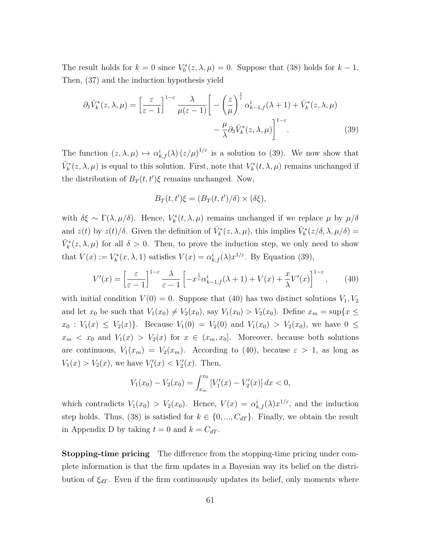The result holds for  $k = 0$  since  $V_0^*(z, \lambda, \mu) = 0$ . Suppose that (38) holds for  $k - 1$ . Then, (37) and the induction hypothesis yield

$$
\partial_1 \bar{V}_k^*(z, \lambda, \mu) = \left[\frac{\varepsilon}{\varepsilon - 1}\right]^{1 - \varepsilon} \frac{\lambda}{\mu(\varepsilon - 1)} \left[ -\left(\frac{z}{\mu}\right)^{\frac{1}{\varepsilon}} \alpha_{k-1,f}^i(\lambda + 1) + \bar{V}_k^*(z, \lambda, \mu) -\frac{\mu}{\lambda} \partial_3 \bar{V}_k^*(z, \lambda, \mu) \right]^{1 - \varepsilon}.
$$
 (39)

The function  $(z, \lambda, \mu) \mapsto \alpha_{k,f}^i(\lambda) (z/\mu)^{1/\varepsilon}$  is a solution to (39). We now show that  $\bar{V}_k^*(z, \lambda, \mu)$  is equal to this solution. First, note that  $V_k^*(t, \lambda, \mu)$  remains unchanged if the distribution of  $B_T(t, t')\xi$  remains unchanged. Now,

$$
B_T(t, t')\xi = (B_T(t, t')/\delta) \times (\delta \xi),
$$

with  $\delta \xi \sim \Gamma(\lambda, \mu/\delta)$ . Hence,  $V_k^*(t, \lambda, \mu)$  remains unchanged if we replace  $\mu$  by  $\mu/\delta$ and  $z(t)$  by  $z(t)/\delta$ . Given the definition of  $\bar{V}_k^*(z, \lambda, \mu)$ , this implies  $\bar{V}_k^*(z/\delta, \lambda, \mu/\delta)$  =  $\bar{V}_k^*(z, \lambda, \mu)$  for all  $\delta > 0$ . Then, to prove the induction step, we only need to show that  $V(x) := V_k^*(x, \lambda, 1)$  satisfies  $V(x) = \alpha_{k,f}^i(\lambda) x^{1/\varepsilon}$ . By Equation (39),

$$
V'(x) = \left[\frac{\varepsilon}{\varepsilon - 1}\right]^{1 - \varepsilon} \frac{\lambda}{\varepsilon - 1} \left[-x^{\frac{1}{\varepsilon}} \alpha_{k-1,f}^i(\lambda + 1) + V(x) + \frac{x}{\lambda} V'(x)\right]^{1 - \varepsilon},\qquad(40)
$$

with initial condition  $V(0) = 0$ . Suppose that (40) has two distinct solutions  $V_1, V_2$ and let  $x_0$  be such that  $V_1(x_0) \neq V_2(x_0)$ , say  $V_1(x_0) > V_2(x_0)$ . Define  $x_m = \sup\{x \leq$  $x_0: V_1(x) \leq V_2(x)$ . Because  $V_1(0) = V_2(0)$  and  $V_1(x_0) > V_2(x_0)$ , we have  $0 \leq$  $x_m < x_0$  and  $V_1(x) > V_2(x)$  for  $x \in (x_m, x_0]$ . Moreover, because both solutions are continuous,  $V_1(x_m) = V_2(x_m)$ . According to (40), because  $\varepsilon > 1$ , as long as  $V_1(x) > V_2(x)$ , we have  $V'_1(x) < V'_2(x)$ . Then,

$$
V_1(x_0) - V_2(x_0) = \int_{x_m}^{x_0} \left[ V_1'(x) - V_2'(x) \right] dx < 0,
$$

which contradicts  $V_1(x_0) > V_2(x_0)$ . Hence,  $V(x) = \alpha_{k,f}^i(\lambda) x^{1/\varepsilon}$ , and the induction step holds. Thus, (38) is satisfied for  $k \in \{0, ..., C_{dT}\}$ . Finally, we obtain the result in Appendix D by taking  $t = 0$  and  $k = C_{dT}$ .

**Stopping-time pricing** The difference from the stopping-time pricing under complete information is that the firm updates in a Bayesian way its belief on the distribution of  $\xi_{dT}$ . Even if the firm continuously updates its belief, only moments where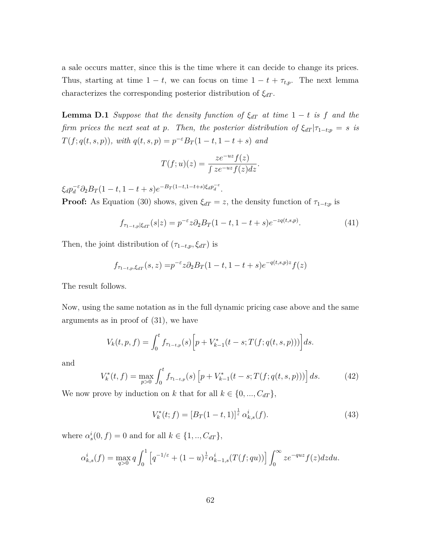a sale occurs matter, since this is the time where it can decide to change its prices. Thus, starting at time  $1 - t$ , we can focus on time  $1 - t + \tau_{t,p}$ . The next lemma characterizes the corresponding posterior distribution of *ξdT* .

**Lemma D.1** *Suppose that the density function of*  $\xi_{dT}$  *at time* 1 − *t is f and the firm prices the next seat at p. Then, the posterior distribution of*  $\xi_{dT}$  | $\tau_{1-t;p}$  = *s is T*(*f*; *q*(*t*, *s*, *p*)), with  $q(t, s, p) = p^{-\varepsilon}B_T(1-t, 1-t+s)$  and

$$
T(f;u)(z) = \frac{ze^{-uz}f(z)}{\int ze^{-uz}f(z)dz}.
$$

 $\xi_d p_d^{-\varepsilon} \partial_2 B_T (1-t, 1-t+s) e^{-B_T (1-t, 1-t+s) \xi_d p_d^{-\varepsilon}}.$ 

**Proof:** As Equation (30) shows, given  $\xi_{dT} = z$ , the density function of  $\tau_{1-t;p}$  is

$$
f_{\tau_{1-t,p}|\xi_{dT}}(s|z) = p^{-\varepsilon}z \partial_2 B_T(1-t, 1-t+s)e^{-zq(t,s,p)}.
$$
 (41)

Then, the joint distribution of  $(\tau_{1-t,p}, \xi_{dT})$  is

$$
f_{\tau_{1-t,p},\xi_{dT}}(s,z) = p^{-\varepsilon} z \partial_2 B_T (1-t, 1-t+s) e^{-q(t,s,p)z} f(z)
$$

The result follows.

Now, using the same notation as in the full dynamic pricing case above and the same arguments as in proof of (31), we have

$$
V_k(t, p, f) = \int_0^t f_{\tau_{1-t, p}}(s) \Big[ p + V_{k-1}^*(t - s; T(f; q(t, s, p))) \Big] ds.
$$

and

$$
V_k^*(t, f) = \max_{p>0} \int_0^t f_{\tau_{1-t, p}}(s) \left[ p + V_{k-1}^*(t - s; T(f; q(t, s, p))) \right] ds.
$$
 (42)

We now prove by induction on *k* that for all  $k \in \{0, ..., C_{dT}\},$ 

$$
V_k^*(t; f) = [B_T(1-t, 1)]^{\frac{1}{\varepsilon}} \alpha_{k,s}^i(f). \tag{43}
$$

where  $\alpha_s^i(0, f) = 0$  and for all  $k \in \{1, ..., C_{dT}\},$ 

$$
\alpha_{k,s}^i(f) = \max_{q>0} q \int_0^1 \left[ q^{-1/\varepsilon} + (1-u)^{\frac{1}{\varepsilon}} \alpha_{k-1,s}^i(T(f;qu)) \right] \int_0^\infty z e^{-quz} f(z) dz du.
$$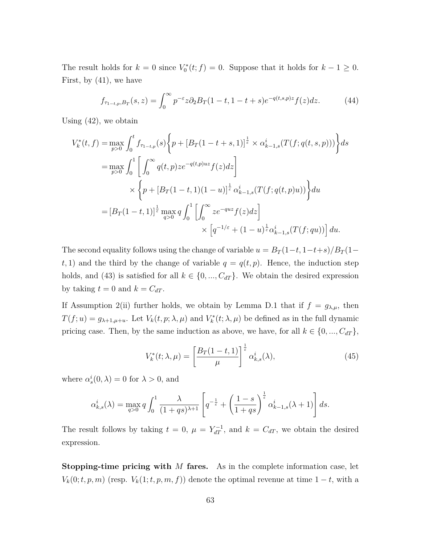The result holds for  $k = 0$  since  $V_0^*(t; f) = 0$ . Suppose that it holds for  $k - 1 \ge 0$ . First, by (41), we have

$$
f_{\tau_{1-t,p},B_T}(s,z) = \int_0^\infty p^{-\varepsilon} z \partial_2 B_T(1-t,1-t+s) e^{-q(t,s,p)z} f(z) dz.
$$
 (44)

Using (42), we obtain

$$
V_k^*(t, f) = \max_{p>0} \int_0^t f_{\tau_{1-t,p}}(s) \left\{ p + [B_T(1-t+s, 1)]^{\frac{1}{\varepsilon}} \times \alpha_{k-1,s}^i(T(f; q(t, s, p))) \right\} ds
$$
  
\n
$$
= \max_{p>0} \int_0^1 \left[ \int_0^\infty q(t, p) z e^{-q(t, p)uz} f(z) dz \right]
$$
  
\n
$$
\times \left\{ p + [B_T(1-t, 1)(1-u)]^{\frac{1}{\varepsilon}} \alpha_{k-1,s}^i(T(f; q(t, p)u)) \right\} du
$$
  
\n
$$
= [B_T(1-t, 1)]^{\frac{1}{\varepsilon}} \max_{q>0} q \int_0^1 \left[ \int_0^\infty z e^{-quz} f(z) dz \right]
$$
  
\n
$$
\times \left[ q^{-1/\varepsilon} + (1-u)^{\frac{1}{\varepsilon}} \alpha_{k-1,s}^i(T(f; qu)) \right] du.
$$

The second equality follows using the change of variable  $u = B_T(1-t, 1-t+s)/B_T(1-t)$  $t, 1$  and the third by the change of variable  $q = q(t, p)$ . Hence, the induction step holds, and (43) is satisfied for all  $k \in \{0, ..., C_{dT}\}$ . We obtain the desired expression by taking  $t = 0$  and  $k = C_{dT}$ .

If Assumption 2(ii) further holds, we obtain by Lemma D.1 that if  $f = g_{\lambda,\mu}$ , then  $T(f; u) = g_{\lambda+1, \mu+u}$ . Let  $V_k(t, p; \lambda, \mu)$  and  $V_k^*(t; \lambda, \mu)$  be defined as in the full dynamic pricing case. Then, by the same induction as above, we have, for all  $k \in \{0, ..., C_{dT}\},$ 

$$
V_k^*(t; \lambda, \mu) = \left[\frac{B_T(1-t, 1)}{\mu}\right]^{\frac{1}{\varepsilon}} \alpha_{k,s}^i(\lambda),\tag{45}
$$

where  $\alpha_s^i(0,\lambda) = 0$  for  $\lambda > 0$ , and

$$
\alpha_{k,s}^i(\lambda) = \max_{q>0} q \int_0^1 \frac{\lambda}{(1+qs)^{\lambda+1}} \left[ q^{-\frac{1}{\varepsilon}} + \left( \frac{1-s}{1+qs} \right)^{\frac{1}{\varepsilon}} \alpha_{k-1,s}^i(\lambda+1) \right] ds.
$$

The result follows by taking  $t = 0$ ,  $\mu = Y_{dT}^{-1}$ , and  $k = C_{dT}$ , we obtain the desired expression.

**Stopping-time pricing with** *M* **fares.** As in the complete information case, let  $V_k(0; t, p, m)$  (resp.  $V_k(1; t, p, m, f)$ ) denote the optimal revenue at time  $1 - t$ , with a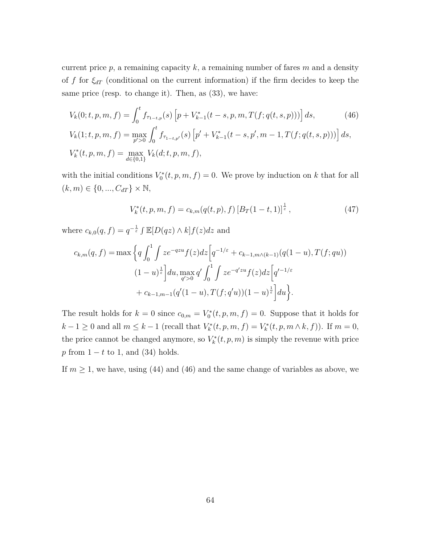current price *p*, a remaining capacity *k*, a remaining number of fares *m* and a density of *f* for *ξdT* (conditional on the current information) if the firm decides to keep the same price (resp. to change it). Then, as  $(33)$ , we have:

$$
V_k(0; t, p, m, f) = \int_0^t f_{\tau_{1-t, p}}(s) \left[ p + V_{k-1}^*(t - s, p, m, T(f; q(t, s, p))) \right] ds,
$$
(46)  

$$
V_k(1; t, p, m, f) = \max_{p' > 0} \int_0^t f_{\tau_{1-t, p'}}(s) \left[ p' + V_{k-1}^*(t - s, p', m - 1, T(f; q(t, s, p))) \right] ds,
$$
  

$$
V_k^*(t, p, m, f) = \max_{d \in \{0, 1\}} V_k(d; t, p, m, f),
$$

with the initial conditions  $V_0^*(t, p, m, f) = 0$ . We prove by induction on *k* that for all  $(k, m) \in \{0, ..., C_{dT}\} \times \mathbb{N},$ 

$$
V_k^*(t, p, m, f) = c_{k,m}(q(t, p), f) \left[ B_T(1-t, 1) \right]^{\frac{1}{\varepsilon}}, \tag{47}
$$

where  $c_{k,0}(q, f) = q^{-\frac{1}{\varepsilon}} \int \mathbb{E}[D(qz) \wedge k]f(z)dz$  and

$$
c_{k,m}(q,f) = \max \left\{ q \int_0^1 \int ze^{-qzu} f(z)dz \left[ q^{-1/\varepsilon} + c_{k-1,m \wedge (k-1)}(q(1-u), T(f; qu)) \right. \right.\left. (1-u)^{\frac{1}{\varepsilon}} \right\} du, \max_{q' > 0} q' \int_0^1 \int ze^{-q'zu} f(z)dz \left[ q'^{-1/\varepsilon} + c_{k-1,m-1}(q'(1-u), T(f; q'u))(1-u)^{\frac{1}{\varepsilon}} \right] du \right\}.
$$

The result holds for  $k = 0$  since  $c_{0,m} = V_0^*(t, p, m, f) = 0$ . Suppose that it holds for *k* − 1 ≥ 0 and all  $m \leq k - 1$  (recall that  $V_k^*(t, p, m, f) = V_k^*(t, p, m \wedge k, f)$ ). If  $m = 0$ , the price cannot be changed anymore, so  $V_k^*(t, p, m)$  is simply the revenue with price *p* from 1 − *t* to 1, and (34) holds.

If  $m \geq 1$ , we have, using (44) and (46) and the same change of variables as above, we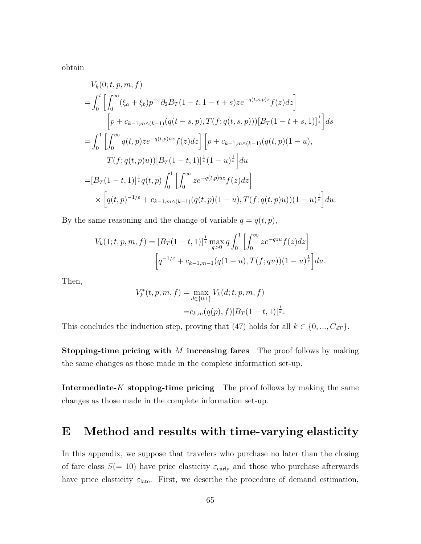obtain

$$
V_{k}(0; t, p, m, f)
$$
\n
$$
= \int_{0}^{t} \left[ \int_{0}^{\infty} (\xi_{a} + \xi_{b}) p^{-\varepsilon} \partial_{2} B_{T} (1 - t, 1 - t + s) z e^{-q(t, s, p)z} f(z) dz \right]
$$
\n
$$
\left[ p + c_{k-1, m} \left( k - 1 \right) (q(t - s, p), T(f; q(t, s, p))) [B_{T} (1 - t + s, 1)]^{\frac{1}{\varepsilon}} \right] ds
$$
\n
$$
= \int_{0}^{1} \left[ \int_{0}^{\infty} q(t, p) z e^{-q(t, p)uz} f(z) dz \right] \left[ p + c_{k-1, m} \left( k - 1 \right) (q(t, p)(1 - u), T(f; q(t, p)u)) [B_{T} (1 - t, 1)]^{\frac{1}{\varepsilon}} (1 - u)^{\frac{1}{\varepsilon}} \right] du
$$
\n
$$
= [B_{T} (1 - t, 1)]^{\frac{1}{\varepsilon}} q(t, p) \int_{0}^{1} \left[ \int_{0}^{\infty} z e^{-q(t, p)uz} f(z) dz \right]
$$
\n
$$
\times \left[ q(t, p)^{-1/\varepsilon} + c_{k-1, m} \left( k - 1 \right) (q(t, p)(1 - u), T(f; q(t, p)u)) (1 - u)^{\frac{1}{\varepsilon}} \right] du.
$$

By the same reasoning and the change of variable  $q = q(t, p)$ ,

$$
V_k(1;t,p,m,f) = [B_T(1-t,1)]^{\frac{1}{\varepsilon}} \max_{q>0} q \int_0^1 \left[ \int_0^\infty z e^{-qzu} f(z) dz \right]
$$

$$
\left[ q^{-1/\varepsilon} + c_{k-1,m-1} (q(1-u), T(f; qu))(1-u)^{\frac{1}{\varepsilon}} \right] du.
$$

Then,

$$
V_k^*(t, p, m, f) = \max_{d \in \{0, 1\}} V_k(d; t, p, m, f)
$$
  
=  $c_{k,m}(q(p), f) [B_T(1-t, 1)]^{\frac{1}{\varepsilon}}$ .

This concludes the induction step, proving that (47) holds for all  $k \in \{0, ..., C_{dT}\}.$ 

**Stopping-time pricing with** *M* **increasing fares** The proof follows by making the same changes as those made in the complete information set-up.

**Intermediate-***K* **stopping-time pricing** The proof follows by making the same changes as those made in the complete information set-up.

# **E Method and results with time-varying elasticity**

In this appendix, we suppose that travelers who purchase no later than the closing of fare class  $S(= 10)$  have price elasticity  $\varepsilon_{\text{early}}$  and those who purchase afterwards have price elasticity  $\varepsilon_{\text{late}}$ . First, we describe the procedure of demand estimation,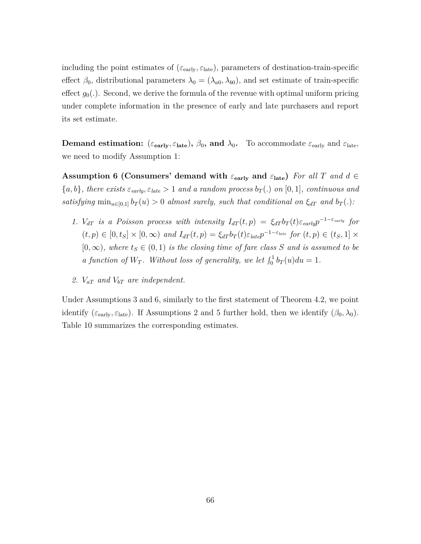including the point estimates of  $(\varepsilon_{\rm early}, \varepsilon_{\rm late})$ , parameters of destination-train-specific effect  $\beta_0$ , distributional parameters  $\lambda_0 = (\lambda_{a0}, \lambda_{b0})$ , and set estimate of train-specific effect  $g_0(.)$ . Second, we derive the formula of the revenue with optimal uniform pricing under complete information in the presence of early and late purchasers and report its set estimate.

**Demand estimation:** ( $\varepsilon_{\text{early}}, \varepsilon_{\text{late}}$ ),  $\beta_0$ , and  $\lambda_0$ . To accommodate  $\varepsilon_{\text{early}}$  and  $\varepsilon_{\text{late}}$ , we need to modify Assumption 1:

**Assumption 6 (Consumers' demand with** *ε***early and** *ε***late)** *For all T and d* ∈  ${a, b}$ *, there exists*  $\varepsilon_{early}, \varepsilon_{late} > 1$  *and a random process*  $b_T(.)$  *on* [0, 1]*, continuous and satisfying*  $\min_{u \in [0,1]} b_T(u) > 0$  *almost surely, such that conditional on*  $\xi_{dT}$  *and*  $b_T(.)$ *:* 

- *1. V*<sub>dT</sub> is a Poisson process with intensity  $I_{dT}(t, p) = \xi_{dT} b_T(t) \varepsilon_{early} p^{-1-\varepsilon_{early}}$  for  $(t,p) \in [0,t_S] \times [0,\infty)$  and  $I_{dT}(t,p) = \xi_{dT} b_T(t) \varepsilon_{late} p^{-1-\varepsilon_{late}}$  for  $(t,p) \in (t_S,1] \times$  $[0, \infty)$ *, where*  $t_s \in (0, 1)$  *is the closing time of fare class S and is assumed to be a function of*  $W_T$ *. Without loss of generality, we let*  $\int_0^1 b_T(u) du = 1$ *.*
- *2. VaT and VbT are independent.*

Under Assumptions 3 and 6, similarly to the first statement of Theorem 4.2, we point identify ( $\varepsilon_{\text{early}}, \varepsilon_{\text{late}}$ ). If Assumptions 2 and 5 further hold, then we identify ( $\beta_0, \lambda_0$ ). Table 10 summarizes the corresponding estimates.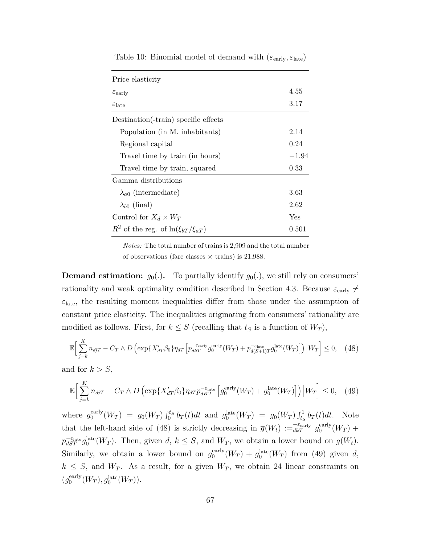| Price elasticity                              |         |
|-----------------------------------------------|---------|
| $\varepsilon_{\rm early}$                     | 4.55    |
| $\varepsilon_{\text{late}}$                   | 3.17    |
| Destination (-train) specific effects         |         |
| Population (in M. inhabitants)                | 2.14    |
| Regional capital                              | 0.24    |
| Travel time by train (in hours)               | $-1.94$ |
| Travel time by train, squared                 | 0.33    |
| Gamma distributions                           |         |
| $\lambda_{a0}$ (intermediate)                 | 3.63    |
| $\lambda_{b0}$ (final)                        | 2.62    |
| Control for $X_d \times W_T$                  | Yes     |
| $R^2$ of the reg. of $\ln(\xi_{bT}/\xi_{aT})$ | 0.501   |

Table 10: Binomial model of demand with (*ε*early*, ε*late)

*Notes:* The total number of trains is 2,909 and the total number of observations (fare classes  $\times$  trains) is 21,988.

**Demand estimation:**  $g_0(.)$ . To partially identify  $g_0(.)$ , we still rely on consumers' rationality and weak optimality condition described in Section 4.3. Because  $\varepsilon_{\text{early}} \neq$  $\varepsilon$ <sub>late</sub>, the resulting moment inequalities differ from those under the assumption of constant price elasticity. The inequalities originating from consumers' rationality are modified as follows. First, for  $k \leq S$  (recalling that  $t_S$  is a function of  $W_T$ ),

$$
\mathbb{E}\Big[\sum_{j=k}^{K} n_{djT} - C_T \wedge D\left(\exp\{X_{dT}^{\prime}\beta_0\}\eta_{dT}\left[p_{dkT}^{-\varepsilon_{\text{early}}}g_0^{\text{early}}(W_T) + p_{d(S+1)T}^{-\varepsilon_{\text{late}}}(W_T)\right]\right) \Big| W_T\Big] \leq 0, \quad (48)
$$

and for  $k > S$ ,

$$
\mathbb{E}\Big[\sum_{j=k}^{K} n_{djT} - C_T \wedge D\left(\exp\{X_{dT}^{\prime}\beta_0\}\eta_{dT}p_{dKT}^{-\varepsilon_{\text{late}}}\left[g_0^{\text{early}}(W_T) + g_0^{\text{late}}(W_T)\right]\right)\Big|W_T\Big] \leq 0, \quad (49)
$$

where  $g_0^{\text{early}}$  $g_0^{\text{early}}(W_T) = g_0(W_T) \int_0^{t_S} b_T(t) dt$  and  $g_0^{\text{late}}(W_T) = g_0(W_T) \int_{t_S}^1 b_T(t) dt$ . Note that the left-hand side of (48) is strictly decreasing in  $\overline{g}(W_t) := \overline{g}_{a t}^{\epsilon_{\text{early}}} g_0^{\text{early}}$  $_0^{\text{early}}(W_T) +$  $p_{dST}^{-\varepsilon_{\text{late}}} g_0^{\text{late}}(W_T)$ . Then, given *d*,  $k \leq S$ , and  $W_T$ , we obtain a lower bound on  $\overline{g}(W_t)$ . Similarly, we obtain a lower bound on  $g_0^{\text{early}}$  $g_0^{\text{early}}(W_T) + g_0^{\text{late}}(W_T)$  from (49) given *d*,  $k \leq S$ , and  $W_T$ . As a result, for a given  $W_T$ , we obtain 24 linear constraints on  $(g_0^{\text{early}})$  $g_0^{\text{early}}(W_T), g_0^{\text{late}}(W_T)).$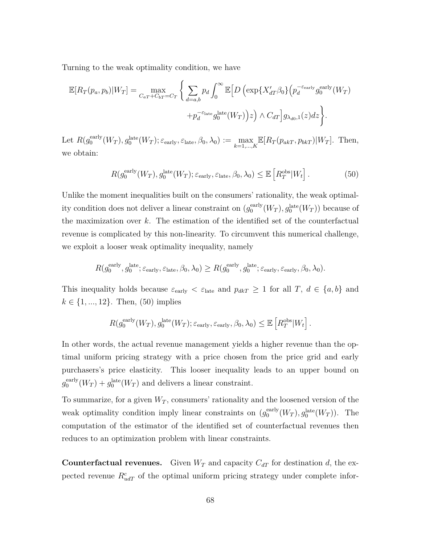Turning to the weak optimality condition, we have

$$
\mathbb{E}[R_T(p_a, p_b)|W_T] = \max_{C_{aT} + C_{bT} = C_T} \left\{ \sum_{d=a,b} p_d \int_0^\infty \mathbb{E}\Big[D\Big(\exp\{X_{dT}^{\prime}\beta_0\}\Big(p_d^{-\varepsilon_{\text{early}}}g_0^{\text{early}}(W_T)\Big) + p_d^{-\varepsilon_{\text{late}}}g_0^{\text{late}}(W_T)\Big)z\Big) \wedge C_{dT}\Big]g_{\lambda_{d0,1}}(z)dz \right\}.
$$

Let  $R(g_0^{\text{early}})$  $\mathcal{E}_0^{\text{early}}(W_T), g_0^{\text{late}}(W_T); \varepsilon_{\text{early}}, \varepsilon_{\text{late}}, \beta_0, \lambda_0) := \max_{k=1,\dots,K} \mathbb{E}[R_T(p_{akT}, p_{bkT})|W_T].$  Then, we obtain:

$$
R(g_0^{\text{early}}(W_T), g_0^{\text{late}}(W_T); \varepsilon_{\text{early}}, \varepsilon_{\text{late}}, \beta_0, \lambda_0) \leq \mathbb{E}\left[R_T^{\text{obs}}|W_t\right].\tag{50}
$$

Unlike the moment inequalities built on the consumers' rationality, the weak optimality condition does not deliver a linear constraint on  $(g_0^{\text{early}})$  $\int_0^{\text{early}} (W_T), g_0^{\text{late}} (W_T))$  because of the maximization over *k*. The estimation of the identified set of the counterfactual revenue is complicated by this non-linearity. To circumvent this numerical challenge, we exploit a looser weak optimality inequality, namely

$$
R(g_0^{\text{early}}, g_0^{\text{late}}; \varepsilon_{\text{early}}, \varepsilon_{\text{late}}, \beta_0, \lambda_0) \ge R(g_0^{\text{early}}, g_0^{\text{late}}; \varepsilon_{\text{early}}, \varepsilon_{\text{early}}, \beta_0, \lambda_0).
$$

This inequality holds because  $\varepsilon_{\text{early}} < \varepsilon_{\text{late}}$  and  $p_{dkT} \ge 1$  for all *T*,  $d \in \{a, b\}$  and  $k \in \{1, ..., 12\}$ . Then, (50) implies

$$
R(g_0^{\text{early}}(W_T), g_0^{\text{late}}(W_T); \varepsilon_{\text{early}}, \varepsilon_{\text{early}}, \beta_0, \lambda_0) \leq \mathbb{E}\left[R_T^{\text{obs}}|W_t\right].
$$

In other words, the actual revenue management yields a higher revenue than the optimal uniform pricing strategy with a price chosen from the price grid and early purchasers's price elasticity. This looser inequality leads to an upper bound on  $g_0^{\text{early}}$  $g_0^{\text{early}}(W_T) + g_0^{\text{late}}(W_T)$  and delivers a linear constraint.

To summarize, for a given  $W_T$ , consumers' rationality and the loosened version of the weak optimality condition imply linear constraints on  $(g_0^{\text{early}})$  $\int_0^{\text{early}} (W_T), g_0^{\text{late}} (W_T)$ ). The computation of the estimator of the identified set of counterfactual revenues then reduces to an optimization problem with linear constraints.

**Counterfactual revenues.** Given  $W_T$  and capacity  $C_{dT}$  for destination *d*, the expected revenue  $R_{udT}^c$  of the optimal uniform pricing strategy under complete infor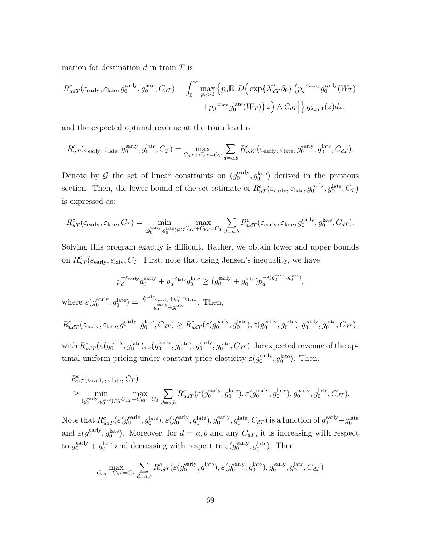mation for destination *d* in train *T* is

$$
R_{udT}^{c}(\varepsilon_{\text{early}}, \varepsilon_{\text{late}}, g_{0}^{\text{early}}, g_{0}^{\text{late}}, C_{dT}) = \int_{0}^{\infty} \max_{p_d > 0} \left\{ p_d \mathbb{E} \left[ D \left( \exp\{ X_{dT}^{\prime} \beta_{0} \} \left( p_d^{-\varepsilon_{\text{early}}} g_{0}^{\text{early}} (W_T) \right) + p_d^{-\varepsilon_{\text{late}}} g_{0}^{\text{late}} (W_T) \right) z \right) \wedge C_{dT} \right] \} g_{\lambda_{d0}, 1}(z) dz,
$$

and the expected optimal revenue at the train level is:

$$
R_{uT}^c(\varepsilon_{\rm early}, \varepsilon_{\rm late}, g_0^{\rm early}, g_0^{\rm late}, C_T) = \max_{C_{aT} + C_{bT} = C_T} \sum_{d=a,b} R_{udT}^c(\varepsilon_{\rm early}, \varepsilon_{\rm late}, g_0^{\rm early}, g_0^{\rm late}, C_{dT}).
$$

Denote by  $\mathcal G$  the set of linear constraints on  $(g_0^{\text{early}})$  $_0^{\text{early}}, g_0^{\text{late}}$  derived in the previous section. Then, the lower bound of the set estimate of  $R_{uT}^c(\varepsilon_{\text{early}}, \varepsilon_{\text{late}}, g_0^{\text{early}})$  $g_0^{\text{early}}, g_0^{\text{late}}, C_T$ is expressed as:

$$
\underline{R}_{uT}^c(\varepsilon_{\text{early}}, \varepsilon_{\text{late}}, C_T) = \min_{(g_0^{\text{early}}, g_0^{\text{late}}) \in \mathcal{G}^{C_{aT} + C_{bT} = C_T} } \sum_{d=a,b} R_{udT}^c(\varepsilon_{\text{early}}, \varepsilon_{\text{late}}, g_0^{\text{early}}, g_0^{\text{late}}, C_{dT}).
$$

Solving this program exactly is difficult. Rather, we obtain lower and upper bounds on  $\underline{R}_{uT}^c(\varepsilon_{\text{early}}, \varepsilon_{\text{late}}, C_T)$ . First, note that using Jensen's inequality, we have

$$
p_d^{-\varepsilon_{\rm early}}g_0^{\rm early}+p_d^{-\varepsilon_{\rm late}}g_0^{\rm late} \ge (g_0^{\rm early}+g_0^{\rm late})p_d^{-\varepsilon(g_0^{\rm early},g_0^{\rm late})},
$$

where  $\varepsilon(g_0^{\text{early}})$  $\left( \begin{array}{c} g_0^{\text{early}} \end{array} \right) = \frac{g_0^{\text{early}} \varepsilon_{\text{early}} + g_0^{\text{late}} \varepsilon_{\text{late}}}{e^{\text{early}} + g^{\text{late}}_{\text{late}}},$  $\frac{\varepsilon_{\text{early}} + g_0^{\text{csc}} \varepsilon_{\text{late}}}{g_0^{\text{early}} + g_0^{\text{late}}}.$  Then,

 $R^c_{udT}(\varepsilon_{\rm early}, \varepsilon_{\rm late}, g^{\rm early}_{0})$  $\mathcal{G}_0^{\text{early}}, \mathcal{G}_0^{\text{late}}, C_{dT} \geq R_{udT}^c(\varepsilon(g_0^{\text{early}}))$  $(g_0^{\text{early}}, g_0^{\text{late}}), \varepsilon(g_0^{\text{early}})$  $(g_0^{\text{early}}, g_0^{\text{late}}), g_0^{\text{early}}$  $g_0^{\text{early}}, g_0^{\text{late}}, C_{dT}),$ 

with  $R^c_{udT}(\varepsilon(g_0^{\text{early}}))$  $(g_0^{\text{early}}, g_0^{\text{late}}), \varepsilon(g_0^{\text{early}})$  $(g_0^{\text{early}}, g_0^{\text{late}}), g_0^{\text{early}}$  $g_0^{\text{early}}, g_0^{\text{late}}, C_{dT}$  the expected revenue of the optimal uniform pricing under constant price elasticity  $\varepsilon(g_0^{\text{early}})$  $g_0^{\text{early}}, g_0^{\text{late}}$ ). Then,

$$
\underline{R}_{uT}^c(\varepsilon_{\text{early}}, \varepsilon_{\text{late}}, C_T) \geq \min_{(g_0^{\text{early}}, g_0^{\text{late}}) \in \mathcal{G}^{C_{aT}+C_{bT} = C_T} } \sum_{d=a,b} R_{udT}^c(\varepsilon(g_0^{\text{early}}, g_0^{\text{late}}), \varepsilon(g_0^{\text{early}}, g_0^{\text{late}}), g_0^{\text{early}}, g_0^{\text{late}}, C_{dT}).
$$

Note that  $R^c_{udT}(\varepsilon(g_0^{\text{early}}))$  $\mathcal{O}_0^{\text{early}}, g_0^{\text{late}}$ ),  $\varepsilon(g_0^{\text{early}})$  $(g_0^{\text{early}}, g_0^{\text{late}}), g_0^{\text{early}}$  $g_0^{\text{early}}, g_0^{\text{late}}, C_{dT}$ ) is a function of  $g_0^{\text{early}} + g_0^{\text{late}}$ and  $\varepsilon(g_0^{\text{early}})$  $\int_0^{\text{early}} g_0^{\text{late}}$ . Moreover, for  $d = a, b$  and any  $C_{dT}$ , it is increasing with respect to  $g_0^{\text{early}} + g_0^{\text{late}}$  and decreasing with respect to  $\varepsilon(g_0^{\text{early}})$  $g_0^{\text{early}}, g_0^{\text{late}}$ ). Then

$$
\max_{C_a T + C_b T = C_T} \sum_{d=a,b} R^c_{udT}(\varepsilon(g_0^{\text{early}}, g_0^{\text{late}}), \varepsilon(g_0^{\text{early}}, g_0^{\text{late}}), g_0^{\text{early}}, g_0^{\text{late}}, C_{dT})
$$